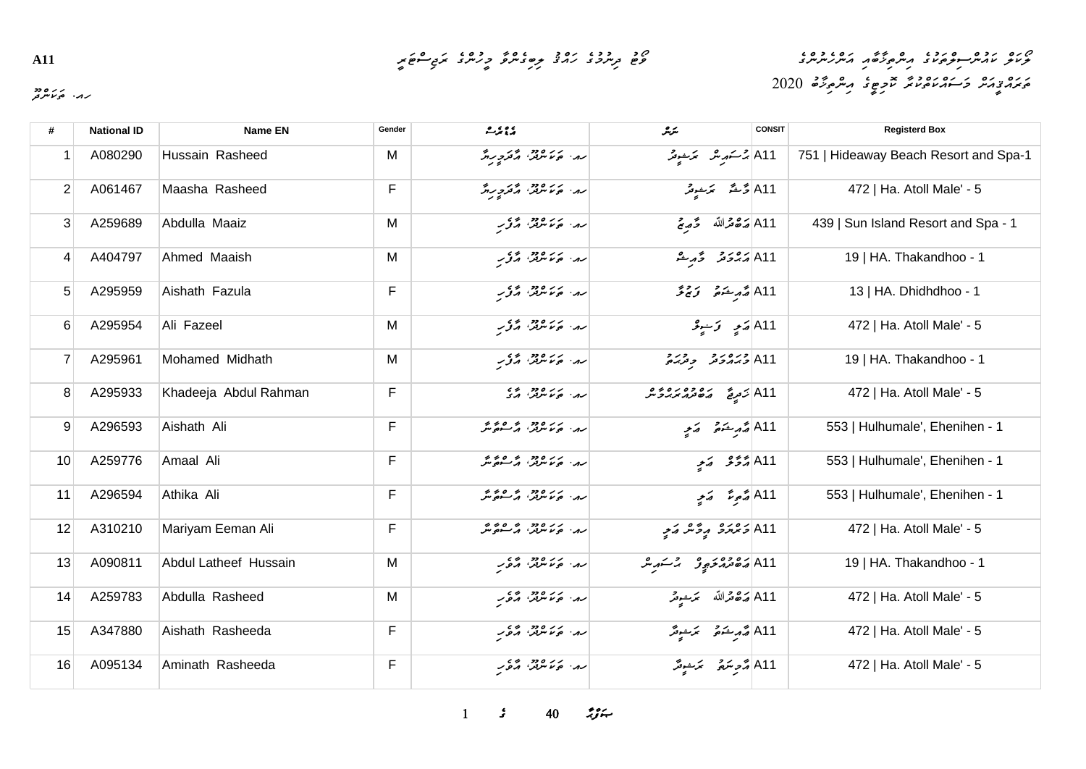*sCw7q7s5w7m< o<n9nOoAw7o< sCq;mAwBoEw7q<m; wBm;vB*  $2020$  *مَحْرَمْ وَحْسَرُمْ مِعْرَمْ وَسَوَمْرَة وَسَوْمِرْدُة وَ* 

**# National ID Name EN Gender** *csercDea cnwn* **CONSIT Registerd Box** 1 A080290 Hussain Rasheed M *WyihImwdWa ,Udcnwkwt .ah udIxwr cniawsuH* A11 751 | Hideaway Beach Resort and Spa-1 2 A061467 Maasha Rasheed F *WyihImwdWa ,Udcnwkwt .ah udIxwr WxWm* A11 472 | Ha. Atoll Male' - 5 3 A259689 Abdulla Maaiz M *ihefWa ,Udcnwkwt .ah uziAWm QudcbwA* A11 439 | Sun Island Resort and Spa - 1 4 A404797 Ahmed Maaish M *ihefWa ,Udcnwkwt .ah cxiaWm udwmcHwa* A11 19 | HA. Thakandhoo - 1 5 A295959 Aishath Fazula F *ihefWa ,Udcnwkwt .ah Wluzwf utwxiaWA* A11 13 | HA. Dhidhdhoo - 1 6 A295954 Ali Fazeel M *ihefWa ,Udcnwkwt .ah clIFwf IlwA* A11 472 | Ha. Atoll Male' - 5 7 A295961 Mohamed Midhath M *ihefWa ,Udcnwkwt .ah utwHudim udwmcawHum* A11 19 | HA. Thakandhoo - 1 8 A295933 Khadeeja Abdul Rahman F *egWa ,Udcnwkwt .ah cnWmcHwrcaudcbwA WjIdwK* A11 472 | Ha. Atoll Male' - 5 9 A296593 Aishath Ali F *WnWtcsWa ,Udcnwkwt .ah IlwA utwxiaWA* A11 553 | Hulhumale', Ehenihen - 1 10 A259776 Amaal Ali F *WnWtcsWa ,Udcnwkwt .ah IlwA clWmWa* A11 553 | Hulhumale', Ehenihen - 1 11 A296594 Athika Ali F *WnWtcsWa ,Udcnwkwt .ah IlwA WkitWA* A11 553 | Hulhumale', Ehenihen - 1 12 A310210 Mariyam Eeman Ali F *WnWtcsWa ,Udcnwkwt .ah IlwA cnWmIa cmwycrwm* A11 472 | Ha. Atoll Male' - 5 13 A090811 Abdul Latheef Hussain M *ihevWa ,Udcnwkwt .ah cniawsuH cfIYwlcaudcbwA* A11 19 | HA. Thakandhoo - 1 14 A259783 Abdulla Rasheed M *ihevWa ,Udcnwkwt .ah udIxwr QudcbwA* A11 472 | Ha. Atoll Male' - 5 15 A347880 Aishath Rasheeda F *ihevWa ,Udcnwkwt .ah WdIxwr utwxiaWA* A11 472 | Ha. Atoll Male' - 5 16 A095134 Aminath Rasheeda F *ihevWa ,Udcnwkwt .ah WdIxwr utwnimWa* A11 472 | Ha. Atoll Male' - 5

*1 sC 40 nNw?mS*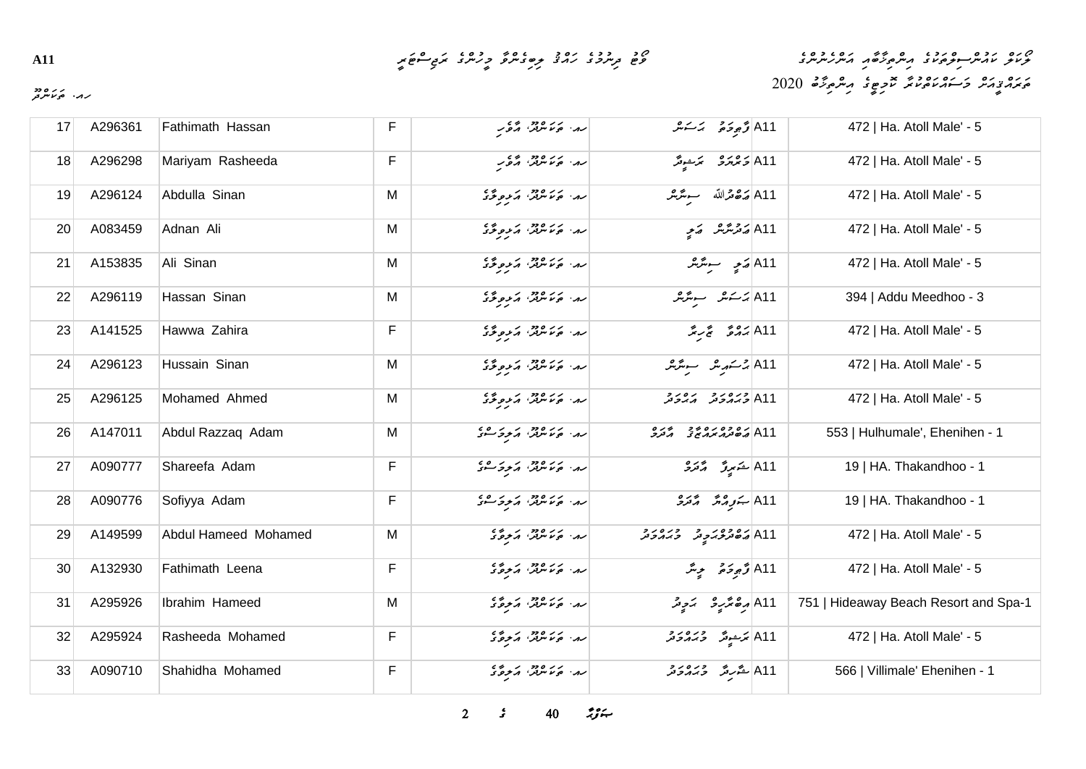*sCw7q7s5w7m< o<n9nOoAw7o< sCq;mAwBoEw7q<m; wBm;vB* م من المرة المرة المرة المرجع المرجع في المركبة 2020<br>مجم*د المريض المربوط المربع المرجع في المراجع المركبة* 

| 17 | A296361 | Fathimath Hassan     | F | رە بە ئەسجىد بەر ئەتەب   | A11 ۇ <sub>جو</sub> رَى ئەسەش     | 472   Ha. Atoll Male' - 5             |
|----|---------|----------------------|---|--------------------------|-----------------------------------|---------------------------------------|
| 18 | A296298 | Mariyam Rasheeda     | F | رد. وناس ده وي           | A11 ك <i>ويمبر بم ترجيد تر</i>    | 472   Ha. Atoll Male' - 5             |
| 19 | A296124 | Abdulla Sinan        | M | رە بەر ەدە كەرەپچى       | A11 كەھەتراللە   سومئزىئر         | 472   Ha. Atoll Male' - 5             |
| 20 | A083459 | Adnan Ali            | M | رد. نوم سرق کرده وی      | A11 كەترىترىتر   كەمچ             | 472   Ha. Atoll Male' - 5             |
| 21 | A153835 | Ali Sinan            | M | رە بەر ەدە ئەرەپچى       | A11 کەچە سەيگەنگە                 | 472   Ha. Atoll Male' - 5             |
| 22 | A296119 | Hassan Sinan         | M | رە بەر ەدە كەردە ئە      | A11  بَرْسَة مَّرْ سِعَةً مِسْر   | 394   Addu Meedhoo - 3                |
| 23 | A141525 | Hawwa Zahira         | F | رە بەر ەدەر ئەرەپچى      | A11 بَرْدْءٌ تَجْرِبَّرُ          | 472   Ha. Atoll Male' - 5             |
| 24 | A296123 | Hussain Sinan        | M | رد. ئەر ئەرە ئەر ئەر ئەر | A11 پرستہریش سینٹریشر             | 472   Ha. Atoll Male' - 5             |
| 25 | A296125 | Mohamed Ahmed        | M | رە بەرەدە ئەرەپى         | A11 <i>ډېره ده بره ده</i>         | 472   Ha. Atoll Male' - 5             |
| 26 | A147011 | Abdul Razzaq Adam    | M | رد و دود دور و ،         | A11 ג׳פיקי פיז ביקי פ             | 553   Hulhumale', Ehenihen - 1        |
| 27 | A090777 | Shareefa Adam        | F | رد. په سرور ده در ده د   | A11 ڪمبرگر گھر گھر                | 19   HA. Thakandhoo - 1               |
| 28 | A090776 | Sofiyya Adam         | F | رد به دود در ده          | A11 بەرەپە ئەمەدە                 | 19   HA. Thakandhoo - 1               |
| 29 | A149599 | Abdul Hameed Mohamed | M | رە بە ئەس ئەرەبى         | A11 בפינקיקי - 2010 ביני          | 472   Ha. Atoll Male' - 5             |
| 30 | A132930 | Fathimath Leena      | F | رد بر دود. د ده          | A11 <i>وَّج</i> وَدَّة وَ مِتَّر  | 472   Ha. Atoll Male' - 5             |
| 31 | A295926 | Ibrahim Hameed       | M | رد و موسر در در در       | A11 م <i>ەھتىر ئىچى</i> تە        | 751   Hideaway Beach Resort and Spa-1 |
| 32 | A295924 | Rasheeda Mohamed     | F | رد بر دود. د ده          | A11  يَرَسْوِيَّر - 3 دُمْرَوْيَر | 472   Ha. Atoll Male' - 5             |
| 33 | A090710 | Shahidha Mohamed     | F | رد کا سرفان از دره د     | A11 حَدَرِيْرَ وَبَرَهُ وَلَا     | 566   Villimale' Ehenihen - 1         |

*2 sC 40 nNw?mS*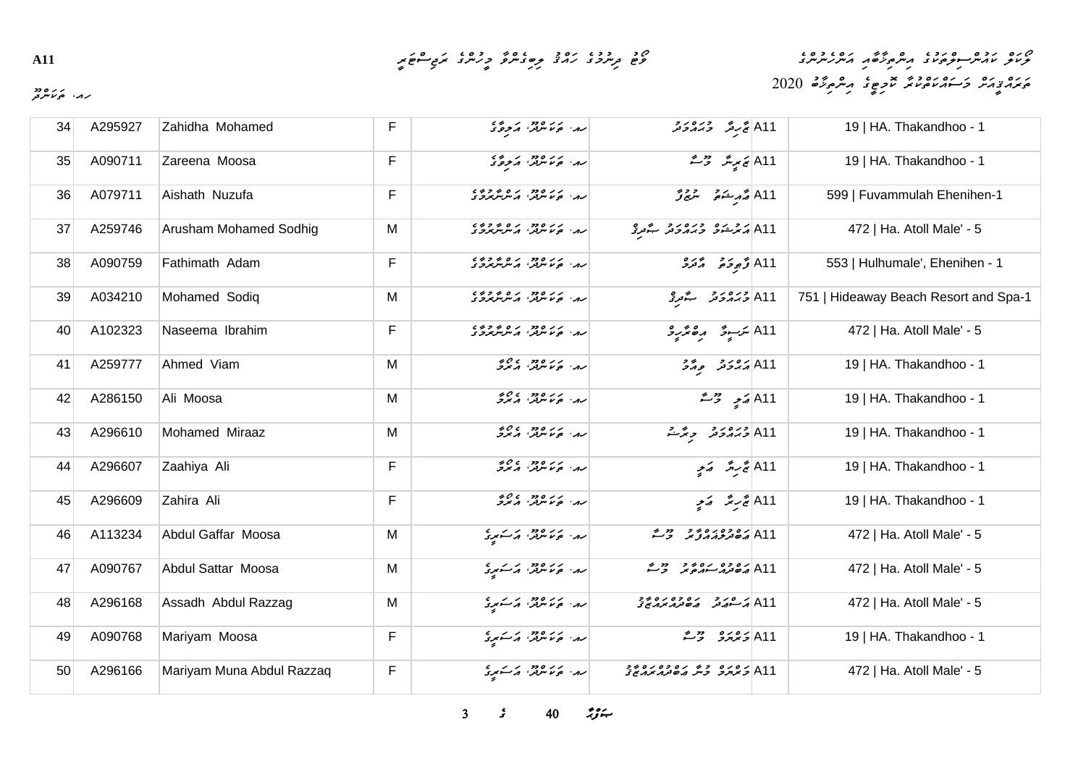*sCw7q7s5w7m< o<n9nOoAw7o< sCq;mAwBoEw7q<m; wBm;vB* م من المسجد المسجد المسجد المسجد المسجد العام 2020<br>مسجد المسجد المسجد المسجد المسجد المسجد المسجد المسجد المسجد ال

| 34 | A295927 | Zahidha Mohamed               | F            | رە بە ئەسرىتى، ئەبرەتمى                          | A11 تج ب <i>ِ</i> مَّد <i>ح</i> جبھ تحد | 19   HA. Thakandhoo - 1               |
|----|---------|-------------------------------|--------------|--------------------------------------------------|-----------------------------------------|---------------------------------------|
| 35 | A090711 | Zareena Moosa                 | F            | رد کوناسری کروی                                  | A11 کی مریٹر سمجنگ                      | 19   HA. Thakandhoo - 1               |
| 36 | A079711 | Aishath Nuzufa                | F            | ג גם כבן גם שיכש ב<br>גזרי המינית אלי המיניאנדיב | A11 مَدْمِرْ مَشْهَوَ مَسْبَعْ قَرْ     | 599   Fuvammulah Ehenihen-1           |
| 37 | A259746 | <b>Arusham Mohamed Sodhig</b> | M            | ر در ودور ده دوره<br>روسی مسرفران مسر شرحری      | A11 كەبىر شەك ئەسەر ئەر ئىسىر ئىسىر ئىس | 472   Ha. Atoll Male' - 5             |
| 38 | A090759 | Fathimath Adam                | $\mathsf{F}$ | رد وده ده دود .<br>رو، وباش د شرش در             | A11 وَّجِ دَمَ مَسَرَّدَ                | 553   Hulhumale', Ehenihen - 1        |
| 39 | A034210 | Mohamed Sodiq                 | M            | ג הנסח גם הקידורי<br>הגי קיעית הייתיית בצ        | A11 <i>ڈیز پروتر</i> ج <sup>و</sup> مری | 751   Hideaway Beach Resort and Spa-1 |
| 40 | A102323 | Naseema Ibrahim               | F            | גן פרדי גם דידים<br>גן יפעיתרי, גיינייניגבצ      | A11  سَرَسِودَ مِنْ صَحَرِدَةِ          | 472   Ha. Atoll Male' - 5             |
| 41 | A259777 | Ahmed Viam                    | M            | גג בעספר ביישוב<br>גגי פעיתנג' גיבר              | A11 كەنزىقر ب <i>و</i> گەنز             | 19   HA. Thakandhoo - 1               |
| 42 | A286150 | Ali Moosa                     | M            | גן פרד ביישוב<br>הזה יפיעיות ביישובי             | A11  رَمِ تَرْحَ                        | 19   HA. Thakandhoo - 1               |
| 43 | A296610 | Mohamed Miraaz                | M            | גו, הגסדה המיד<br>גו, הניתנה המיד                | A11  <i>وبزودوتر ج</i> گرشم             | 19   HA. Thakandhoo - 1               |
| 44 | A296607 | Zaahiya Ali                   | $\mathsf{F}$ | גג פניקה ביניק.<br>גגי פעיתה, גיגב               | A11 تج رِ بَرَ مَرْمٍ                   | 19   HA. Thakandhoo - 1               |
| 45 | A296609 | Zahira Ali                    | F            | גג בעספר ביישוב<br>גגי פעיתנג' גיבר              | A11 تج برتمر - <i>م</i> َج ِ            | 19   HA. Thakandhoo - 1               |
| 46 | A113234 | Abdul Gaffar Moosa            | M            | رد کا مرد وجه در کار د                           | A11 كەھەرمەرە بەر يېتىش                 | 472   Ha. Atoll Male' - 5             |
| 47 | A090767 | Abdul Sattar Moosa            | M            | رد کا مرده دو برگران                             | A11 كەھەر بەر ئەرگە ئەسىر               | 472   Ha. Atoll Male' - 5             |
| 48 | A296168 | Assadh Abdul Razzag           | M            | رە بە ئەھەر ئەسكەن                               | A11 كەشكەتىرى كەھە <i>ر ئەرگە</i> ئوق   | 472   Ha. Atoll Male' - 5             |
| 49 | A090768 | Mariyam Moosa                 | F            | رە بەر ەدە ئەسكىرى                               | A11 كەنگەر 3 تەسىر                      | 19   HA. Thakandhoo - 1               |
| 50 | A296166 | Mariyam Muna Abdul Razzaq     | F            | رد کا بالان اور در کار دی                        | A11 كەيمەر ئەرگە ئەھەرمەر دەرد          | 472   Ha. Atoll Male' - 5             |

**3** *3* **<b>***s* **40** *z <i>z*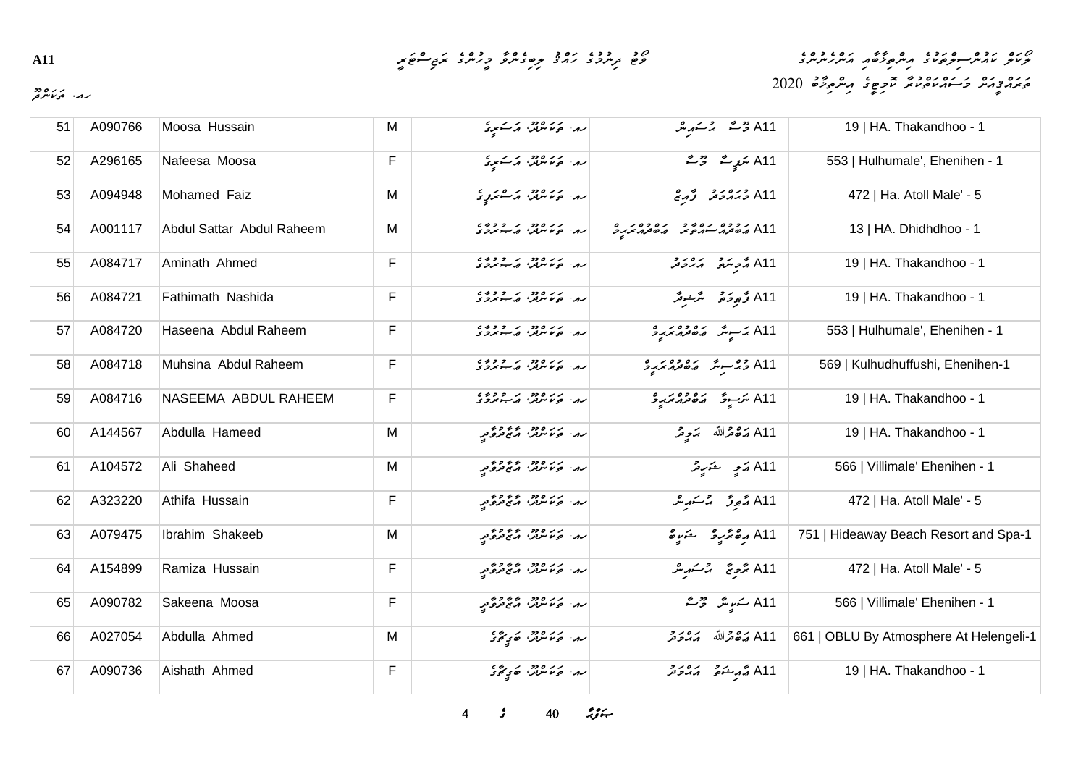*sCw7q7s5w7m< o<n9nOoAw7o< sCq;mAwBoEw7q<m; wBm;vB* م من المرة المرة المرة المرجع المرجع في المركبة 2020<br>مجم*د المريض المربوط المربع المرجع في المراجع المركبة* 

| 51 | A090766 | Moosa Hussain             | M            | رد. نوم مرفق کرکے ہوئ                                                                                                                                                                                                            | A11 تۇشە ب <sub>ە</sub> شىرىشە                 | 19   HA. Thakandhoo - 1                 |
|----|---------|---------------------------|--------------|----------------------------------------------------------------------------------------------------------------------------------------------------------------------------------------------------------------------------------|------------------------------------------------|-----------------------------------------|
| 52 | A296165 | Nafeesa Moosa             | F            | رە بە ئەھەدىي كەسكەندى                                                                                                                                                                                                           | A11 سَمِرٍ مُتَّة حُرْمَتْہ                    | 553   Hulhumale', Ehenihen - 1          |
| 53 | A094948 | Mohamed Faiz              | M            | رړ ورود تر شرور و                                                                                                                                                                                                                | A11 <i>وَبَرْدُوَ</i> تَرَ گَرَمَ مَحَ         | 472   Ha. Atoll Male' - 5               |
| 54 | A001117 | Abdul Sattar Abdul Raheem | M            | رد. و د دور د د د ده د                                                                                                                                                                                                           | A11 נככם נסמכ נסכם גם                          | 13   HA. Dhidhdhoo - 1                  |
| 55 | A084717 | Aminath Ahmed             | F            | ג פיני ג בבבי<br>גורי פיניתטי ג היישריב                                                                                                                                                                                          | A11 مَّ حِسَمَ مَ يَحْمَدُ                     | 19   HA. Thakandhoo - 1                 |
| 56 | A084721 | Fathimath Nashida         | $\mathsf{F}$ | رد. و در دور در دور<br>رد. و د سرفر، د سوبرو د                                                                                                                                                                                   | A11 <i>وَّجِ دَمَّة مَّرْسُ</i> ومَّ <i>رَ</i> | 19   HA. Thakandhoo - 1                 |
| 57 | A084720 | Haseena Abdul Raheem      | $\mathsf F$  |                                                                                                                                                                                                                                  | A11 ئەسمىدىر مەمەر <i>مەردى</i> كىر            | 553   Hulhumale', Ehenihen - 1          |
| 58 | A084718 | Muhsina Abdul Raheem      | $\mathsf{F}$ | رد و دور د دور                                                                                                                                                                                                                   | A11 جۇسىگە مەھ <i>ىرمىكى</i> رى                | 569   Kulhudhuffushi, Ehenihen-1        |
| 59 | A084716 | NASEEMA ABDUL RAHEEM      | $\mathsf F$  | ת מיטור ביטור ביטורי ביטור ביטור ביטור ביטור ביטור ביטור ביטור ביטור ביטור ביטור ביטור ביטור ביטור ביטור ביטור<br>המוריאים ביטור ביטור ביטור ביטור ביטור ביטור ביטור ביטור ביטור ביטור ביטור ביטור ביטור ביטור ביטור ביטור ביטור | A11 مَرْسِوَّرَ مَصْغَرْمُ مَرْرِقْ            | 19   HA. Thakandhoo - 1                 |
| 60 | A144567 | Abdulla Hameed            | M            | رد. ئەن سرچە ئەن دەپر                                                                                                                                                                                                            | A11 كەھەراللە كەرىمر                           | 19   HA. Thakandhoo - 1                 |
| 61 | A104572 | Ali Shaheed               | M            | رد. ئەن سرچە ئەن دەپر                                                                                                                                                                                                            | A11  كەمچە ھەرپىر                              | 566   Villimale' Ehenihen - 1           |
| 62 | A323220 | Athifa Hussain            | $\mathsf F$  | ردر ه دو در در در د                                                                                                                                                                                                              | A11 ۾ جو قريب جيڪو پيشر                        | 472   Ha. Atoll Male' - 5               |
| 63 | A079475 | Ibrahim Shakeeb           | M            | رد و دود. و و و و و د                                                                                                                                                                                                            | A11 مەھمگەر ئىس شەمەھ                          | 751   Hideaway Beach Resort and Spa-1   |
| 64 | A154899 | Ramiza Hussain            | $\mathsf F$  | رد و ده و د د د و د                                                                                                                                                                                                              | A11 بَرَّ <sub>حر</sub> يَّ بِرْسَهِ بِرْ      | 472   Ha. Atoll Male' - 5               |
| 65 | A090782 | Sakeena Moosa             | $\mathsf F$  | رد و دود. و و و و و د                                                                                                                                                                                                            | A11 سَرِیْر ڈیج ش                              | 566   Villimale' Ehenihen - 1           |
| 66 | A027054 | Abdulla Ahmed             | M            | מגי תמיית בין הי                                                                                                                                                                                                                 | A11 مَەھْتَراللە مَەرقىر                       | 661   OBLU By Atmosphere At Helengeli-1 |
| 67 | A090736 | Aishath Ahmed             | $\mathsf F$  | מגי המסתה בית בי                                                                                                                                                                                                                 | A11 مَگرمِسْتَمَعْ كَمَدْتَ مَدْ               | 19   HA. Thakandhoo - 1                 |

*r@w7m;mA .<5*

*4 s* 40 *i*<sub>s</sub> $\approx$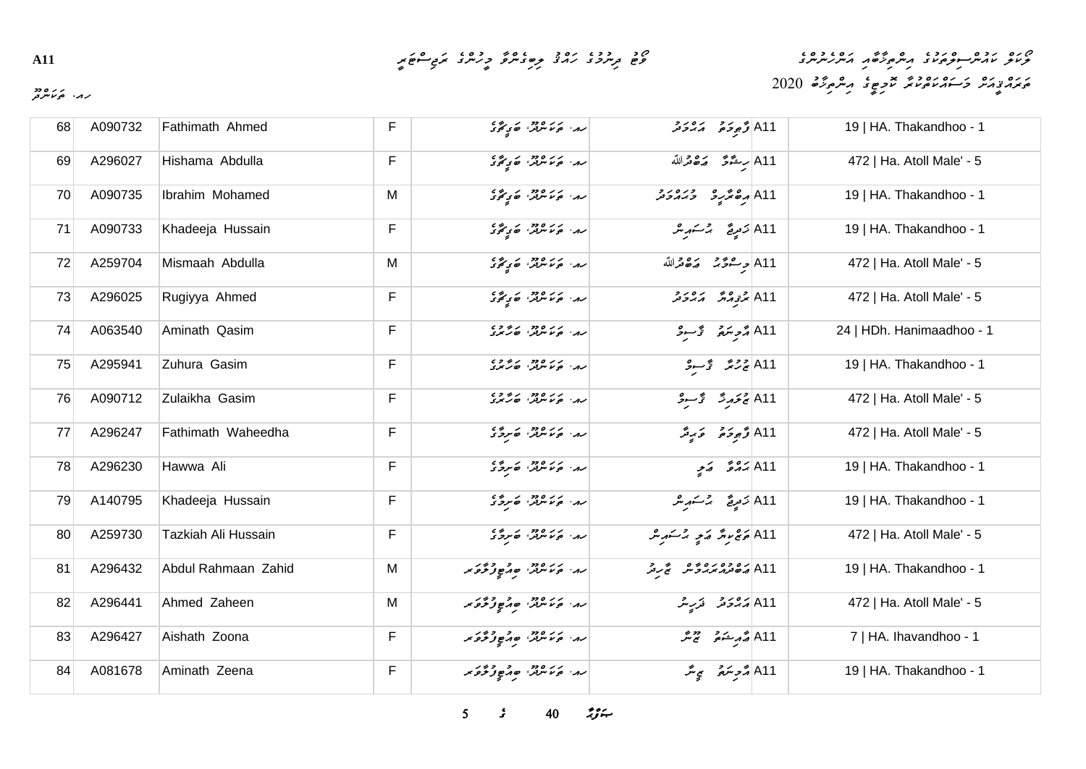*sCw7q7s5w7m< o<n9nOoAw7o< sCq;mAwBoEw7q<m; wBm;vB* م من المرة المرة المرة المرجع المرجع في المركبة 2020<br>مجم*د المريض المربوط المربع المرجع في المراجع المركبة* 

| 68 | A090732 | Fathimath Ahmed     | F           | מגי המסיתה בין המ                                                                                                                                                                                                                                                  | A11 <i>وَّجِ حَقَّ مَدْحَ</i> مَرْ        | 19   HA. Thakandhoo - 1   |
|----|---------|---------------------|-------------|--------------------------------------------------------------------------------------------------------------------------------------------------------------------------------------------------------------------------------------------------------------------|-------------------------------------------|---------------------------|
| 69 | A296027 | Hishama Abdulla     | F           | תגי תנוסר בית בי                                                                                                                                                                                                                                                   | A11 سِتْتَمَرَّ <mark>صَرَّدَ</mark> للهَ | 472   Ha. Atoll Male' - 5 |
| 70 | A090735 | Ibrahim Mohamed     | M           | תגי תני תני של אבל                                                                                                                                                                                                                                                 | A11 مەھمگىرى ئەممەدىر                     | 19   HA. Thakandhoo - 1   |
| 71 | A090733 | Khadeeja Hussain    | F           |                                                                                                                                                                                                                                                                    | A11  تزمیرتھ ۔ پڑے پر بٹر                 | 19   HA. Thakandhoo - 1   |
| 72 | A259704 | Mismaah Abdulla     | M           | תגי תני תני של אבל                                                                                                                                                                                                                                                 | A11 وِسْعَوَّثْرَ صَدَّوْرَاللّه          | 472   Ha. Atoll Male' - 5 |
| 73 | A296025 | Rugiyya Ahmed       | F           | رد و موسرود د ده و                                                                                                                                                                                                                                                 | A11 برت <sub>و</sub> مه په کارونو ک       | 472   Ha. Atoll Male' - 5 |
| 74 | A063540 | Aminath Qasim       | F           | תגי המיתר היי כל                                                                                                                                                                                                                                                   | A11 مَّ حِسَمَ تَحْ سِوْ                  | 24   HDh. Hanimaadhoo - 1 |
| 75 | A295941 | Zuhura Gasim        | F           | $\begin{array}{cc} 0.75000 & 0.750000 \\ 0.75000 & 0.7500000 & 0.750000 & 0.75000 & 0.75000 & 0.75000 & 0.7500 & 0.7500 & 0.7500 & 0.7500 & 0.7500 & 0.7500 & 0.7500 & 0.7500 & 0.7500 & 0.7500 & 0.7500 & 0.7500 & 0.7500 & 0.7500 & 0.7500 & 0.7500 & 0.7500 & $ | A11 ج ح مج سمج سه مح                      | 19   HA. Thakandhoo - 1   |
| 76 | A090712 | Zulaikha Gasim      | F           | $\frac{1}{2}$                                                                                                                                                                                                                                                      | A11 ىج تزەرىش - تۇسىرى                    | 472   Ha. Atoll Male' - 5 |
| 77 | A296247 | Fathimath Waheedha  | F           | מגי תמיתה שינכל                                                                                                                                                                                                                                                    | A11 وَّجِوَدَةٌ وَرِيْدٌ                  | 472   Ha. Atoll Male' - 5 |
| 78 | A296230 | Hawwa Ali           | F           | מגי ת' מיתבל בינבי                                                                                                                                                                                                                                                 | A11 يَرْدُمَّ کَمَ مِ                     | 19   HA. Thakandhoo - 1   |
| 79 | A140795 | Khadeeja Hussain    | F           | מגי המסתבי התפי                                                                                                                                                                                                                                                    | A11 كَتَعِيقٌ مَحْرَ سَبَرِ مِثْرَ        | 19   HA. Thakandhoo - 1   |
| 80 | A259730 | Tazkiah Ali Hussain | $\mathsf F$ | ת יש מיות בילי                                                                                                                                                                                                                                                     | A11 <sub>ح</sub> وچ پر پڑھ پر پر شمبر پر  | 472   Ha. Atoll Male' - 5 |
| 81 | A296432 | Abdul Rahmaan Zahid | M           | את מניסור בית בינית                                                                                                                                                                                                                                                | A11 مەھ <i>رىدى</i> بۇ ئىم بۇرى <i>تى</i> | 19   HA. Thakandhoo - 1   |
| 82 | A296441 | Ahmed Zaheen        | M           | ת הי מי ייצי בית ביציע                                                                                                                                                                                                                                             | A11 كەبۇ <i>52 نۇپ</i> رىتر               | 472   Ha. Atoll Male' - 5 |
| 83 | A296427 | Aishath Zoona       | F           | ת הי מי ייצאי בית ביציע את                                                                                                                                                                                                                                         | A11 مەم شەم ئىم ئىم                       | 7   HA. Ihavandhoo - 1    |
| 84 | A081678 | Aminath Zeena       | $\mathsf F$ | ת הי מי ייצי בית ביציע                                                                                                                                                                                                                                             | A11  مَّرْسَعْهُ بِهِ مَّر                | 19   HA. Thakandhoo - 1   |

 $5$   $5$   $40$   $75$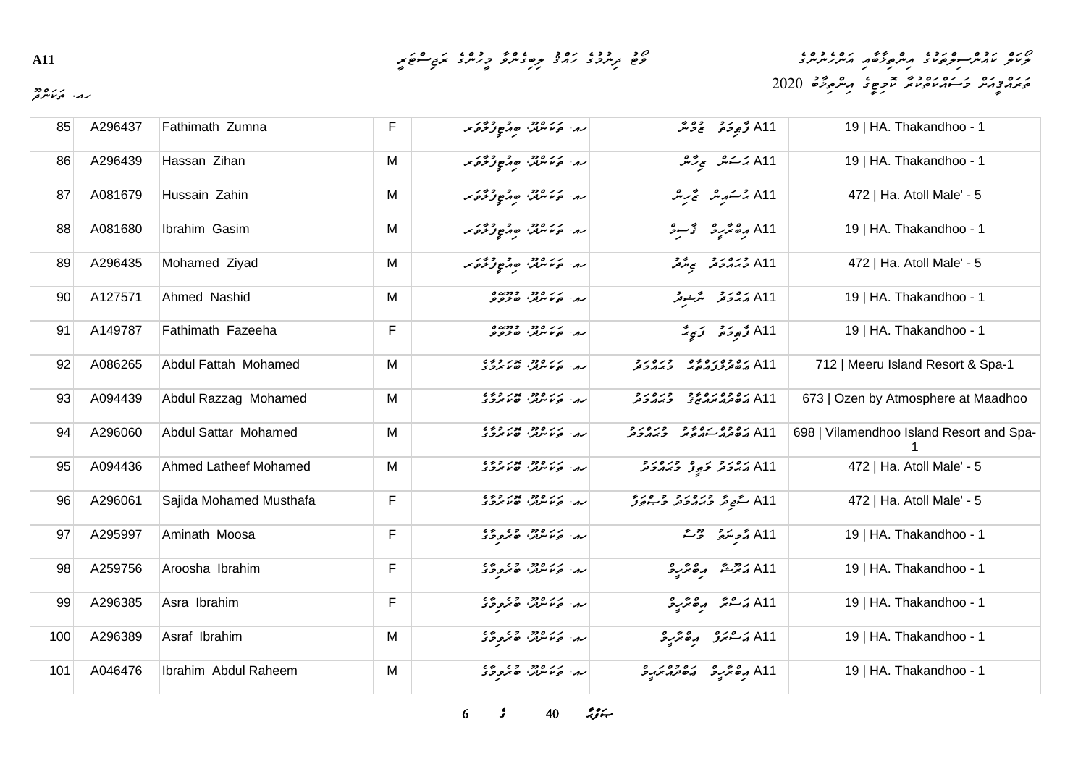*sCw7q7s5w7m< o<n9nOoAw7o< sCq;mAwBoEw7q<m; wBm;vB* م من المرة المرة المرة المرجع المرجع في المركبة 2020<br>مجم*د المريض المربوط المربع المرجع في المراجع المركبة* 

| 85  | A296437 | Fathimath Zumna         | F | ת הי מילי בי הפיצעי                                                                                           | A11 ۇ <sub>ج</sub> وڭ ئىمىگە                     | 19   HA. Thakandhoo - 1                  |
|-----|---------|-------------------------|---|---------------------------------------------------------------------------------------------------------------|--------------------------------------------------|------------------------------------------|
| 86  | A296439 | Hassan Zihan            | M | ת היי תו יותר וביות היי ליות ביות היי היי ליות ביות היי ליות ביות היי ליות ביות היי ליות ביות היי ליות ביות ה | A11   پرسترس پے رشمہ                             | 19   HA. Thakandhoo - 1                  |
| 87  | A081679 | Hussain Zahin           | M | ת הי מיתה ביקללטי                                                                                             | A11 بڑے پر بھ گچ پ                               | 472   Ha. Atoll Male' - 5                |
| 88  | A081680 | Ibrahim Gasim           | M | رړ ور دوه ده ووځ دی.                                                                                          | A11 مەھمىر ئۇسۇ                                  | 19   HA. Thakandhoo - 1                  |
| 89  | A296435 | Mohamed Ziyad           | M | ת הי מי יותר ובי מתפוציפית                                                                                    | A11 <i>5 پروژ پر م</i> ورگر                      | 472   Ha. Atoll Male' - 5                |
| 90  | A127571 | Ahmed Nashid            | M | ג ג סרק 170 של<br>ג ה' קיש ייתר שי <i>יצי</i> פ                                                               | A11 كەش <b>رىقى س</b> ىھىدىتى                    | 19   HA. Thakandhoo - 1                  |
| 91  | A149787 | Fathimath Fazeeha       | F | ג ג ס כב - כבבה ם<br>ג ה - קיש ייקרת - סי <i>יב</i> פיפ                                                       | A11 وَّجِرَة وَيِ"د                              | 19   HA. Thakandhoo - 1                  |
| 92  | A086265 | Abdul Fattah Mohamed    | M |                                                                                                               | A11 كەھ دەرە بوھ بەر بەر دىر د                   | 712   Meeru Island Resort & Spa-1        |
| 93  | A094439 | Abdul Razzag Mohamed    | M | גג פיר איני ביירי<br>גג פינייקט שיואקציב                                                                      | A11 كەھەممەر قاير تەرىپ ج                        | 673   Ozen by Atmosphere at Maadhoo      |
| 94  | A296060 | Abdul Sattar Mohamed    | M | ג פרק מגרפי                                                                                                   | A11 كەھەركە مەھەم ئەرگەر ئور                     | 698   Vilamendhoo Island Resort and Spa- |
| 95  | A094436 | Ahmed Latheef Mohamed   | M | ג פרק מגרפי                                                                                                   | A11 كەبۇر <i>قەبەلى بەرەر د</i>                  | 472   Ha. Atoll Male' - 5                |
| 96  | A296061 | Sajida Mohamed Musthafa | F | ת מיטרה מינים בין<br>מרי קישיית שיותכצ                                                                        | A11 گوټگ وره د و و ورځ                           | 472   Ha. Atoll Male' - 5                |
| 97  | A295997 | Aminath Moosa           | F |                                                                                                               | A11 مَّ حِسَمَ حَمَّ حَ                          | 19   HA. Thakandhoo - 1                  |
| 98  | A259756 | Aroosha Ibrahim         | F | גג סמי כן כן כן<br>הגי פנו ייתה שיתפרב                                                                        | A11 كەنترىش مەھەردى<br>A11                       | 19   HA. Thakandhoo - 1                  |
| 99  | A296385 | Asra Ibrahim            | F | גן פרק כמו שירות.<br>הגיו פינוייקטי שינקיפיב                                                                  | A11 كەسىمى <i>گە مەھەتگەي</i> ى                  | 19   HA. Thakandhoo - 1                  |
| 100 | A296389 | Asraf Ibrahim           | M | ת תי מית כי יינו                                                                                              | A11 كەستىمىز ب <i>ەھت</i> رىيى                   | 19   HA. Thakandhoo - 1                  |
| 101 | A046476 | Ibrahim Abdul Raheem    | M | גג פרק כפי פי                                                                                                 | A11 مەھزىرى مەمەمدىرى<br>A11 مەھزىرى مەمەمدىرىرى | 19   HA. Thakandhoo - 1                  |

*6 sC 40 nNw?mS*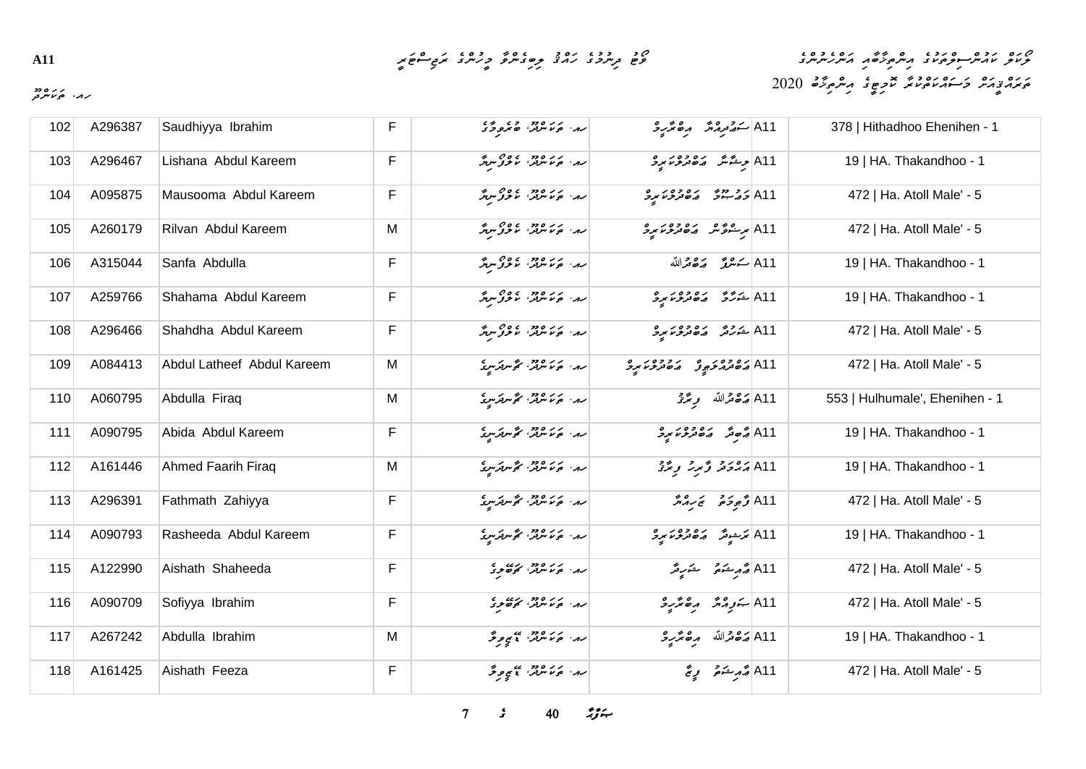*sCw7q7s5w7m< o<n9nOoAw7o< sCq;mAwBoEw7q<m; wBm;vB* م من المرة المرة المرة المرجع المرجع في المركبة 2020<br>مجم*د المريض المربوط المربع المرجع في المراجع المركبة* 

| 102 | A296387 | Saudhiyya Ibrahim          | $\mathsf F$  | رد ور دود و د و د                                    | A11 سەھەمەھەم مەھەمگەبەدى                                                                                                                                                                                                      | 378   Hithadhoo Ehenihen - 1   |
|-----|---------|----------------------------|--------------|------------------------------------------------------|--------------------------------------------------------------------------------------------------------------------------------------------------------------------------------------------------------------------------------|--------------------------------|
| 103 | A296467 | Lishana Abdul Kareem       | F            | رد کا سرچين مانور سرگر                               | A11 مِسْتَمَّرَ رَەمْدَمْدَىر                                                                                                                                                                                                  | 19   HA. Thakandhoo - 1        |
| 104 | A095875 | Mausooma Abdul Kareem      | $\mathsf{F}$ | رد ورود ووه وه ورځ                                   | A11 زَوْسِيْرَ مِنْ مِنْ مِرْدِمْ مِرْدَ                                                                                                                                                                                       | 472   Ha. Atoll Male' - 5      |
| 105 | A260179 | Rilvan Abdul Kareem        | M            | رد وروده ووه میگی                                    | A11 برشۇش ھەمز <i>ومى</i> رو                                                                                                                                                                                                   | 472   Ha. Atoll Male' - 5      |
| 106 | A315044 | Sanfa Abdulla              | F            | رد وروده ووه میگی                                    | A11 كەشرىق <b>كەنجاللە</b>                                                                                                                                                                                                     | 19   HA. Thakandhoo - 1        |
| 107 | A259766 | Shahama Abdul Kareem       | $\mathsf F$  | גו בני הכל הפרי הל                                   | A11 خەرج مەھىر <i>ومى</i> رو                                                                                                                                                                                                   | 19   HA. Thakandhoo - 1        |
| 108 | A296466 | Shahdha Abdul Kareem       | F            | ת הן פרד בסקס היות.<br>הנה הם מיטורים מיטור בריטורים | A11 خەرقە بەھەر <i>ومى</i> بىر <i>ى</i>                                                                                                                                                                                        | 472   Ha. Atoll Male' - 5      |
| 109 | A084413 | Abdul Latheef Abdul Kareem | M            | روس و در ۵۶۵ کم سوټرسری                              | A11 בספת בית כסיבת בית הסתיב בית הביריק בית היידיק בית היידיק בית היידיק בית היידיק בית היידיק בית היידיק בית<br>היידיק בית היידיק בית היידיק בית היידיק בית היידיק בית היידיק בית היידיק בית היידיק בית היידיק בית היידיק בית | 472   Ha. Atoll Male' - 5      |
| 110 | A060795 | Abdulla Firaq              | M            | رو. و <i>کا مرکز، گو موبر مو</i> ر                   | A11 صَرْحَ مِرْ اللّه مَ مِرَّتَمَ                                                                                                                                                                                             | 553   Hulhumale', Ehenihen - 1 |
| 111 | A090795 | Abida Abdul Kareem         | F            | روست والمعرفين المحاسوقة سرير                        | A11 مَّ صِعَّر   مَصْعَرْ حَرَّمَ مَرِ حَ                                                                                                                                                                                      | 19   HA. Thakandhoo - 1        |
| 112 | A161446 | Ahmed Faarih Firaq         | M            | رو وروده گرسترس                                      |                                                                                                                                                                                                                                | 19   HA. Thakandhoo - 1        |
| 113 | A296391 | Fathmath Zahiyya           | F            | روس و مسرور استمریکی                                 | A11 وَجوحَع بِمَ يَرْمُدَّ                                                                                                                                                                                                     | 472   Ha. Atoll Male' - 5      |
| 114 | A090793 | Rasheeda Abdul Kareem      | F            | روس و مسرور استمریکی                                 | A11 ىزىنېدى <i>گە ھەھەرى م</i> رى                                                                                                                                                                                              | 19   HA. Thakandhoo - 1        |
| 115 | A122990 | Aishath Shaheeda           | F            | رد ور دود دده د                                      | A11 مَدْمِ حَشَمَتْ مَسَمَّدِ مَّدْ                                                                                                                                                                                            | 472   Ha. Atoll Male' - 5      |
| 116 | A090709 | Sofiyya Ibrahim            | $\mathsf F$  | 5901101010                                           | A11 بەرەپۇ مەھرىپى                                                                                                                                                                                                             | 472   Ha. Atoll Male' - 5      |
| 117 | A267242 | Abdulla Ibrahim            | M            | رړ ور دوه په پوځ                                     | A11  رَجْعَةْ اللّه مِرْجَعَّدِ وَ                                                                                                                                                                                             | 19   HA. Thakandhoo - 1        |
| 118 | A161425 | Aishath Feeza              | F            | رړ ور ده په پوځ                                      | A11 ۾ پرڪنمر پيءَ                                                                                                                                                                                                              | 472   Ha. Atoll Male' - 5      |

*7 sC 40 nNw?mS*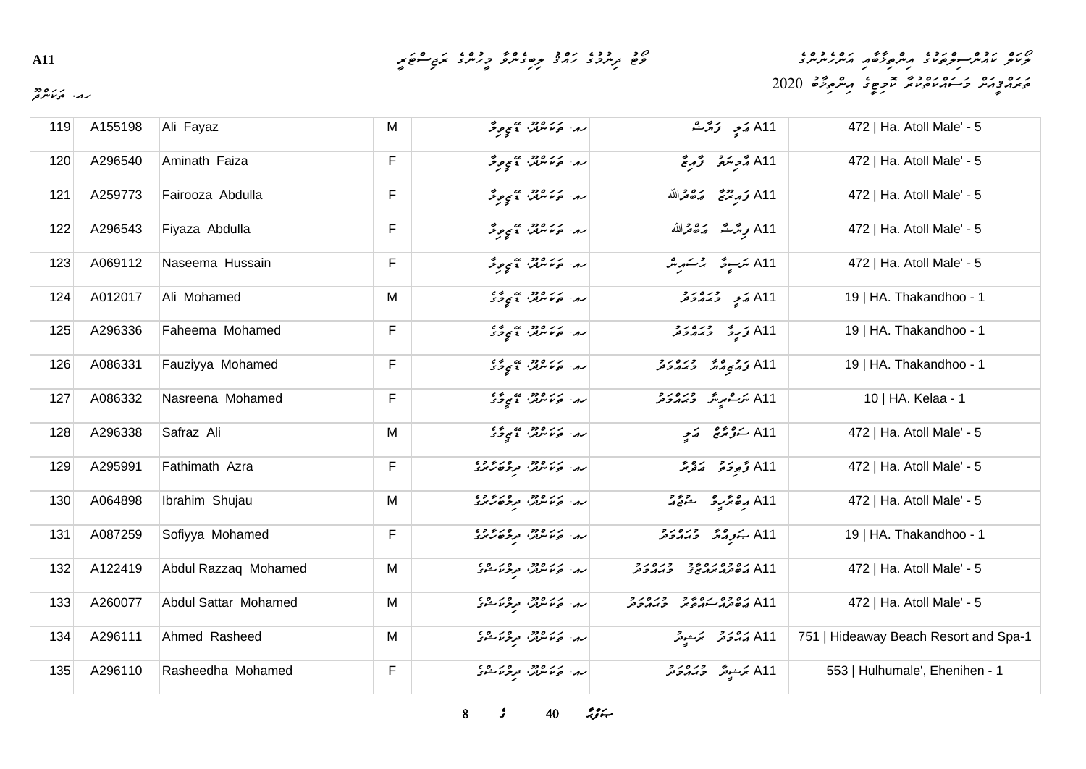*sCw7q7s5w7m< o<n9nOoAw7o< sCq;mAwBoEw7q<m; wBm;vB* م من المرة المرة المرة المرجع المرجع في المركبة 2020<br>مجم*د المريض المربوط المربع المرجع في المراجع المركبة* 

| 119 | A155198 | Ali Fayaz            | M           | رړ ور دوه په پوځه                                                                                | A11 كەمچە    توڭرىشە                          | 472   Ha. Atoll Male' - 5             |
|-----|---------|----------------------|-------------|--------------------------------------------------------------------------------------------------|-----------------------------------------------|---------------------------------------|
| 120 | A296540 | Aminath Faiza        | F           | رړ ورمين ځمومځ                                                                                   | A11 مَّ حِسَمَة قَدْمِ تَحَ                   | 472   Ha. Atoll Male' - 5             |
| 121 | A259773 | Fairooza Abdulla     | F           | رە، ئۇ ئاس قايلى ئاس قايلاش                                                                      | A11 قرم يتزيج محركة مقرالله                   | 472   Ha. Atoll Male' - 5             |
| 122 | A296543 | Fiyaza Abdulla       | F           | رە، ئۇيغانلىق ئاسى بوڭر                                                                          | A11 مرتمریحہ ک <i>ے پ</i> ھ قمراللہ           | 472   Ha. Atoll Male' - 5             |
| 123 | A069112 | Naseema Hussain      | $\mathsf F$ | رە، ئۇيۇشقۇق ئاي ئۆلگە                                                                           | A11 سَرَسِودَ - بُرْسَهرِ سُرْ                | 472   Ha. Atoll Male' - 5             |
| 124 | A012017 | Ali Mohamed          | M           | رړ ور ده ده په وه                                                                                | A11 <i>ڇَجِ - 12555</i>                       | 19   HA. Thakandhoo - 1               |
| 125 | A296336 | Faheema Mohamed      | F           | رړ ور دوه ده وه                                                                                  | A11 تۇرپۇ ئە <i>مەدەت</i> ر                   | 19   HA. Thakandhoo - 1               |
| 126 | A086331 | Fauziyya Mohamed     | F           | رړ ور ده ده په وه                                                                                | A11 زَرَّم پر پر دِمَر دَر                    | 19   HA. Thakandhoo - 1               |
| 127 | A086332 | Nasreena Mohamed     | F           | $\begin{pmatrix} 1 & 1 & 1 & 1 \\ 1 & 1 & 1 & 1 \\ 1 & 1 & 1 & 1 \\ 1 & 1 & 1 & 1 \end{pmatrix}$ | A11 ىزىشمىرى <i>گە خەندە د</i> و              | 10   HA. Kelaa - 1                    |
| 128 | A296338 | Safraz Ali           | M           | رړ ور ده ده په وه                                                                                | A11 ڪونگيھ صَعِي                              | 472   Ha. Atoll Male' - 5             |
| 129 | A295991 | Fathimath Azra       | $\mathsf F$ | ر در ۵۶۵ ورو و در<br>رو ۰ و د سربر ٬ در و در در                                                  | A11 تَ <i>مج</i> وحَ <sup>مِ</sup> صَغَرتَمَّ | 472   Ha. Atoll Male' - 5             |
| 130 | A064898 | Ibrahim Shujau       | M           | رد و ده دو.<br>رو و ما سرفر ا فرخه مرس                                                           | A11 مەھەرىپ ھەمقەر                            | 472   Ha. Atoll Male' - 5             |
| 131 | A087259 | Sofiyya Mohamed      | F           | ر در ۲۵ در ۲۶۵ ورو و ۲<br>رو کوم سربر افراد ۱۵ در                                                | A11 بەرەپۇر ئەيرە ئەر                         | 19   HA. Thakandhoo - 1               |
| 132 | A122419 | Abdul Razzaq Mohamed | M           | رد به دود وه ده د                                                                                | A11 كەھەرمەم كەن ئەر ئەر ئىر                  | 472   Ha. Atoll Male' - 5             |
| 133 | A260077 | Abdul Sattar Mohamed | M           | رړ وره ده پرور ده                                                                                | A11 رەپەر سەھ بەر بەر دېر                     | 472   Ha. Atoll Male' - 5             |
| 134 | A296111 | Ahmed Rasheed        | M           | رد به دود.<br>روسی ما سربل، فرقوما شوی                                                           | A11 كەردى كى سىر ئىرىدىگە                     | 751   Hideaway Beach Resort and Spa-1 |
| 135 | A296110 | Rasheedha Mohamed    | F           | رړ ورود پرور ده                                                                                  | A11 بَرَسْدٍتَر   وَبَرَ وَوَتَر              | 553   Hulhumale', Ehenihen - 1        |

## *r@w7m;mA .<5*

**8** *s* **40** *rg***</u></u>**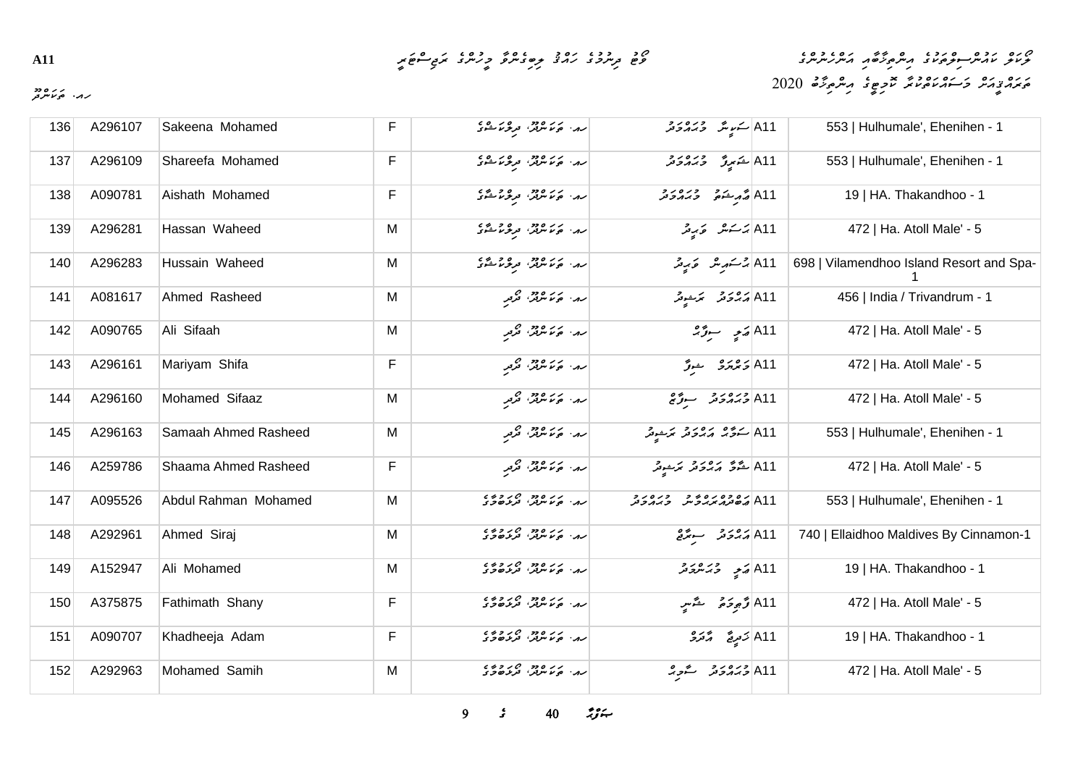*sCw7q7s5w7m< o<n9nOoAw7o< sCq;mAwBoEw7q<m; wBm;vB* م من المرة المرة المرة المرجع المرجع في المركبة 2020<br>مجم*د المريض المربوط المربع المرجع في المراجع المركبة* 

| 136 | A296107 | Sakeena Mohamed      | F           | رړ ور ده پرور ده                                 | A11 سَمَدٍ مَدَّ دَبَرُ دُبَرُ دَبَر          | 553   Hulhumale', Ehenihen - 1           |
|-----|---------|----------------------|-------------|--------------------------------------------------|-----------------------------------------------|------------------------------------------|
| 137 | A296109 | Shareefa Mohamed     | F           | رە بەر ەدە بەر ەر                                | A11 خەمرى <sup>ت</sup> ە <i>مەم</i> ەر تە     | 553   Hulhumale', Ehenihen - 1           |
| 138 | A090781 | Aishath Mohamed      | $\mathsf F$ | رە ئەر ەدە بەر ئەر ئەر                           | A11 مُهرِسْدَمُ وَبَرْدُونَرْ                 | 19   HA. Thakandhoo - 1                  |
| 139 | A296281 | Hassan Waheed        | M           | رد کا سرفار و د د د کا                           | A11   پرسترس ت <i>ح پ</i> ر تر                | 472   Ha. Atoll Male' - 5                |
| 140 | A296283 | Hussain Waheed       | M           | ردر ودود. مورد دور                               | A11  پر <i>کنه بند</i> کا پر تمر              | 698   Vilamendhoo Island Resort and Spa- |
| 141 | A081617 | Ahmed Rasheed        | M           | رە بە ئەس بەر ئە                                 | A11 كەرگە كىم بىر ئىسىدىتر                    | 456   India / Trivandrum - 1             |
| 142 | A090765 | Ali Sifaah           | M           | رە بە ئەس بۇر ئەتىر                              | A11  رَمِ بِ سِوَّرْ                          | 472   Ha. Atoll Male' - 5                |
| 143 | A296161 | Mariyam Shifa        | $\mathsf F$ | رد کار مادود می                                  | A11 كەنگەنزى ھەر                              | 472   Ha. Atoll Male' - 5                |
| 144 | A296160 | Mohamed Sifaaz       | M           | رد کا کارود می                                   | A11 <i>دېزونه سوگ</i> ې                       | 472   Ha. Atoll Male' - 5                |
| 145 | A296163 | Samaah Ahmed Rasheed | M           | رە بە ئەس بەر ئە                                 | A11 كەنۋە كەردە كەندىق                        | 553   Hulhumale', Ehenihen - 1           |
| 146 | A259786 | Shaama Ahmed Rasheed | $\mathsf F$ | رد کا کار دود. جی                                | A11 خَبْرَنَّ     يَرْدُونَّرَ   يَرَسْبِيْرَ | 472   Ha. Atoll Male' - 5                |
| 147 | A095526 | Abdul Rahman Mohamed | M           | גג סדר הגפיש<br>גגי פעיתה, הגפיש                 | A11 كەھەرمەرە بور بەربەر د                    | 553   Hulhumale', Ehenihen - 1           |
| 148 | A292961 | Ahmed Siraj          | M           | ر در ۵۶۵ هجر و ۵۶<br>روس و ما سرفر افراد ۲۵۵ و ی | A11 كەبرى قىرىقىسى ئىقى                       | 740   Ellaidhoo Maldives By Cinnamon-1   |
| 149 | A152947 | Ali Mohamed          | M           | ر د ه ده.<br>رو ۰ و ما سربر ۰ تر د ن و د و       | A11   كەمچە - ئەكىرى ئىرىكە ئىر               | 19   HA. Thakandhoo - 1                  |
| 150 | A375875 | Fathimath Shany      | F           | ر ر د ده ه د د د د د<br>ر پر و د سربر کرده و د   | A11 <i>وَّجِودَة</i> شَمَّىبِ                 | 472   Ha. Atoll Male' - 5                |
| 151 | A090707 | Khadheeja Adam       | $\mathsf F$ | ر ر ه دو ه د و د و<br>ر پر و ما سربر او د و و ی  | A11  كَتْمِيعٌ - مُرَّمَرُو                   | 19   HA. Thakandhoo - 1                  |
| 152 | A292963 | Mohamed Samih        | M           | ر د ده ده مرده د<br>رو نوم سربر، ترتون و د       | A11 <i>وبروبروتر سگ</i> وبر                   | 472   Ha. Atoll Male' - 5                |

*9 sC 40 nNw?mS*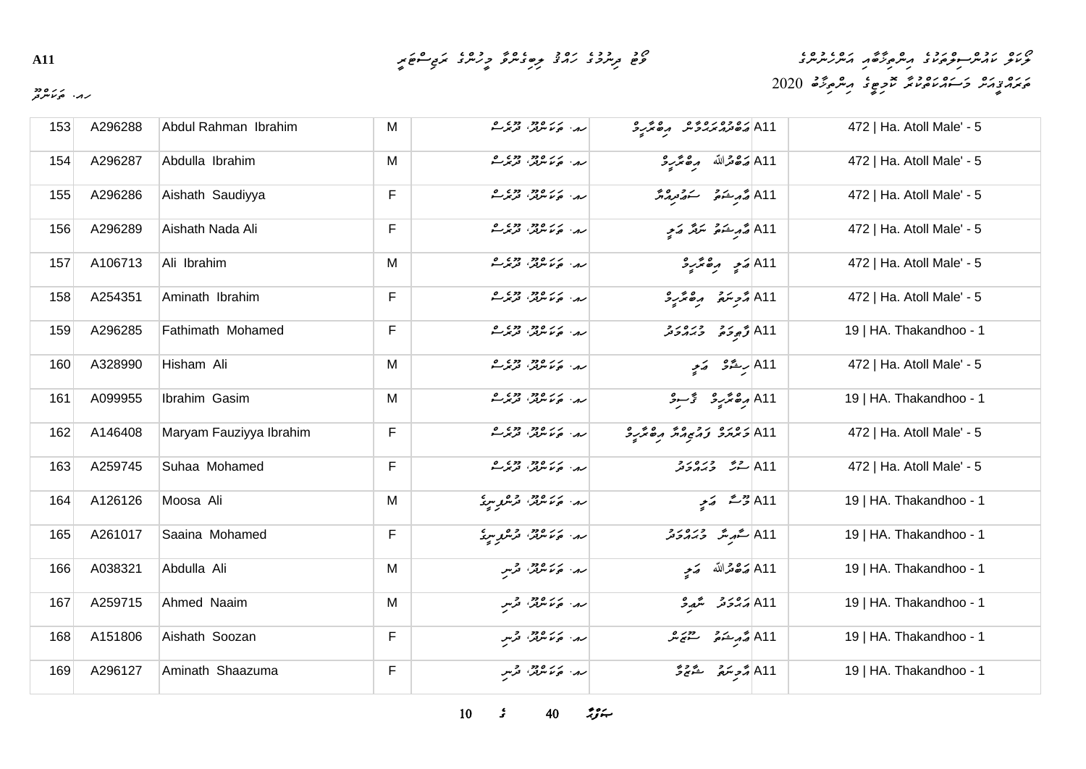*sCw7q7s5w7m< o<n9nOoAw7o< sCq;mAwBoEw7q<m; wBm;vB* م من المرة المرة المرة المرجع المرجع في المركبة 2020<br>مجم*د المريض المربوط المربع المرجع في المراجع المركبة* 

| 153 | A296288 | Abdul Rahman Ibrahim    | M           | ת ה' ה' מינה " מינה".<br>הה י" ה' מינה " מינה"           | A11 رەمەرەپرىگە بەھگەرى                   | 472   Ha. Atoll Male' - 5 |
|-----|---------|-------------------------|-------------|----------------------------------------------------------|-------------------------------------------|---------------------------|
| 154 | A296287 | Abdulla Ibrahim         | M           | גן הרסיפי כבר כ<br>הראו המיתלתי להזק                     | A11 كەھىراللە م <i>ەھترى</i> 3            | 472   Ha. Atoll Male' - 5 |
| 155 | A296286 | Aishath Saudiyya        | F           | رړ ور دو دوه ور ه                                        | A11 مَّ مِثَوَّمٍ مَسَوَّمِهِ مَّ         | 472   Ha. Atoll Male' - 5 |
| 156 | A296289 | Aishath Nada Ali        | $\mathsf F$ | رړ ور دوه دوی ه                                          | A11 مَگرمِسْتَمَرِّ سَمَّرَ مَرَمِّ       | 472   Ha. Atoll Male' - 5 |
| 157 | A106713 | Ali Ibrahim             | M           | הה ו בין פרד ובגם.<br>הה ו פינו יותרה ו בקיבל ה          | A11 <i>ړې د هغ</i> ريځ                    | 472   Ha. Atoll Male' - 5 |
| 158 | A254351 | Aminath Ibrahim         | F           | קק בע מדי דודים.<br>קה המיתונק ובוקב                     | A11 مُّحِسَمُ مِنْ مِنْ مِنْ الْمَسْرِدُّ | 472   Ha. Atoll Male' - 5 |
| 159 | A296285 | Fathimath Mohamed       | F           | הה - הן סכר - כרב ס<br>הה - הן מקבה - בקובה -            | A11 وَجِوحَة فَرَحْدَ قَرْ                | 19   HA. Thakandhoo - 1   |
| 160 | A328990 | Hisham Ali              | M           | קק בין הכבר כבין כי<br>קה היו מתבקי בקיב <sub>ו</sub> בי | A11 بەشقى كەم <u>و</u>                    | 472   Ha. Atoll Male' - 5 |
| 161 | A099955 | Ibrahim Gasim           | M           | ת היי המיתה ירושים.<br>ההיי המיתה והיה ב                 | A11 مەھمىر ئۇسۇ                           | 19   HA. Thakandhoo - 1   |
| 162 | A146408 | Maryam Fauziyya Ibrahim | F           | رړ ور ور ده ده و                                         | A11 كەمەم ئەرقىم بەرگە بەھەمگەر 2         | 472   Ha. Atoll Male' - 5 |
| 163 | A259745 | Suhaa Mohamed           | $\mathsf F$ |                                                          | A11 يرمج وبرە دىر                         | 472   Ha. Atoll Male' - 5 |
| 164 | A126126 | Moosa Ali               | M           | رد. ورود ووريد                                           | A11  تخریجہ تھ ج                          | 19   HA. Thakandhoo - 1   |
| 165 | A261017 | Saaina Mohamed          | F           | رر ورود وور                                              | A11 گەرىگە ئەممەد تەر                     | 19   HA. Thakandhoo - 1   |
| 166 | A038321 | Abdulla Ali             | M           | رە ئەر ئەرەدە ئەس                                        | A11 كەڭداللە كەمچ                         | 19   HA. Thakandhoo - 1   |
| 167 | A259715 | Ahmed Naaim             | M           | رد و دیگرود و بر                                         | A11 كەبرى تىر ئىگە ئى                     | 19   HA. Thakandhoo - 1   |
| 168 | A151806 | Aishath Soozan          | F           | رد و دیگر در د                                           | A11 مەم شەم ئىسىم مىر                     | 19   HA. Thakandhoo - 1   |
| 169 | A296127 | Aminath Shaazuma        | F           | رە بە ئەس ئۇنى ئەس                                       | A11 أَرَّحِ سَمَعَ شَمَعَ حَ              | 19   HA. Thakandhoo - 1   |

*10 sC 40 nNw?mS*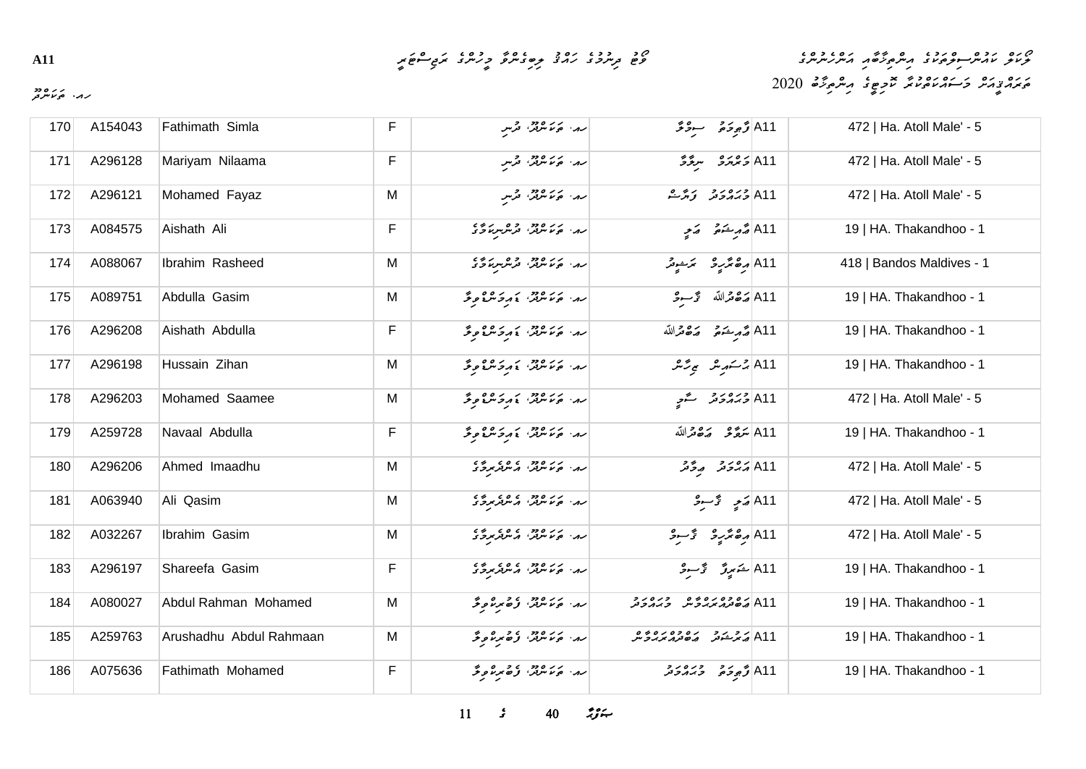*sCw7q7s5w7m< o<n9nOoAw7o< sCq;mAwBoEw7q<m; wBm;vB* م من المرة المرة المرة المرجع المرجع في المركبة 2020<br>مجم*د المريض المربوط المربع المرجع في المراجع المركبة* 

| 170 | A154043 | Fathimath Simla         | F            | رە بەر ئەرەدە ب               | A11 زَّجِ دَمَّةَ مَّ سِرْدَةَ َ          | 472   Ha. Atoll Male' - 5 |
|-----|---------|-------------------------|--------------|-------------------------------|-------------------------------------------|---------------------------|
| 171 | A296128 | Mariyam Nilaama         | F            | رە ئەس ئەرەم ئەس              | A11 كەبىرى ھەرگە ئى                       | 472   Ha. Atoll Male' - 5 |
| 172 | A296121 | Mohamed Fayaz           | M            | رد و دیگر در د                | A11 <i>ۋېزونز ۆپژ</i> ىئە                 | 472   Ha. Atoll Male' - 5 |
| 173 | A084575 | Aishath Ali             | F            | رد. و ما سرفر، فرس سرور       | A11 مَگهرِ شَمَعَ مَگرِ ج                 | 19   HA. Thakandhoo - 1   |
| 174 | A088067 | Ibrahim Rasheed         | M            | תגי ופני ביו הני הו           | A11 مەھەمگەر ئەسىم ئىشىرىتىر              | 418   Bandos Maldives - 1 |
| 175 | A089751 | Abdulla Gasim           | M            | رە، ئۆر ئەر ئەر ئەر ئەر ئۇ    | A11 مَەھْتَراللە     ئۇسىۋ                | 19   HA. Thakandhoo - 1   |
| 176 | A296208 | Aishath Abdulla         | $\mathsf{F}$ | رە، ئونونىلگرى ئەركىلگە ئوگ   | A11 مَدْمِ شَوْمَ      مَرْهُ مِّرْاللّهِ | 19   HA. Thakandhoo - 1   |
| 177 | A296198 | Hussain Zihan           | M            | رە، ئونومىزى ئەرىكىن ئونۇ     | A11 پرڪ <i>مبرنگر پي ٿنگ</i> ر            | 19   HA. Thakandhoo - 1   |
| 178 | A296203 | Mohamed Saamee          | M            | رە، ئوناسلار، ئەرىكىن ئوگ     | A11 <i>وَبَرْدُوَنْوَ</i> سَمَّوِ         | 472   Ha. Atoll Male' - 5 |
| 179 | A259728 | Navaal Abdulla          | $\mathsf F$  | رە، ئۇ ئاسرىق، ئەركەشقا ئوغ   | A11 سَرَّوْ – رَصْحْراللّه                | 19   HA. Thakandhoo - 1   |
| 180 | A296206 | Ahmed Imaadhu           | M            | رد. و د سربر د د د د د د      | A11 كەبرى قىر مەركىز                      | 472   Ha. Atoll Male' - 5 |
| 181 | A063940 | Ali Qasim               | M            | رد و ده ده ده و ده و د        | A11  رَمٍ گَرِ دِمَّ                      | 472   Ha. Atoll Male' - 5 |
| 182 | A032267 | Ibrahim Gasim           | M            | תג בעוסר בי בשי בי            | A11 مەھمىر ئۇسۇ                           | 472   Ha. Atoll Male' - 5 |
| 183 | A296197 | Shareefa Gasim          | $\mathsf{F}$ | رد. و ما سربل، د سربر سرد و د | A11 ڪمپرڱڙ گ <sup>و</sup> سوگر            | 19   HA. Thakandhoo - 1   |
| 184 | A080027 | Abdul Rahman Mohamed    | M            | رە ئەس ئەرەپ ئەرەپ            | A11 رەدەرەيەر درەرد                       | 19   HA. Thakandhoo - 1   |
| 185 | A259763 | Arushadhu Abdul Rahmaan | M            | رە ئەس ئەرەپ ئەرەپ            | A11 كەبرىشكى كەھەر <i>كەنگەنگە</i>        | 19   HA. Thakandhoo - 1   |
| 186 | A075636 | Fathimath Mohamed       | F            | رە ئەرەدە ئەدە ئەرەب          | A11 زُّجِوَى تَحْدَمُ دَمَّرَ قَرْ        | 19   HA. Thakandhoo - 1   |

 $11$  *s* 40 *i*<sub>S</sub> $\approx$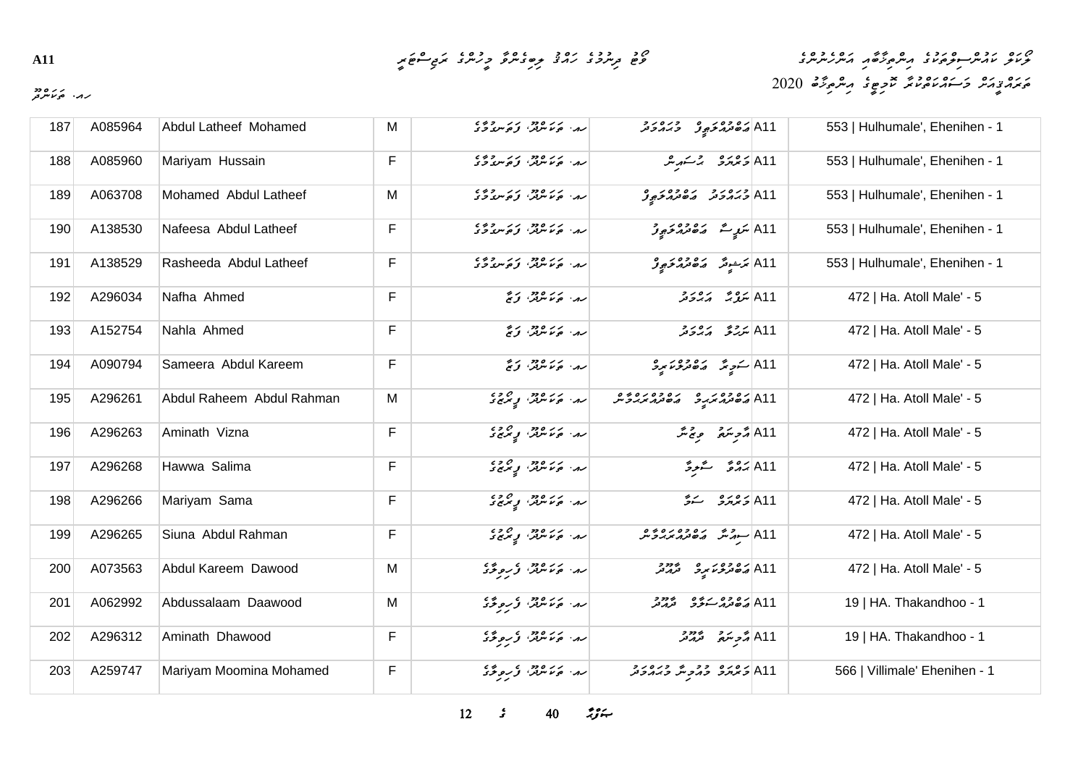*sCw7q7s5w7m< o<n9nOoAw7o< sCq;mAwBoEw7q<m; wBm;vB* م من المرة المرة المرة المرجع المرجع في المركبة 2020<br>مجم*د المريض المربوط المربع المرجع في المراجع المركبة* 

| 187 | A085964 | Abdul Latheef Mohamed     | M           | رړ ورود در ده ده             | A11 كەھەمگە <i>خەرجە جەد جە</i> ر                               | 553   Hulhumale', Ehenihen - 1 |
|-----|---------|---------------------------|-------------|------------------------------|-----------------------------------------------------------------|--------------------------------|
| 188 | A085960 | Mariyam Hussain           | $\mathsf F$ | رړ ور ده.<br>ري وړس          | A11 كەبۇرى بەسەر ش                                              | 553   Hulhumale', Ehenihen - 1 |
| 189 | A063708 | Mohamed Abdul Latheef     | M           | رړ ورسې در ده،               | A11 <i>ديره ده ده ده دو</i> ر و                                 | 553   Hulhumale', Ehenihen - 1 |
| 190 | A138530 | Nafeesa Abdul Latheef     | $\mathsf F$ | رد. و ما سربر، و و ده و ده و |                                                                 | 553   Hulhumale', Ehenihen - 1 |
| 191 | A138529 | Rasheeda Abdul Latheef    | $\mathsf F$ | رد. و دارد و در دوه          | A11 تَرَ <sub>ّشُو</sub> تَرُ - رَهُ <i>وَهُ تَرَوْجُ وِ</i> رْ | 553   Hulhumale', Ehenihen - 1 |
| 192 | A296034 | Nafha Ahmed               | $\mathsf F$ | رە بە ئەرەدە بەي             | A11 يتروثر - بروتر                                              | 472   Ha. Atoll Male' - 5      |
| 193 | A152754 | Nahla Ahmed               | $\mathsf F$ | رړ ور ده ده کړې              | A11 ىتر <i>ىرى پەرەن</i> چ                                      | 472   Ha. Atoll Male' - 5      |
| 194 | A090794 | Sameera Abdul Kareem      | $\mathsf F$ | رە بە ئەس ئەس ئەس            | A11 سَوِيرٌ 2016 رومز                                           | 472   Ha. Atoll Male' - 5      |
| 195 | A296261 | Abdul Raheem Abdul Rahman | M           |                              | A11 גם כם גם גם כם כם כם כם הגם הגם כם כם כם כם                 | 472   Ha. Atoll Male' - 5      |
| 196 | A296263 | Aminath Vizna             | F           | رد. و د مورد. و د ده         | A11 مَرْحِبَتَهُ وَبِيْتَرَ                                     | 472   Ha. Atoll Male' - 5      |
| 197 | A296268 | Hawwa Salima              | $\mathsf F$ | מי המיטרי נישי               | A11 كەبۇ شىمبۇ ئىچە                                             | 472   Ha. Atoll Male' - 5      |
| 198 | A296266 | Mariyam Sama              | $\mathsf F$ | رړ ور دوه وره ده             | A11 دىمەدە سەۋ                                                  | 472   Ha. Atoll Male' - 5      |
| 199 | A296265 | Siuna Abdul Rahman        | $\mathsf F$ | رد کا مرود و ده ده           | A11 بەر شەھەر مەمدىن ئەرەپ ئوس                                  | 472   Ha. Atoll Male' - 5      |
| 200 | A073563 | Abdul Kareem Dawood       | M           | رە ئەسرەدە كەرگەنجى          | A11 ב-2019 - 2019 - 2019 A11                                    | 472   Ha. Atoll Male' - 5      |
| 201 | A062992 | Abdussalaam Daawood       | M           | رە، ئەنەرەدە، ۋېرىدۇ ئە      | A11 كەھ <i>قرى شۇ</i> ترىقى ئىقرىمىتىر                          | 19   HA. Thakandhoo - 1        |
| 202 | A296312 | Aminath Dhawood           | $\mathsf F$ | رە بەر دەدە كەرمۇمۇ          | A11 تەجەنىي ئەدەبىر                                             | 19   HA. Thakandhoo - 1        |
| 203 | A259747 | Mariyam Moomina Mohamed   | F           | روم مور ۱۶۵ و مرکزی          | A11 كەبرىدى ئەم ئەرگە ئەرگەردىن                                 | 566   Villimale' Ehenihen - 1  |

*r@w7m;mA .<5*

*12 sC 40 nNw?mS*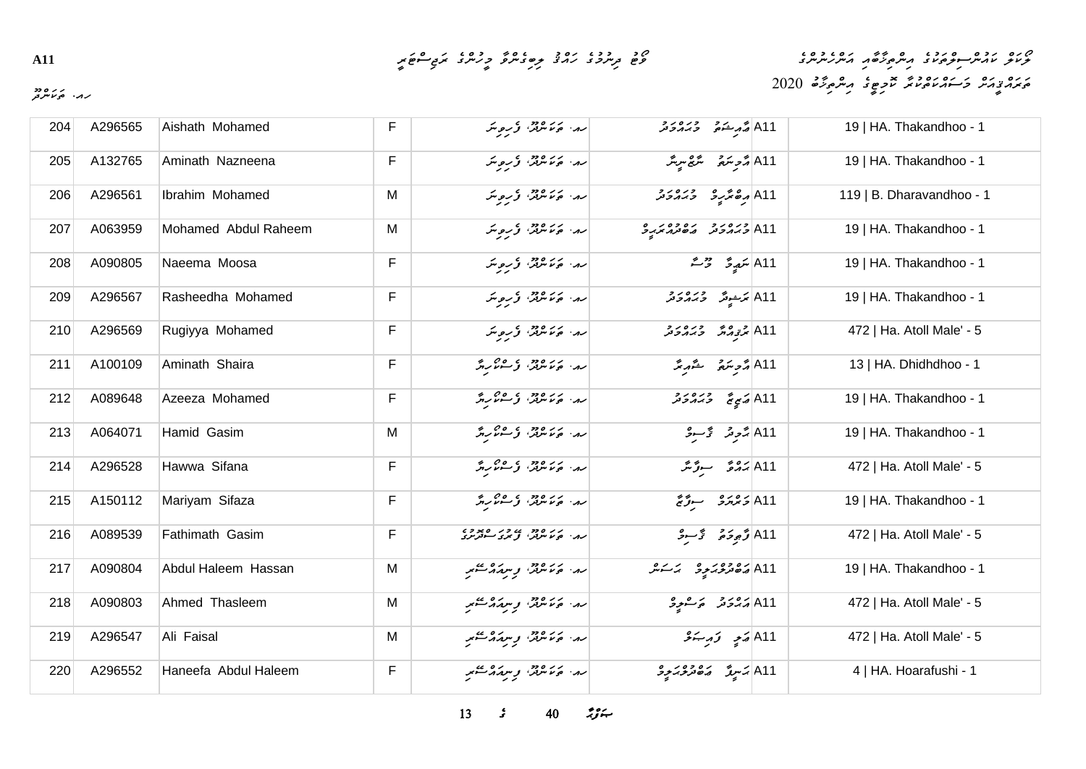*sCw7q7s5w7m< o<n9nOoAw7o< sCq;mAwBoEw7q<m; wBm;vB* م من المرة المرة المرة المرجع المرجع في المركبة 2020<br>مجم*د المريض المربوط المربع المرجع في المراجع المركبة* 

| 204 | A296565 | Aishath Mohamed      | F            | رە. ئۇنغاشلاش ۋېرىيەتكە                          | A11 مەم شىم ئەمەدىر                               | 19   HA. Thakandhoo - 1   |
|-----|---------|----------------------|--------------|--------------------------------------------------|---------------------------------------------------|---------------------------|
| 205 | A132765 | Aminath Nazneena     | F            | رە بەرەدە ئەرەپتە                                | A11 مَرْحِ سَرَة مِسَّنَّ سِرْ سَرِ               | 19   HA. Thakandhoo - 1   |
| 206 | A296561 | Ibrahim Mohamed      | M            | رەسە ئەرەدە ئەرەپتى                              | A11 مەھمىر ئەرەر دىر دىر                          | 119   B. Dharavandhoo - 1 |
| 207 | A063959 | Mohamed Abdul Raheem | M            | رد برده دو پارچ                                  | A11 درەرو رەدەر ۋ                                 | 19   HA. Thakandhoo - 1   |
| 208 | A090805 | Naeema Moosa         | F            | رەسە ئەرەدە ئەرەپتى                              | A11 سَمِيرَ حَرَّثَتَہُ                           | 19   HA. Thakandhoo - 1   |
| 209 | A296567 | Rasheedha Mohamed    | $\mathsf F$  | رە بەر ەدە ئېرى بىر                              | A11 بَرَسْوِتَر   وَبَرَ وَوَتَر                  | 19   HA. Thakandhoo - 1   |
| 210 | A296569 | Rugiyya Mohamed      | $\mathsf{F}$ | رە بەر ەدە ئې بەيت                               | A11 برت <sub>و</sub> مهر محدّم دور                | 472   Ha. Atoll Male' - 5 |
| 211 | A100109 | Aminath Shaira       | $\mathsf F$  | رور ورود و مشترکتر                               | A11 مَرْحِ سَمَعَ حَسَّمَ سَمَّ                   | 13   HA. Dhidhdhoo - 1    |
| 212 | A089648 | Azeeza Mohamed       | F            | מג המתבני בשימתות                                | A11  ر <sub>َسِمٍ</sub> بِحَمد <i>حدة الم</i> حمد | 19   HA. Thakandhoo - 1   |
| 213 | A064071 | Hamid Gasim          | M            | ון יונים ברי כי היות.<br>מרי המיות ביינות הי     | A11  بَرْدِ مْرْ - تْوَسِرْ مْ                    | 19   HA. Thakandhoo - 1   |
| 214 | A296528 | Hawwa Sifana         | F            | رە ئەرەدە ئەھمىدە                                | A11 بَرْدَةُ سِوَّتْر                             | 472   Ha. Atoll Male' - 5 |
| 215 | A150112 | Mariyam Sifaza       | F            | رړ ور ده. ده ۵۵ کې                               | A11 <i>5 پروڈ بے بی</i>                           | 19   HA. Thakandhoo - 1   |
| 216 | A089539 | Fathimath Gasim      | F            | د د وده ده د ود وده<br>دو و ما مرکز کو بری سوترس | A11 <i>وَّجِ</i> وَحَمَّ تَحْسِبُوْ               | 472   Ha. Atoll Male' - 5 |
| 217 | A090804 | Abdul Haleem Hassan  | M            | מרי פיניתה ו יינגל שיו                           | A11 كەھەترى <i>گە جۇ بەسەتل</i>                   | 19   HA. Thakandhoo - 1   |
| 218 | A090803 | Ahmed Thasleem       | M            | מרי פיניינגי ניינגם שי                           | A11 كەبرى تەر گەر ئۇيىتى ئىل                      | 472   Ha. Atoll Male' - 5 |
| 219 | A296547 | Ali Faisal           | M            | מרי המותל ו תגלים                                | A11 كەير     تەرىبەتى                             | 472   Ha. Atoll Male' - 5 |
| 220 | A296552 | Haneefa Abdul Haleem | F            | מרי פיניינגי ניינגם שי                           | A11 بَسِدَّ   بَرْهُ مَرْحْدَجِ دَّ               | 4   HA. Hoarafushi - 1    |

*13 sC 40 nNw?mS*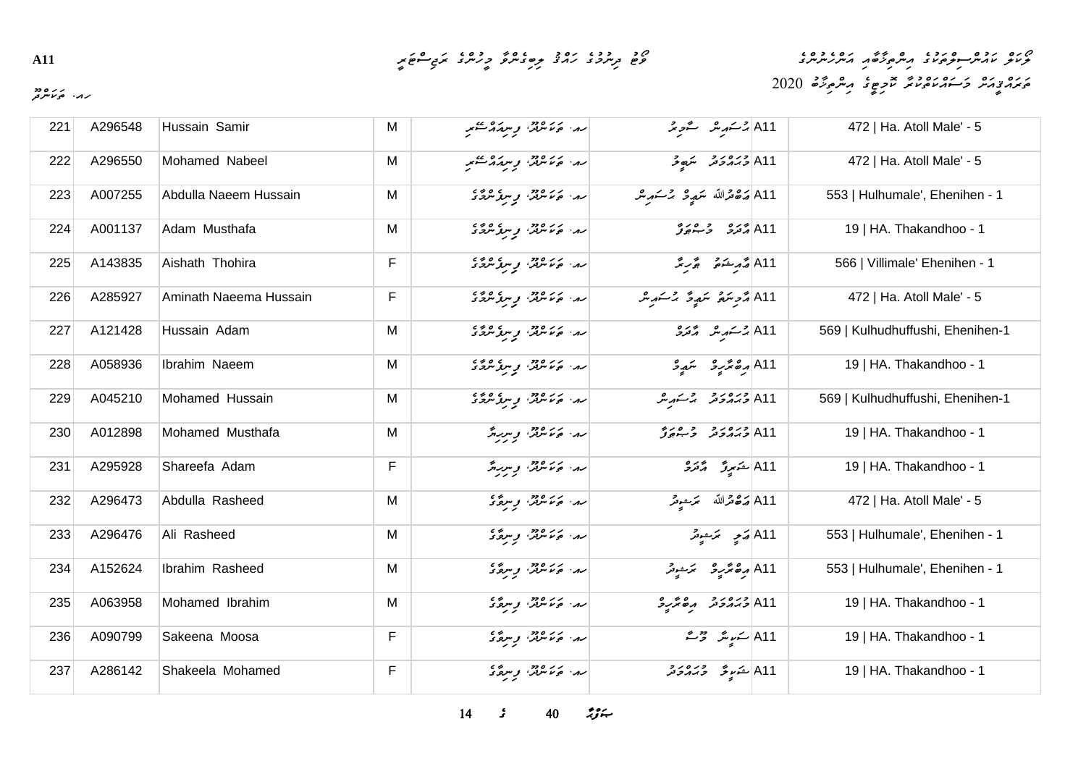*sCw7q7s5w7m< o<n9nOoAw7o< sCq;mAwBoEw7q<m; wBm;vB* م من المرة المرة المرة المرجع المرجع في المركبة 2020<br>مجم*د المريض المربوط المربع المرجع في المراجع المركبة* 

| 221 | A296548 | Hussain Samir          | M           | رە بە ئەس ئەس ئەس ئ       | A11 پر کے میر شہ سے پار تھا۔<br>مسلمان                           | 472   Ha. Atoll Male' - 5        |
|-----|---------|------------------------|-------------|---------------------------|------------------------------------------------------------------|----------------------------------|
| 222 | A296550 | Mohamed Nabeel         | M           | رمن وكالملكل وسلام على    | A11 <i>وَبَرْدُوَ</i> تَرَ   سَرَى وَ                            | 472   Ha. Atoll Male' - 5        |
| 223 | A007255 | Abdulla Naeem Hussain  | M           | رد و ده ده ده و ده و ده و | A11 كَرَى قَرْاللَّهُ سَمَدٍ فَرَ كَرَ مَرِ شَرْ                 | 553   Hulhumale', Ehenihen - 1   |
| 224 | A001137 | Adam Musthafa          | M           | رد. نوم سربی و سرو سره دی | A11 گەترو - 3 يەمبۇ                                              | 19   HA. Thakandhoo - 1          |
| 225 | A143835 | Aishath Thohira        | F           | رد. نوم شرقر، و سرو شرقر  | A11 مَدْمِرْ يَسْعَرْ مَتَحْرِ بَثَرَ                            | 566   Villimale' Ehenihen - 1    |
| 226 | A285927 | Aminath Naeema Hussain | $\mathsf F$ | رد. و د دود. و سره ۲۵۵۰   | A11 مَّ حِ سَمَّۃ سَمَي <sup>د</sup> َّ بِرْ سَمَ <i>رِ سُ</i> ّ | 472   Ha. Atoll Male' - 5        |
| 227 | A121428 | Hussain Adam           | M           | رړ ور دو. وسرو ده د       | A11 بڑے <i>مربٹر م<sup>ح</sup>تر</i> و                           | 569   Kulhudhuffushi, Ehenihen-1 |
| 228 | A058936 | Ibrahim Naeem          | M           | رر مده ده در ۲۵۵۰         | A11 مەھمىر بىر سىمبە ئى                                          | 19   HA. Thakandhoo - 1          |
| 229 | A045210 | Mohamed Hussain        | M           | رد. و دیگر و سرگامرد و    | A11 <i>32825 جنگهد</i> ش                                         | 569   Kulhudhuffushi, Ehenihen-1 |
| 230 | A012898 | Mohamed Musthafa       | M           | رە ئەسلامى ئوس            | A11 <i>ډېره د</i> ه وسي <i>ږو</i>                                | 19   HA. Thakandhoo - 1          |
| 231 | A295928 | Shareefa Adam          | $\mathsf F$ | رە ئەس ئۇي بولىرىد        | A11 خەمرى <sup>ت</sup> ر مەترى                                   | 19   HA. Thakandhoo - 1          |
| 232 | A296473 | Abdulla Rasheed        | M           | رە ئەس ئەھرىرى            | A11 كەھەراللە <del>ك</del> رىشوقر                                | 472   Ha. Atoll Male' - 5        |
| 233 | A296476 | Ali Rasheed            | M           | رد کا سرچي وسرچي          | A11  كەمچە - ترىنې <sub>ي</sub> ىتر                              | 553   Hulhumale', Ehenihen - 1   |
| 234 | A152624 | Ibrahim Rasheed        | M           | رە ئەس ئەھرىرى            | A11 م <sub>و</sub> ھ م <i>گرد</i> و کرش <sub>ی</sub> وٹر         | 553   Hulhumale', Ehenihen - 1   |
| 235 | A063958 | Mohamed Ibrahim        | M           | رە ئەس ئەھرىرى            | A11 <i>32025 م</i> ەھرىرى                                        | 19   HA. Thakandhoo - 1          |
| 236 | A090799 | Sakeena Moosa          | F           | رد کا سرچي وسرچي          | A11 سَرِیڈ ڈیٹ                                                   | 19   HA. Thakandhoo - 1          |
| 237 | A286142 | Shakeela Mohamed       | F           | رە ئەرەدە بەرگەنى         | A11 ڪري <sub>و</sub> ويه دينه                                    | 19   HA. Thakandhoo - 1          |

*14 sC 40 nNw?mS*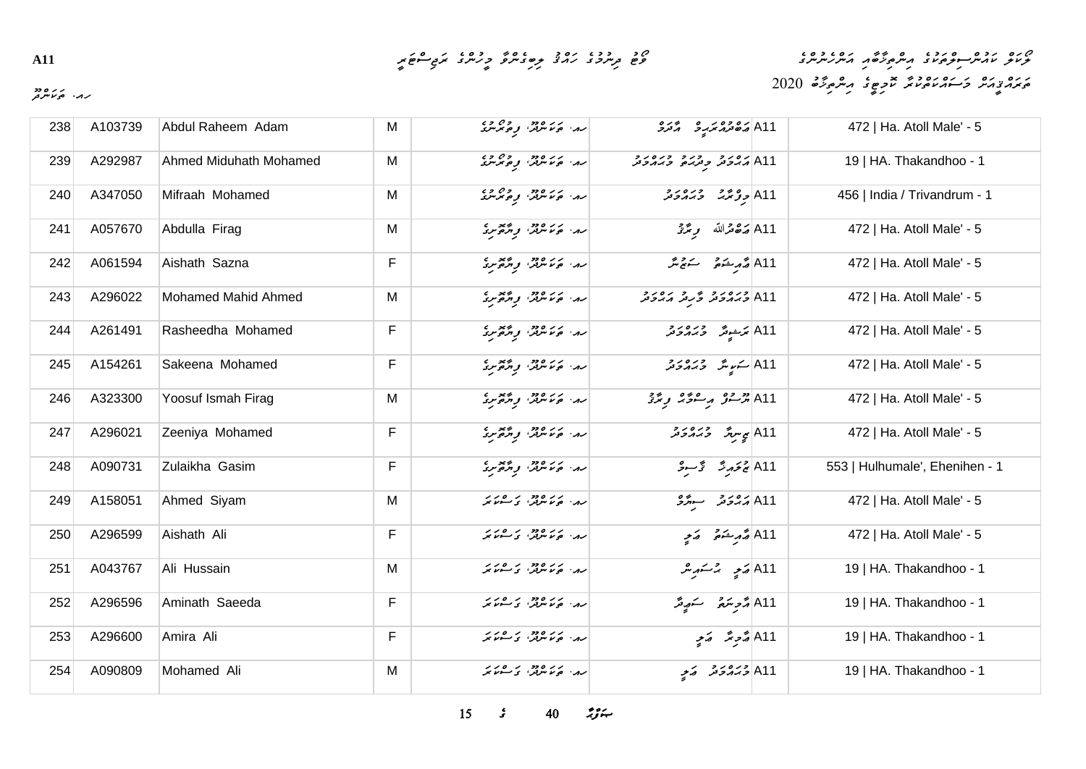*sCw7q7s5w7m< o<n9nOoAw7o< sCq;mAwBoEw7q<m; wBm;vB* م من المسجد المسجد المسجد المسجد المسجد العام 2020<br>مسجد المسجد المسجد المسجد المسجد المسجد المسجد المسجد المسجد ال

| 238 | A103739 | Abdul Raheem Adam             | M           | مدر وړه وه وه وه                            | A11 كەھىر مەردىج مەمەر 25                        | 472   Ha. Atoll Male' - 5      |
|-----|---------|-------------------------------|-------------|---------------------------------------------|--------------------------------------------------|--------------------------------|
| 239 | A292987 | <b>Ahmed Miduhath Mohamed</b> | M           | روم کو موفق او محرم ده                      | A11 كەبروگر دېرىر دېرگەدىر                       | 19   HA. Thakandhoo - 1        |
| 240 | A347050 | Mifraah Mohamed               | M           | ر در ۱۵ ده.<br>رو ۱۰ مونه سرچر او د چې سرچ  | A11 <sub>ح</sub> وثر پیزید در در د               | 456   India / Trivandrum - 1   |
| 241 | A057670 | Abdulla Firag                 | M           | رد و دره دو په دو د د                       | A11  رَصْحْرَاللَّهُ مِ مُرَّتِحْ                | 472   Ha. Atoll Male' - 5      |
| 242 | A061594 | Aishath Sazna                 | $\mathsf F$ | رد کا سرفر و پی کا                          | A11 مَدْمِرِ مَسْدَمَ <sub>و</sub> مَسْدَمْ مَدْ | 472   Ha. Atoll Male' - 5      |
| 243 | A296022 | <b>Mohamed Mahid Ahmed</b>    | M           | رد کا مرده دو په دو کا                      | A11 <i>בג</i> ەرو ت <i>ې</i> رى <i>د ה</i> رەرو  | 472   Ha. Atoll Male' - 5      |
| 244 | A261491 | Rasheedha Mohamed             | F           | رد و دره دو په دره د                        | A11  بَرَحْدٍ تَرَ ثَرَ ثَرَوْ ثَرَ              | 472   Ha. Atoll Male' - 5      |
| 245 | A154261 | Sakeena Mohamed               | $\mathsf F$ | رد. و دود. و در د                           | A11 سَمَدٍ مَگْر حَجَدَ جَرْحَة مُرَ             | 472   Ha. Atoll Male' - 5      |
| 246 | A323300 | Yoosuf Ismah Firag            | M           | رړ ور ور د د د                              | A11 ټر یو و مرگ شویز و برگز                      | 472   Ha. Atoll Male' - 5      |
| 247 | A296021 | Zeeniya Mohamed               | F           | رړ ۱ دره ده په د د د                        | A11 <sub>مج</sub> سرد محمد در در ا               | 472   Ha. Atoll Male' - 5      |
| 248 | A090731 | Zulaikha Gasim                | F           | رړ . ه ده وه .<br>رړ . نور سرچر . و پر پورې | A11 تج تزمر شمس تح سور مح                        | 553   Hulhumale', Ehenihen - 1 |
| 249 | A158051 | Ahmed Siyam                   | M           | رەر، ئۆز ئەس ئەسىر                          | A11 كەبرى كىرىگە ئىستىدىكى بىر                   | 472   Ha. Atoll Male' - 5      |
| 250 | A296599 | Aishath Ali                   | $\mathsf F$ | رړ، ئونو سرچن کو سونو ته                    | A11 مَگهرِ شَہْرِ کہ مِ                          | 472   Ha. Atoll Male' - 5      |
| 251 | A043767 | Ali Hussain                   | M           | תה ו מיטרה משיעות                           | A11  رَمِج بِرْسَهِ بِرْ                         | 19   HA. Thakandhoo - 1        |
| 252 | A296596 | Aminath Saeeda                | F           | رړ ور دوه د د در                            | A11 مَّ حِ سَعَ سَنَ سَفَرِ مِنَّ                | 19   HA. Thakandhoo - 1        |
| 253 | A296600 | Amira Ali                     | F           | رړ ور دوه د د در                            |                                                  | 19   HA. Thakandhoo - 1        |
| 254 | A090809 | Mohamed Ali                   | M           | رړ ورود د درد                               |                                                  | 19   HA. Thakandhoo - 1        |

*15 sC 40 nNw?mS*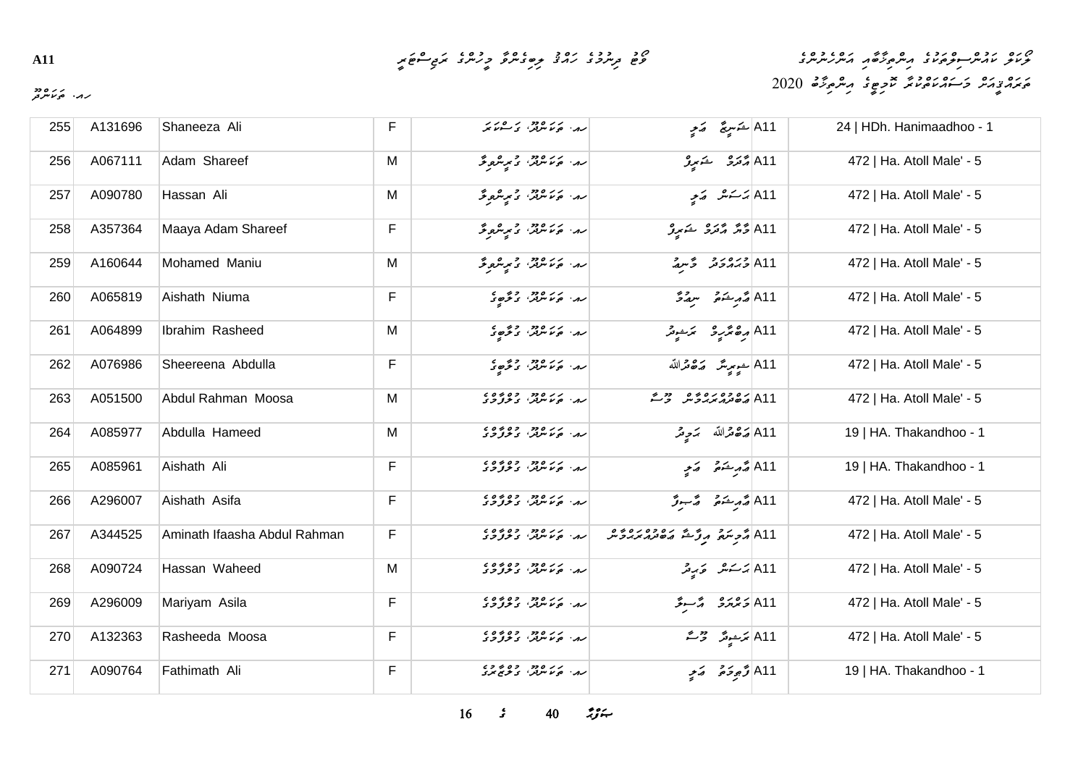*sCw7q7s5w7m< o<n9nOoAw7o< sCq;mAwBoEw7q<m; wBm;vB* م من المرة المرة المرة المرجع المرجع في المركبة 2020<br>مجم*د المريض المربوط المربع المرجع في المراجع المركبة* 

| 255 | A131696 | Shaneeza Ali                 | F           | رە بەر ەدەب بەر بەر                                               | A11 ڪسريج <b>ت</b> رمي                 | 24   HDh. Hanimaadhoo - 1 |
|-----|---------|------------------------------|-------------|-------------------------------------------------------------------|----------------------------------------|---------------------------|
| 256 | A067111 | Adam Shareef                 | M           | رە ئەر ئەدەر كەيرىكرى ئى                                          | A11 پژترو شمیرو                        | 472   Ha. Atoll Male' - 5 |
| 257 | A090780 | Hassan Ali                   | M           | رە ئەسلەر ئەر ئىر ئىرىم                                           | A11  پرسکس ک <i>ے م</i> و              | 472   Ha. Atoll Male' - 5 |
| 258 | A357364 | Maaya Adam Shareef           | F           | رە ئەرەدە جايدىكرىگە                                              | A11 قَ. بَمَّ بَرَهُ ۖ شَمَيْرٌ        | 472   Ha. Atoll Male' - 5 |
| 259 | A160644 | Mohamed Maniu                | M           | رړ ور ده د کمپرس                                                  | A11 دېمرونر ومه                        | 472   Ha. Atoll Male' - 5 |
| 260 | A065819 | Aishath Niuma                | $\mathsf F$ | رړ ور دو وي د                                                     | A11 مَدْمِسْتَمْ مِنْ مِرْدَةَ         | 472   Ha. Atoll Male' - 5 |
| 261 | A064899 | Ibrahim Rasheed              | M           | رد ور دو وي د                                                     | A11 مەھەرىرى سىمئىيەتر                 | 472   Ha. Atoll Male' - 5 |
| 262 | A076986 | Sheereena Abdulla            | F           | رد و مسجد و محمد و                                                | A11 خيومريٹر     پر چوترالله           | 472   Ha. Atoll Male' - 5 |
| 263 | A051500 | Abdul Rahman Moosa           | M           | גג סיכון כסיפים<br>הגי קיש ייתרתי וביביביביב                      | A11 كەھىر مەم ھەم دىكە                 | 472   Ha. Atoll Male' - 5 |
| 264 | A085977 | Abdulla Hameed               | M           | ر د ده ده وه ده ده<br>رو و ماسرتر کولو و ی                        | A11 كەھىراللە   ئەرىتر                 | 19   HA. Thakandhoo - 1   |
| 265 | A085961 | Aishath Ali                  | $\mathsf F$ | ر د ده ده وه ده ده<br>رو نوم سربر کولوک                           | A11 مَدْمِسْتَمْرِ     مَدِ            | 19   HA. Thakandhoo - 1   |
| 266 | A296007 | Aishath Asifa                | F           | ر در ود وو وه ده<br>ربر و ما سربر کالوژن                          | A11 مَگْرِسْتَمْ مِگْسِرَدٌ            | 472   Ha. Atoll Male' - 5 |
| 267 | A344525 | Aminath Ifaasha Abdul Rahman | F           |                                                                   | A11 مۇم مۇش مەمەدە بولى كەر ئۆزە دەبەر | 472   Ha. Atoll Male' - 5 |
| 268 | A090724 | Hassan Waheed                | M           | ر در ۲۵ وو وه ۲۵۶۵<br>رو، نوماسرلر، ژنوژوی                        | A11 بَرَسَسْ <sub>حَرِي</sub> ثَر      | 472   Ha. Atoll Male' - 5 |
| 269 | A296009 | Mariyam Asila                | F           | ر در ود دو وه ده<br>رو کونو دو ور                                 | A11 <i>5 پروژ پ</i> ر گ                | 472   Ha. Atoll Male' - 5 |
| 270 | A132363 | Rasheeda Moosa               | F           | ر د ده ده وه ده ده<br>رو و مسربي و وو و د                         | A11 بَرَحْدِثَرُ گُرُگُ                | 472   Ha. Atoll Male' - 5 |
| 271 | A090764 | Fathimath Ali                | F           | ر بر ه دو د وه و د و د<br>رو . ه ما سرفر ، د <del>و و</del> و و د | A11  <i>وُجوحَ</i> هُ صَمِحٍ           | 19   HA. Thakandhoo - 1   |

 $16$  *s*  $\cancel{5}$  **40** *n***<sub>3</sub>** *n*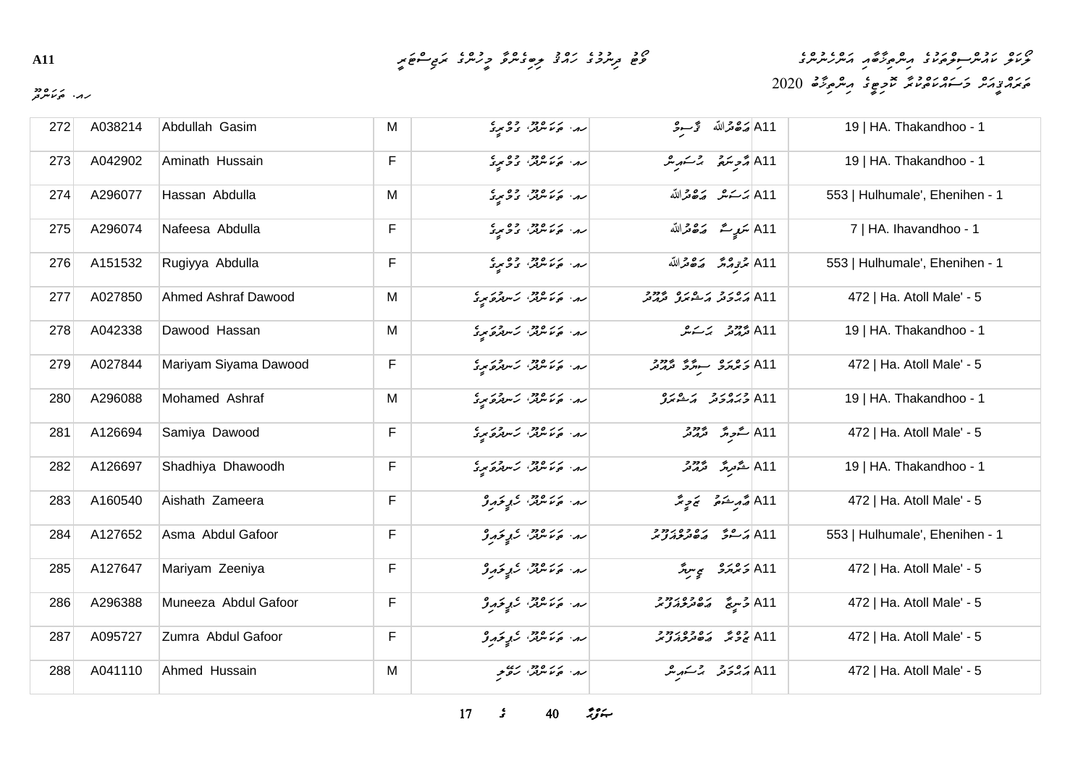*sCw7q7s5w7m< o<n9nOoAw7o< sCq;mAwBoEw7q<m; wBm;vB* م من المرة المرة المرة المرجع المرجع في المركبة 2020<br>مجم*د المريض المربوط المربع المرجع في المراجع المركبة* 

| 272 | A038214 | Abdullah Gasim             | M           | رړ ور دوه وه دي                              | A11 كَەڭقىراللە     ئۇسىۋ                              | 19   HA. Thakandhoo - 1        |
|-----|---------|----------------------------|-------------|----------------------------------------------|--------------------------------------------------------|--------------------------------|
| 273 | A042902 | Aminath Hussain            | $\mathsf F$ | رد. و د سرچور وه ده<br>رو. و د سرچر، د و مړی | A11 مَرْحِ سَمَعْ مَرْسَمَ مِسْر                       | 19   HA. Thakandhoo - 1        |
| 274 | A296077 | Hassan Abdulla             | M           | ر در دود وه<br>رد و مسرفر کومرک              | A11 كەسكەش كەھەتراللە                                  | 553   Hulhumale', Ehenihen - 1 |
| 275 | A296074 | Nafeesa Abdulla            | F           | رد کرده ده ده د                              | A11 سَمَعِي <sup>تَ</sup> ة صَرَّة صَ <sup>اللّه</sup> | 7   HA. Ihavandhoo - 1         |
| 276 | A151532 | Rugiyya Abdulla            | F           | رد کرده وه وه د                              | A11 <i>بترة ومركز وكمناه تق</i> رالله                  | 553   Hulhumale', Ehenihen - 1 |
| 277 | A027850 | <b>Ahmed Ashraf Dawood</b> | M           | رد. نوم سرفر، کرس ور در د                    | A11 ג' <i>פיצי ה-20 ייח</i> ד ברייב                    | 472   Ha. Atoll Male' - 5      |
| 278 | A042338 | Dawood Hassan              | M           | رړ ور دوه کرسونو لره                         | A11 مَدْرَمْتَرِ بَرَسَتَشَر                           | 19   HA. Thakandhoo - 1        |
| 279 | A027844 | Mariyam Siyama Dawood      | F           | رد. نوم سرفر، کرس ور در د                    | A11 كەندىرى سەيزى تىرىرىتە                             | 472   Ha. Atoll Male' - 5      |
| 280 | A296088 | Mohamed Ashraf             | M           | رد و ده ده در و د                            | A11 دېرورو ترشيزو                                      | 19   HA. Thakandhoo - 1        |
| 281 | A126694 | Samiya Dawood              | F           | رد به دود کرده در به                         | A11 گجرمز م <i>زور د</i>                               | 472   Ha. Atoll Male' - 5      |
| 282 | A126697 | Shadhiya Dhawoodh          | F           | رد که در دود.<br>رد که سرفر کسرفرونوی        | A11 شَرْمَرْدَ مُرْ <i>مَرْد</i>                       | 19   HA. Thakandhoo - 1        |
| 283 | A160540 | Aishath Zameera            | F           | رە. ئۇ ئابلاقلا، ئايمەتلەق                   | A11 مَگْرِسْتَمْ کَمْ سِمَّ                            | 472   Ha. Atoll Male' - 5      |
| 284 | A127652 | Asma Abdul Gafoor          | F           | رە ئەسلامى ئوتۇرۇ                            | A11 كەشق مەھىردودىر                                    | 553   Hulhumale', Ehenihen - 1 |
| 285 | A127647 | Mariyam Zeeniya            | F           | رە ئەرەدە ئېرىخەر                            | A11 دَ بَرْ پَرْ تَو سِرْ تَرْ                         | 472   Ha. Atoll Male' - 5      |
| 286 | A296388 | Muneeza Abdul Gafoor       | F           | رە ئەس ئەرەپى ئۇ ئەر                         | A11 <sub>ج</sub> سمه مەھىر <i>جەرەدى</i> ر             | 472   Ha. Atoll Male' - 5      |
| 287 | A095727 | Zumra Abdul Gafoor         | F           | رە ئەرەدە ئوتەر                              | A11 يروپژ مەھىر دە د                                   | 472   Ha. Atoll Male' - 5      |
| 288 | A041110 | Ahmed Hussain              | M           | رد. و د ۱۶۵ دره در                           | A11   كەبۇ ئەڭرىشى ھەر بىر                             | 472   Ha. Atoll Male' - 5      |

*r@w7m;mA .<5*

 $17$  *s* 40  $23$   $\div$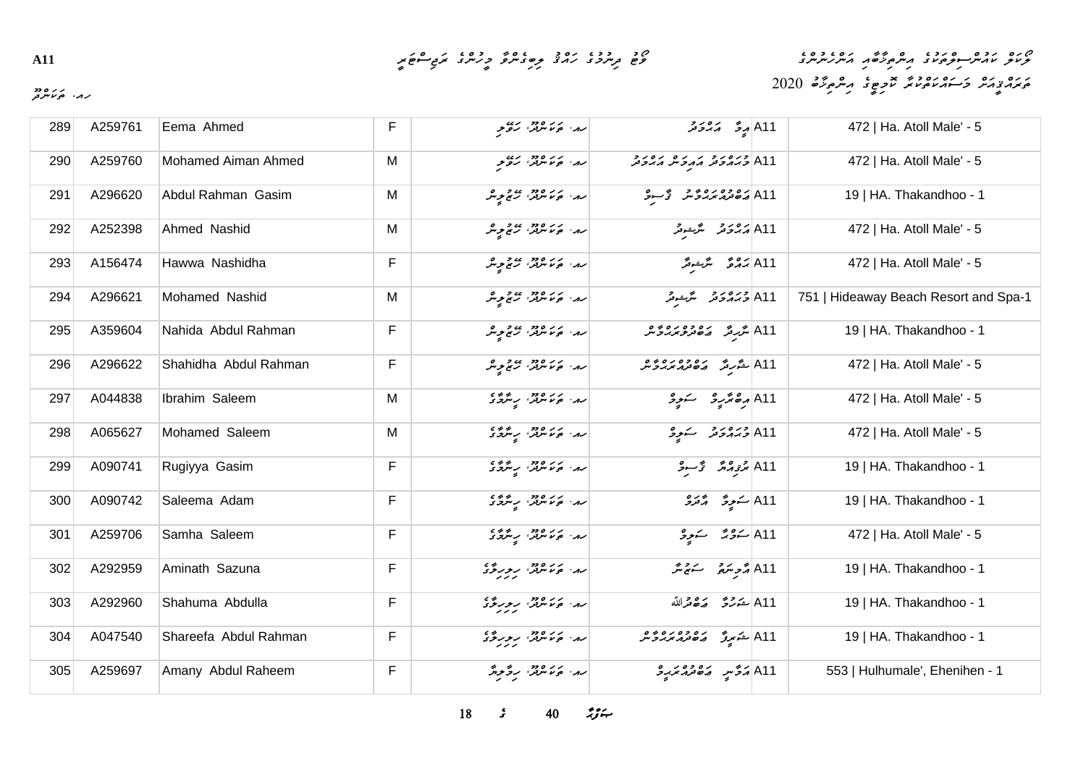*sCw7q7s5w7m< o<n9nOoAw7o< sCq;mAwBoEw7q<m; wBm;vB* م من المرة المرة المرة المرجع المرجع في المركبة 2020<br>مجم*د المريض المربوط المربع المرجع في المراجع المركبة* 

| 289 | A259761 | Eema Ahmed            | F | رە بەر ەدەبەر ئەسىر     | A11 <sub>مو</sub> ءً - پروتور                                       | 472   Ha. Atoll Male' - 5             |
|-----|---------|-----------------------|---|-------------------------|---------------------------------------------------------------------|---------------------------------------|
| 290 | A259760 | Mohamed Aiman Ahmed   | M | رە بەر ەددە رەي         | A11 <i>وَيُرُوْدَوْ <sub>مُرَم</sub>ِّد</i> َسْ م <i>ُرْدُ</i> دَرْ | 472   Ha. Atoll Male' - 5             |
| 291 | A296620 | Abdul Rahman Gasim    | M | رړ . ه ده ده ده ده ولگر | A11 كەھەممەرە بولىق تۇسىۋ                                           | 19   HA. Thakandhoo - 1               |
| 292 | A252398 | Ahmed Nashid          | M | رړ ۱۰ مرده ده پرو وینځ  | A11 كەبۇ تەر سەر سەر ئىشى ئىشەر ئىس                                 | 472   Ha. Atoll Male' - 5             |
| 293 | A156474 | Hawwa Nashidha        | F | رړ . پره دو په د په و   | A11  بَرُدُمَّ _ سَّنْ-ِمَّر                                        | 472   Ha. Atoll Male' - 5             |
| 294 | A296621 | Mohamed Nashid        | M | رړ . پره دو په د په و   | A11 <i>\$ بەھ كە</i> ر سەر سەر ئىشى ئىشەر ئىس                       | 751   Hideaway Beach Resort and Spa-1 |
| 295 | A359604 | Nahida Abdul Rahman   | F | رړ ورو ده ده و          | A11 مَّرْرِمَّر     رَە دەرە دەر                                    | 19   HA. Thakandhoo - 1               |
| 296 | A296622 | Shahidha Abdul Rahman | F | رړ ور ده ده ده ور       | A11 شَرِيعٌ مَصْرَ <i>مَدِينَ مِرْ مِنْ</i>                         | 472   Ha. Atoll Male' - 5             |
| 297 | A044838 | Ibrahim Saleem        | M | رد. وناسرته رسود        | A11 مەھەرىپى سىمبرو                                                 | 472   Ha. Atoll Male' - 5             |
| 298 | A065627 | Mohamed Saleem        | M | رد و دود. روود          | A11 <i>5 بزون بن من</i> سنور                                        | 472   Ha. Atoll Male' - 5             |
| 299 | A090741 | Rugiyya Gasim         | F | מגי המיתבי תייבי        | A11 برت <sub>و</sub> پر گور گور د                                   | 19   HA. Thakandhoo - 1               |
| 300 | A090742 | Saleema Adam          | F | رد کرده دو در ۱۶۶۶      | A11 سَمِرِدَّ گَرَمَرَدُ                                            | 19   HA. Thakandhoo - 1               |
| 301 | A259706 | Samha Saleem          | F | رد و دوه رسود           | A11  سَرْحَہٗ سَمَوِرْ                                              | 472   Ha. Atoll Male' - 5             |
| 302 | A292959 | Aminath Sazuna        | F | رە، ئەنەرەي رورۇئى      | A11 مَرْحِ سَعَ مِنْ مَعْ سَرَ                                      | 19   HA. Thakandhoo - 1               |
| 303 | A292960 | Shahuma Abdulla       | F | رە، ئەنە ئەرەر ئەر      | A11 خەرىج ھەقراللە                                                  | 19   HA. Thakandhoo - 1               |
| 304 | A047540 | Shareefa Abdul Rahman | F | رە ئەستىر بورۇئى        | A11 خەمرى <sup>ق</sup> مەھ <i>ەرە مەدە</i> ئىر                      | 19   HA. Thakandhoo - 1               |
| 305 | A259697 | Amany Abdul Raheem    | F | رە ، ئەنەسىرى بەر ئورگە | A11 كەۋىپ كەھ <i>ەركەترى</i> رى                                     | 553   Hulhumale', Ehenihen - 1        |

*18 sC 40 nNw?mS*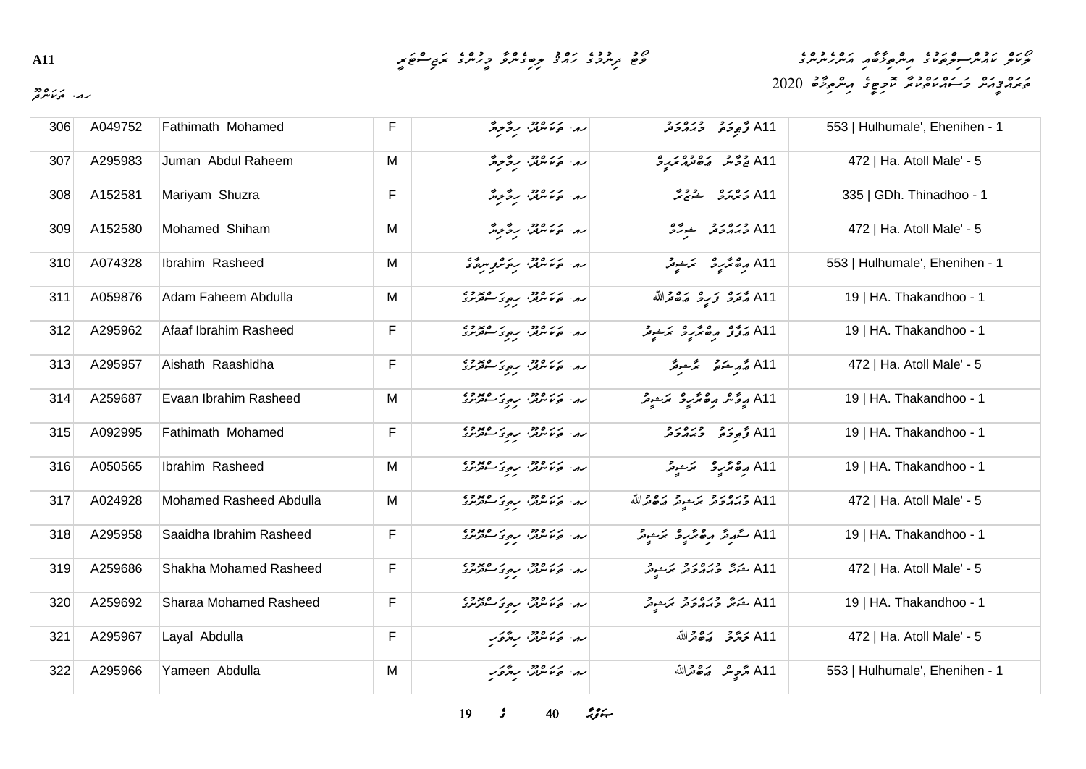*sCw7q7s5w7m< o<n9nOoAw7o< sCq;mAwBoEw7q<m; wBm;vB* م من المرة المرة المرة المرجع المرجع في المركبة 2020<br>مجم*د المريض المربوط المربع المرجع في المراجع المركبة* 

| 306 | A049752 | Fathimath Mohamed              | F           | رە ئەنەشقى بەر ئورگە                             | A11 <i>وَّجِ دَمَعُ حَمَدُ دَمَرَ</i>                  | 553   Hulhumale', Ehenihen - 1 |
|-----|---------|--------------------------------|-------------|--------------------------------------------------|--------------------------------------------------------|--------------------------------|
| 307 | A295983 | Juman Abdul Raheem             | M           | رە، ئۇناشقى بەرگەر                               | A11 في محمد من مص <i>حد مرب</i> و                      | 472   Ha. Atoll Male' - 5      |
| 308 | A152581 | Mariyam Shuzra                 | F           | رە ، ئوناسرىق، بەرمەتر                           | A11 كۈچر <i>ى ھەمتى تى</i> ر                           | 335   GDh. Thinadhoo - 1       |
| 309 | A152580 | Mohamed Shiham                 | M           | رە ئەسلامى بەقرىد                                | A11 <i>وُبَرُوُدَ</i> تَرُ ـَ ش <i>ررٌوْ</i>           | 472   Ha. Atoll Male' - 5      |
| 310 | A074328 | Ibrahim Rasheed                | M           | رە ئەر ئەدە بەئەر ئىرى                           | A11 مەھەرىرى سىمئىيەتر                                 | 553   Hulhumale', Ehenihen - 1 |
| 311 | A059876 | Adam Faheem Abdulla            | M           | ر در دود در دوره دور<br>در نوم مرکز، روز سوتر در | A11 مُرْمَرة وَرِة مَ <b>2</b> قراللّه                 | 19   HA. Thakandhoo - 1        |
| 312 | A295962 | Afaaf Ibrahim Rasheed          | F           | ر در دود در دوره دون<br>در نوم مرکز روز سورترد   | A11 كَرَزَّرْ بِرەڭرىرد كرىنونر                        | 19   HA. Thakandhoo - 1        |
| 313 | A295957 | Aishath Raashidha              | $\mathsf F$ | رړ وړه ده.<br>رړ وړس د                           | A11 مَدْمِ مِنْدَمْرِ مَدْمُ مِنْ                      | 472   Ha. Atoll Male' - 5      |
| 314 | A259687 | Evaan Ibrahim Rasheed          | M           | رړ . ه ده ده .<br>رړ . ه د سرتن . ره د سوترس     | A11 م <i>وق<sup>ى</sup>د م</i> ەھ <i>ترى</i> ي ترىنونر | 19   HA. Thakandhoo - 1        |
| 315 | A092995 | Fathimath Mohamed              | $\mathsf F$ | رد. نو د ماده در مرد و د و د و د                 | A11 تُرجوحَمَّ وَبَرْدُونَرَ                           | 19   HA. Thakandhoo - 1        |
| 316 | A050565 | Ibrahim Rasheed                | M           | ر در دورد.<br>در نوم مرکز برمړن سه ترمرد         | A11 مەھەرىرى سىمئىيەتر                                 | 19   HA. Thakandhoo - 1        |
| 317 | A024928 | <b>Mohamed Rasheed Abdulla</b> | M           | ر در در دود.<br>در نوم مرکز، روز سوترمرد         | A11 <i>وبروبر برخوبر مك</i> ومرالله                    | 472   Ha. Atoll Male' - 5      |
| 318 | A295958 | Saaidha Ibrahim Rasheed        | $\mathsf F$ | رد. نو د سرود.<br>در نو د سرگر، مرد و سوتر درو   | A11 گەرىگە مەھە <i>گرى</i> رى ئەن دە                   | 19   HA. Thakandhoo - 1        |
| 319 | A259686 | Shakha Mohamed Rasheed         | F           | رد. نو د سرود.<br>در نو د سرگر، مرد و سوتر درو   | A11 خَرَدَّ كَرَكْرُونَ يَرْشِيْتَر                    | 472   Ha. Atoll Male' - 5      |
| 320 | A259692 | Sharaa Mohamed Rasheed         | F           | ر در دود در دوره وده<br>در نوم مرکز روز سوتر در  | A11 خَدَيَّر وَيَرْدُونَّر بَرَسْءِنْزَ                | 19   HA. Thakandhoo - 1        |
| 321 | A295967 | Layal Abdulla                  | F           | رو. ورا ود به برگر                               | A11 كَرْتَرْقْرْ مَرْكَ قْدَاللّه                      | 472   Ha. Atoll Male' - 5      |
| 322 | A295966 | Yameen Abdulla                 | M           | رە ، ئونو مەردە بەرگەر                           | A11 مَرْحٍ <i>مَر مَرْهُ مَ</i> رْاللّه                | 553   Hulhumale', Ehenihen - 1 |

*19 sC 40 nNw?mS*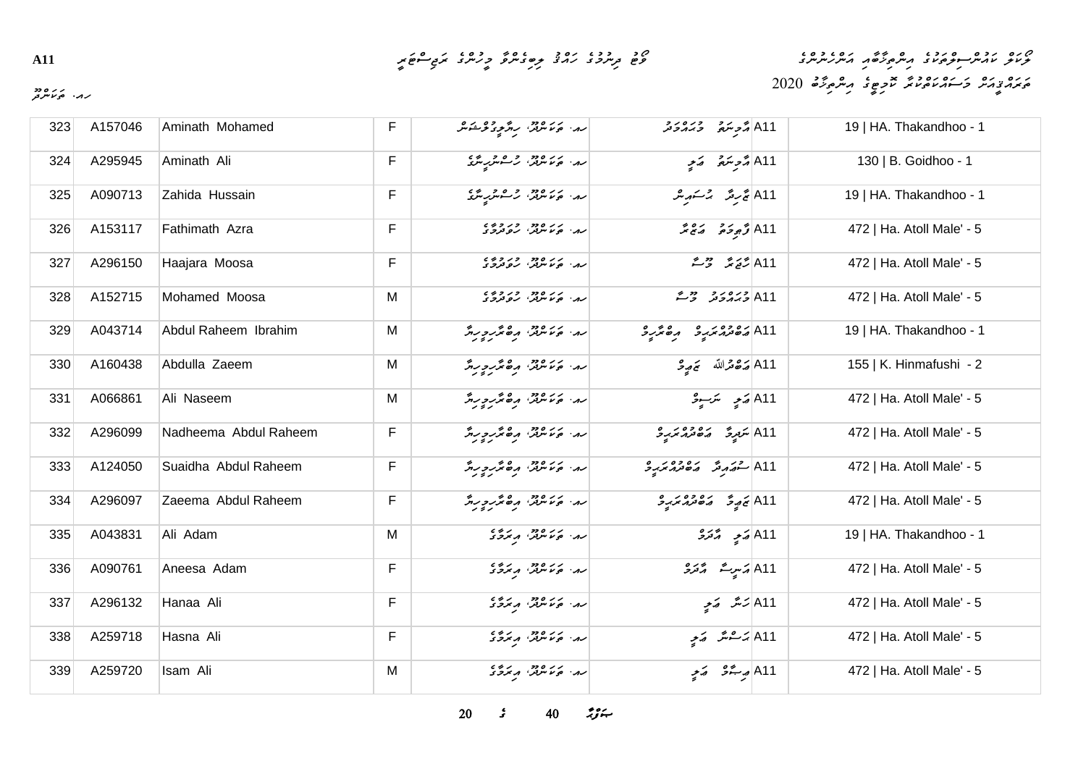*sCw7q7s5w7m< o<n9nOoAw7o< sCq;mAwBoEw7q<m; wBm;vB* م من المرة المرة المرة المرجع المرجع في المركبة 2020<br>مجم*د المريض المربوط المربع المرجع في المراجع المركبة* 

| 323 | A157046 | Aminath Mohamed       | F | رە. ئۇ ئانلاقلا، بەرگە يەنى ئانگەنلار          | A11 مَّ حِسَمَةٌ حَمَدَ مَدَّ     | 19   HA. Thakandhoo - 1   |
|-----|---------|-----------------------|---|------------------------------------------------|-----------------------------------|---------------------------|
| 324 | A295945 | Aminath Ali           | F | رړ ور دو د ده د ده                             | A11 مَّ مِتَمَعْ مَ مِ            | 130   B. Goidhoo - 1      |
| 325 | A090713 | Zahida Hussain        | F | رړ ور دو د ده د ده                             | A11 تج رقر پھر شور شر             | 19   HA. Thakandhoo - 1   |
| 326 | A153117 | Fathimath Azra        | F | ر د ورو ورود د<br>رو و مسرفر روتری             | A11 تَهوَدَه صَنْ تَمَ            | 472   Ha. Atoll Male' - 5 |
| 327 | A296150 | Haajara Moosa         | F | גג פרי כגבי כי<br>גגי פטייטט גלטפצ             | A11  رَّيَ رُسُمُ الْمَسْرِ       | 472   Ha. Atoll Male' - 5 |
| 328 | A152715 | Mohamed Moosa         | M | ر در ۲۵ ور و در و د ۲<br>رو. نوم سربر، کوترو ی | A11 كەبروكىز تەسىر                | 472   Ha. Atoll Male' - 5 |
| 329 | A043714 | Abdul Raheem Ibrahim  | M | תגי הליתה מסתנבנת                              | A11 בֿילינגל בילי פּליני          | 19   HA. Thakandhoo - 1   |
| 330 | A160438 | Abdulla Zaeem         | M | ת הי מי יותר וביות ביות                        | A11 كەھىراللە     كەرگ            | 155   K. Hinmafushi - 2   |
| 331 | A066861 | Ali Naseem            | M | ת הי מי יצעי תפית בנית                         | A11 كەي - س <i>رج</i> ى           | 472   Ha. Atoll Male' - 5 |
| 332 | A296099 | Nadheema Abdul Raheem | F | תגי הליתבי תפית תבת                            | A11 ىتىرى <i>ڭ مەھەمەتب</i> و     | 472   Ha. Atoll Male' - 5 |
| 333 | A124050 | Suaidha Abdul Raheem  | F | תגי הליתבלי תפית תקנית                         | A11 شۇرۇ مەمەدە ئىرى              | 472   Ha. Atoll Male' - 5 |
| 334 | A296097 | Zaeema Abdul Raheem   | F | תגי הליתבי תפתובת                              | A11 يَهِ دَّ صَفَّرَ جَمَعِيدِ 3  | 472   Ha. Atoll Male' - 5 |
| 335 | A043831 | Ali Adam              | M | מגי המספר המבש                                 | A11 كەمىيە مەمىرى                 | 19   HA. Thakandhoo - 1   |
| 336 | A090761 | Aneesa Adam           | F | מגי המסחת המבב                                 | A11 مَ سِرْ مَمَّر دَّ مَرْدَّ    | 472   Ha. Atoll Male' - 5 |
| 337 | A296132 | Hanaa Ali             | F | מגי המספר המכב                                 | A11  ترنگ     تەمچ                | 472   Ha. Atoll Male' - 5 |
| 338 | A259718 | Hasna Ali             | F | מגי המסחת המכב                                 | A11  ټرمىگە     ټەمو              | 472   Ha. Atoll Male' - 5 |
| 339 | A259720 | Isam Ali              | M | מגי פיניינג'' גיוליט                           | A11 م <i>ەش<sup>ى</sup>ۋە مەي</i> | 472   Ha. Atoll Male' - 5 |

 $20$  *s*  $40$  *z*  $25$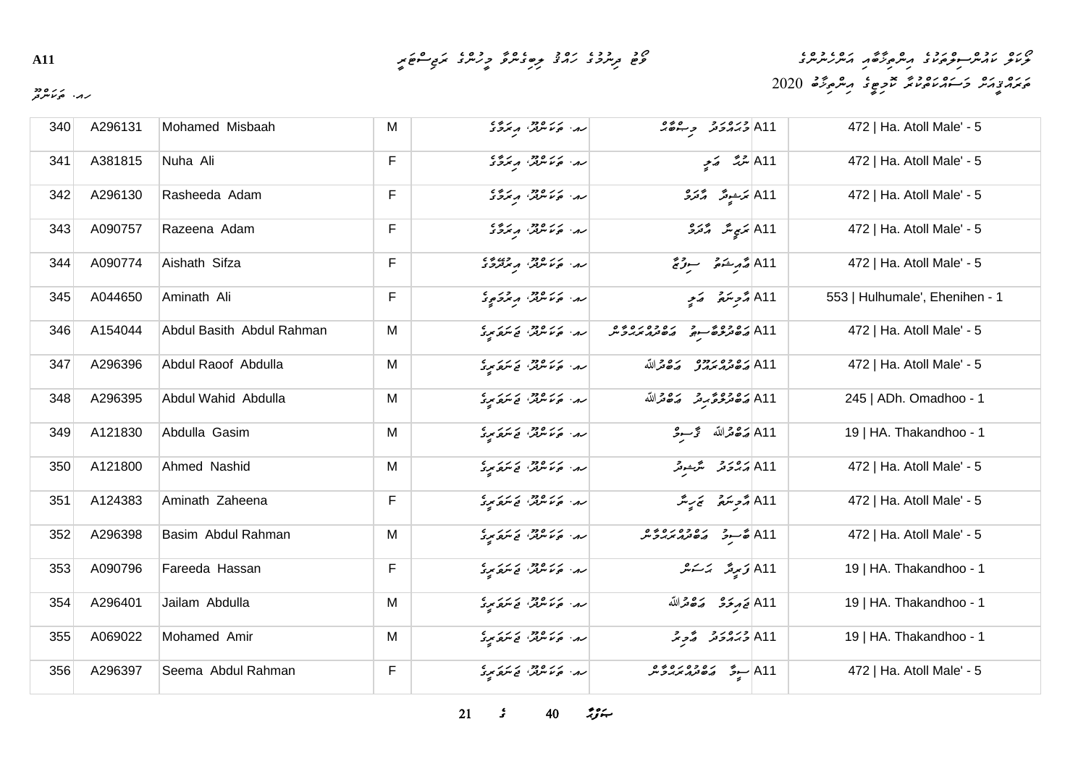*sCw7q7s5w7m< o<n9nOoAw7o< sCq;mAwBoEw7q<m; wBm;vB* م من المرة المرة المرة المرجع المرجع في المركبة 2020<br>مجم*د المريض المربوط المربع المرجع في المراجع المركبة* 

| 340 | A296131 | Mohamed Misbaah           | M           | מגי המספר המכב                                          | A11 <i>ڈبزون</i> و پی <i>ٹھ</i>                | 472   Ha. Atoll Male' - 5      |
|-----|---------|---------------------------|-------------|---------------------------------------------------------|------------------------------------------------|--------------------------------|
| 341 | A381815 | Nuha Ali                  | F           | ת היי בעיירה היי היי בי בי<br>היי היי מיית בי היי בי בי | A11 شرشہ تھ یو                                 | 472   Ha. Atoll Male' - 5      |
| 342 | A296130 | Rasheeda Adam             | F           | מגי המסתבי המכב                                         | A11 بَرَحْدٍ مَرَّ مَرْتَزَحَّرَ               | 472   Ha. Atoll Male' - 5      |
| 343 | A090757 | Razeena Adam              | $\mathsf F$ | תגי הניסית היה בי                                       | A11 بَرَى مَدَّ مَرْمَرْدَ                     | 472   Ha. Atoll Male' - 5      |
| 344 | A090774 | Aishath Sifza             | F           | رد رودد.<br>مدر نوم سرفر، در مرفرون                     | A11 مەمرىشىمە سى <i>رقى</i> مىچ                | 472   Ha. Atoll Male' - 5      |
| 345 | A044650 | Aminath Ali               | $\mathsf F$ | رد و دره در در و در و                                   | A11 مَّ حِسَمَةٌ مَسْجِبِ                      | 553   Hulhumale', Ehenihen - 1 |
| 346 | A154044 | Abdul Basith Abdul Rahman | M           |                                                         | A11 נפכפי כדי נפכס נפכס לפי היי ניספי ניני ב   | 472   Ha. Atoll Male' - 5      |
| 347 | A296396 | Abdul Raoof Abdulla       | M           | رد کے ماسول کے سرچ میری                                 | A11 يرە دەر دودە يەرە ئىراللە                  | 472   Ha. Atoll Male' - 5      |
| 348 | A296395 | Abdul Wahid Abdulla       | M           | رد او دوه د مرد او داد                                  | A11 رَصْوَرُوَحَ بِهِ مَرْحَدٍ اللَّهُ         | 245   ADh. Omadhoo - 1         |
| 349 | A121830 | Abdulla Gasim             | M           | رد. نو ما سرفر، نو سره مرد                              | A11 كَرْحْقْرْاللَّه تَوْسُوتْر                | 19   HA. Thakandhoo - 1        |
| 350 | A121800 | Ahmed Nashid              | M           | رد کے ماسرچن کے سرچ مورے                                | A11 كەش <sup>ى</sup> كەر سەر سەر ئىر           | 472   Ha. Atoll Male' - 5      |
| 351 | A124383 | Aminath Zaheena           | F           | رد. نوم مرد. نومبری                                     | A11 مَرْحِ سَمَعَ تَجَ سِتَرَ                  | 472   Ha. Atoll Male' - 5      |
| 352 | A296398 | Basim Abdul Rahman        | M           | رد او دوه د مرد او داد                                  | A11 ځمسو <del>ر</del> مصر مصر مصر م            | 472   Ha. Atoll Male' - 5      |
| 353 | A090796 | Fareeda Hassan            | F           | رد کے ماسرچر کے سرچ مور                                 | A11 کو پرنگ - ترسکنگر-                         | 19   HA. Thakandhoo - 1        |
| 354 | A296401 | Jailam Abdulla            | M           | رد. نو ما سرفر، نو سره مرد                              | A11 ق مر <del>تر</del> ى - مەھ قراللە          | 19   HA. Thakandhoo - 1        |
| 355 | A069022 | Mohamed Amir              | M           | رد و دره ده در در د                                     | A11 <i>وُبَرُوُدَوْ</i> ک <sup>و</sup> َدِيْرَ | 19   HA. Thakandhoo - 1        |
| 356 | A296397 | Seema Abdul Rahman        | F           | رد. نما مرکز، نما مرکز در                               | A11 سوڈ مەھەرە دەرە                            | 472   Ha. Atoll Male' - 5      |

 $21$  *s* 40  $29$   $\div$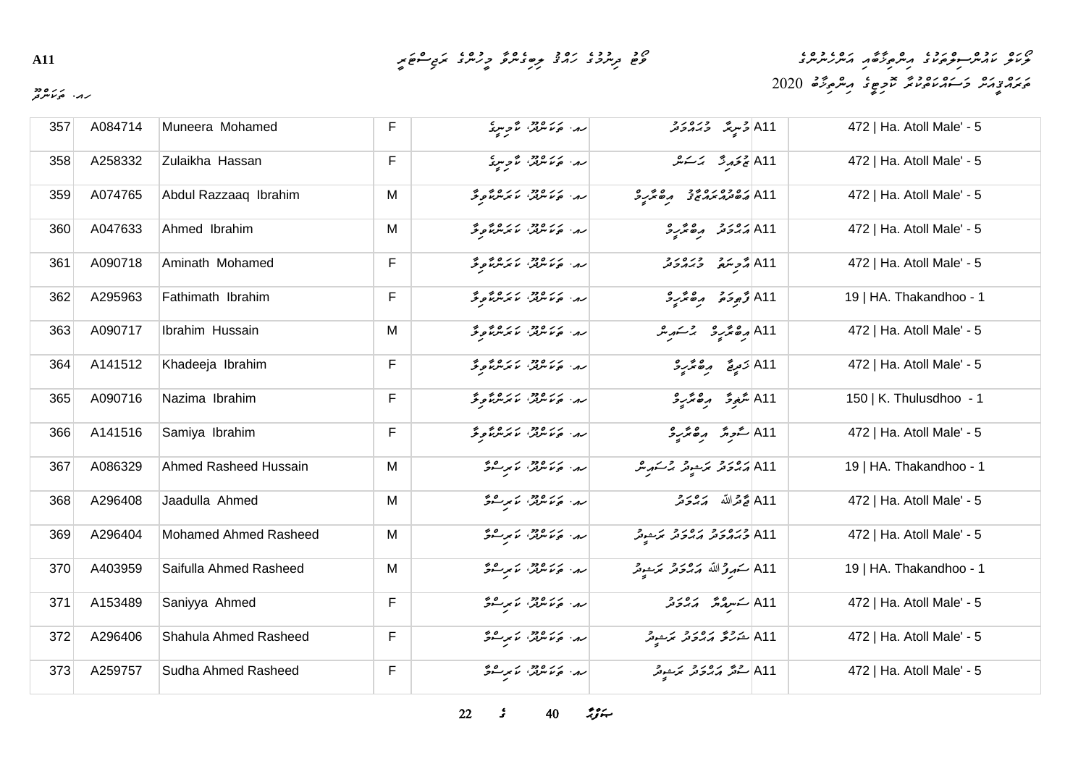*sCw7q7s5w7m< o<n9nOoAw7o< sCq;mAwBoEw7q<m; wBm;vB* م من المرة المرة المرة المرجع المرجع في المركبة 2020<br>مجم*د المريض المربوط المربع المرجع في المراجع المركبة* 

| 357 | A084714 | Muneera Mohamed              | F           | رړ ور مور ځوسو         | A11  3سٍبدَّ 3 بروترد                                | 472   Ha. Atoll Male' - 5 |
|-----|---------|------------------------------|-------------|------------------------|------------------------------------------------------|---------------------------|
| 358 | A258332 | Zulaikha Hassan              | F           | رړ ور مور ځوسو         | A11 تح تر <sub>مر</sub> رً – تر <i>س</i> كسر         | 472   Ha. Atoll Male' - 5 |
| 359 | A074765 | Abdul Razzaaq Ibrahim        | M           | رە ئەرەدە رىرە ئەرگە   | A11 كەھەممەم كەنتى مەھكرىدى                          | 472   Ha. Atoll Male' - 5 |
| 360 | A047633 | Ahmed Ibrahim                | M           | رە، ئەسلىق ئايرىق ئەس  | A11 كەبروتىر ب <i>ەھگرى</i> ۋ                        | 472   Ha. Atoll Male' - 5 |
| 361 | A090718 | Aminath Mohamed              | F           | رە ئەرەدە رىرە ئەرگە   | A11 مُتَّحِسَمَةُ فَرَيْدَوْمَتْرَ                   | 472   Ha. Atoll Male' - 5 |
| 362 | A295963 | Fathimath Ibrahim            | $\mathsf F$ | رە ئەرەدە رىرە ئەرگە   | A11 وَج <sub>و</sub> حَمَّةَ مِنْ مَحْرِبِ 3         | 19   HA. Thakandhoo - 1   |
| 363 | A090717 | Ibrahim Hussain              | M           | رد. ئەر ئەدەر رىرە ئەر | A11 مەھەردى بىر ئەسەمبىر                             | 472   Ha. Atoll Male' - 5 |
| 364 | A141512 | Khadeeja Ibrahim             | F           | رە ئەرەدە رىرە ئەرگە   | A11 كَتَمِيعٌ مِنْ صُحَّرٍ وَ                        | 472   Ha. Atoll Male' - 5 |
| 365 | A090716 | Nazima Ibrahim               | F           | رە، ئەسلىق ئايرىق ئەس  | A11 سَّنجِرَ مُتَّصَمَّرِ وَ                         | 150   K. Thulusdhoo - 1   |
| 366 | A141516 | Samiya Ibrahim               | F           | رد. وزاه در ۱۵۵۰ و.    | A11 سُمريرٌ م <i>ِ هِ مُ</i> رِدْ                    | 472   Ha. Atoll Male' - 5 |
| 367 | A086329 | <b>Ahmed Rasheed Hussain</b> | M           | מגי תמייתות ומתייכל    | A11 كەبۇبۇقر بۇيغوقر بۇسكەپ بىر                      | 19   HA. Thakandhoo - 1   |
| 368 | A296408 | Jaadulla Ahmed               | M           | رە بەرەدە ئايرىش       |                                                      | 472   Ha. Atoll Male' - 5 |
| 369 | A296404 | Mohamed Ahmed Rasheed        | M           | رد ورود رود            | A11 <i>وَبَرُودُوَ تَرُودُ بَرَ</i> حُوثَرُ          | 472   Ha. Atoll Male' - 5 |
| 370 | A403959 | Saifulla Ahmed Rasheed       | M           | رە بە ئەرەدە كەيرىشى   | A11 كمركز الله كديرة مرجومر                          | 19   HA. Thakandhoo - 1   |
| 371 | A153489 | Saniyya Ahmed                | $\mathsf F$ | رە بەر ەدە ئايرىش      | A11 سَمَسِ <i>مْہُ مَدْدَمْد</i> ِ                   | 472   Ha. Atoll Male' - 5 |
| 372 | A296406 | Shahula Ahmed Rasheed        | F           | מגי תמייתות ומתייכל    | A11 خەرج كەردى كەخوش                                 | 472   Ha. Atoll Male' - 5 |
| 373 | A259757 | Sudha Ahmed Rasheed          | F           | رە بەر ەدە ئايرىشى     | A11 سىنگە ئ <i>ەبمى</i> تۈگە ئىزىنى <sub>ي</sub> ەتر | 472   Ha. Atoll Male' - 5 |

*r@w7m;mA .<5*

 $22$  *s*  $40$  *n*<sub>3</sub> *s*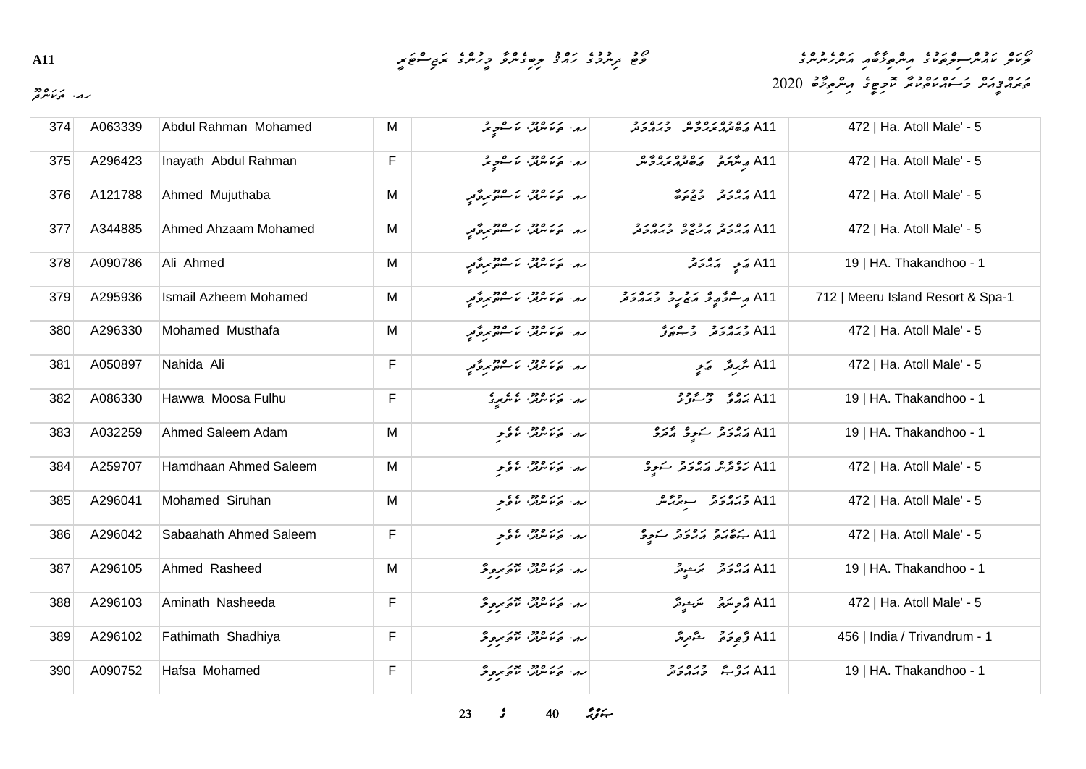*sCw7q7s5w7m< o<n9nOoAw7o< sCq;mAwBoEw7q<m; wBm;vB* م من المرة المرة المرة المرجع المرجع في المركبة 2020<br>مجم*د المريض المربوط المربع المرجع في المراجع المركبة* 

| 374 | A063339 | Abdul Rahman Mohamed   | M           | رە بە ئەس ئەس ئەس                  | A11 كەھەممەر 2006 - 2006 كەندى                          | 472   Ha. Atoll Male' - 5         |
|-----|---------|------------------------|-------------|------------------------------------|---------------------------------------------------------|-----------------------------------|
| 375 | A296423 | Inayath Abdul Rahman   | F           | رړ ور دوه تر ده د                  | A11 م شرح ده ده ده ده م                                 | 472   Ha. Atoll Male' - 5         |
| 376 | A121788 | Ahmed Mujuthaba        | M           | رد و ما سرقر المستوجد و محمد       | A11 كەبرو مەدەرە                                        | 472   Ha. Atoll Male' - 5         |
| 377 | A344885 | Ahmed Ahzaam Mohamed   | M           | رړ ور ده د ده د ورځ پر             | A11 كەبروتى كەرگە ئەرەر د                               | 472   Ha. Atoll Male' - 5         |
| 378 | A090786 | Ali Ahmed              | M           | رړ ور د ده د د ورځ م               | A11  رَمِ دَرُدَوَدَ                                    | 19   HA. Thakandhoo - 1           |
| 379 | A295936 | Ismail Azheem Mohamed  | M           | رړ ور د ده د د ورځ م               | A11 <sub>م</sub> ر شۇ <sub>م</sub> پۇ كەيم يەر 11.5 مىل | 712   Meeru Island Resort & Spa-1 |
| 380 | A296330 | Mohamed Musthafa       | M           | رړ ور ده د ده ده د کلي             | A11 ويرەرو ورورو                                        | 472   Ha. Atoll Male' - 5         |
| 381 | A050897 | Nahida Ali             | F           | رړ ور دو د ده د عوم د کل           | A11  شَرِقَر <sub>م</sub> َرِ                           | 472   Ha. Atoll Male' - 5         |
| 382 | A086330 | Hawwa Moosa Fulhu      | F           | رد کار دور ده د کار کار د کاربرد ک | A11 بزوی و مسئور                                        | 19   HA. Thakandhoo - 1           |
| 383 | A032259 | Ahmed Saleem Adam      | M           | رە بەر ەدە ئەتە                    | A11   كەبرى قرىرى ئەرە ئەرە                             | 19   HA. Thakandhoo - 1           |
| 384 | A259707 | Hamdhaan Ahmed Saleem  | M           | رد. ورکاره دوران د                 | A11  رَوْتَرْسْ بَرْرُدَتْرْ سَعِرِوْ                   | 472   Ha. Atoll Male' - 5         |
| 385 | A296041 | Mohamed Siruhan        | M           | رد. ورسود در د                     | A11 <i>دېنه دو</i> سوپرته په                            | 472   Ha. Atoll Male' - 5         |
| 386 | A296042 | Sabaahath Ahmed Saleem | F           | رد. ورکارود داد و                  | A11 بنۇرۇ مەدەر سىرو                                    | 472   Ha. Atoll Male' - 5         |
| 387 | A296105 | Ahmed Rasheed          | M           | رړ وره د سر د عرون                 | A11 كەبرى كى - كەرسى تەركىسى ئىش بىر ئا                 | 19   HA. Thakandhoo - 1           |
| 388 | A296103 | Aminath Nasheeda       | $\mathsf F$ | رړ وره د سر د عرون                 | A11 مَّ حِ سَمَّة مَسَّبِقَّد                           | 472   Ha. Atoll Male' - 5         |
| 389 | A296102 | Fathimath Shadhiya     | F           | رړ، پر دوه سر سره نو               | A11 <i>وَّجِ دَمَّة</i> شَّمَي <i>رة</i> ً              | 456   India / Trivandrum - 1      |
| 390 | A090752 | Hafsa Mohamed          | F           | رړ ورده سر د کلمه کلمه کلمه د کلمه | A11 ټرم په د پروتر                                      | 19   HA. Thakandhoo - 1           |

*23 sC 40 nNw?mS*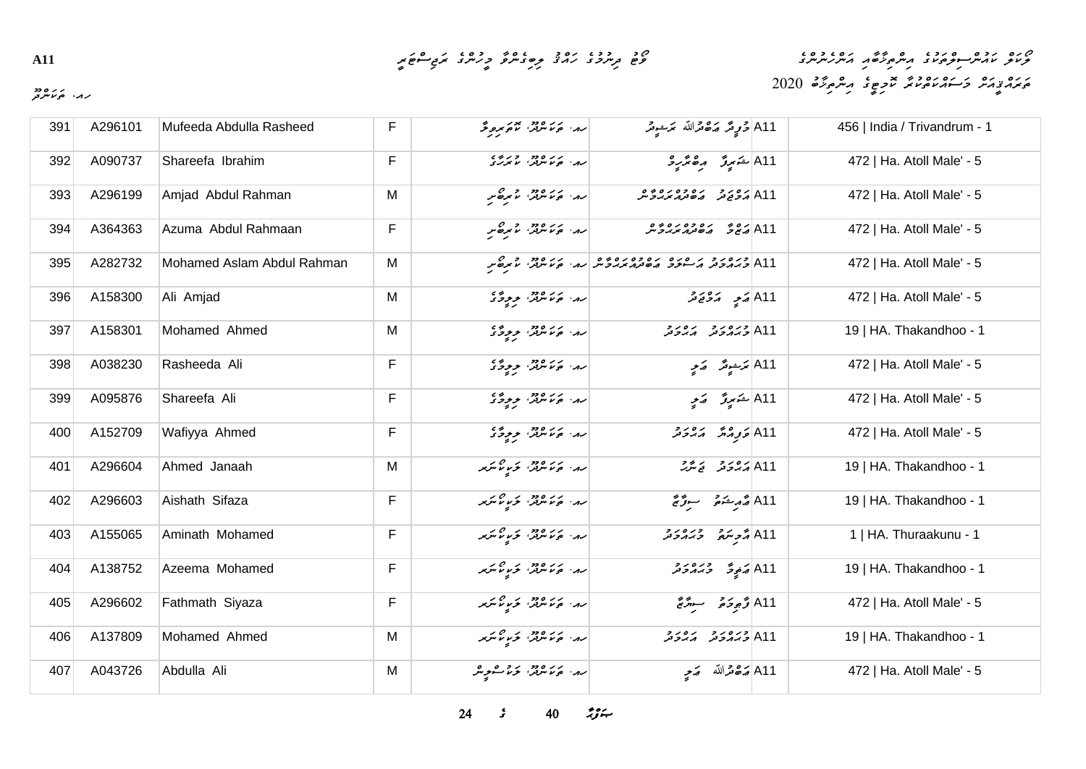*sCw7q7s5w7m< o<n9nOoAw7o< sCq;mAwBoEw7q<m; wBm;vB* م من المرة المرة المرة المرجع المرجع في المركبة 2020<br>مجم*د المريض المربوط المربع المرجع في المراجع المركبة* 

| 391 | A296101 | Mufeeda Abdulla Rasheed    | F           | رە ئەر مەدە بىر ئور ئو              | A11 وُوِيَّر مَرْهُ مِرْاللَّه مَرْسُوِيْر           | 456   India / Trivandrum - 1 |
|-----|---------|----------------------------|-------------|-------------------------------------|------------------------------------------------------|------------------------------|
| 392 | A090737 | Shareefa Ibrahim           | F           | גז, פעיקר, בגבע<br>גז, פעיקר, עינגע | A11 خىمبى <i>رَة مەھەترى</i> رى                      | 472   Ha. Atoll Male' - 5    |
| 393 | A296199 | Amjad Abdul Rahman         | М           | رد. وناسري المرضر                   | A11 كەم بەر مەدەپرە تەرەپ بىر                        | 472   Ha. Atoll Male' - 5    |
| 394 | A364363 | Azuma Abdul Rahmaan        | F           | ת הנסייה בים                        | A11 كەنتى ئەھمەر مەمەر <i>ھەمەر ھەمەر ھەمەر</i>      | 472   Ha. Atoll Male' - 5    |
| 395 | A282732 | Mohamed Aslam Abdul Rahman | M           |                                     | A11 כמותכת ה מינים מסינות ממכשים מות הממינה יות המית | 472   Ha. Atoll Male' - 5    |
| 396 | A158300 | Ali Amjad                  | M           | رړ ور دوه وووی                      | A11  ر <i>َجِ دَدْف</i> َة                           | 472   Ha. Atoll Male' - 5    |
| 397 | A158301 | Mohamed Ahmed              | M           | رو ۱۰ مورده و دور                   | A11 <i>32023 م.20</i> م                              | 19   HA. Thakandhoo - 1      |
| 398 | A038230 | Rasheeda Ali               | $\mathsf F$ | رە، ئۇناشقى بويدۇ ئ                 | A11 <sub>مَک</sub> شوِمَّر ک <sup>ے</sup> مح         | 472   Ha. Atoll Male' - 5    |
| 399 | A095876 | Shareefa Ali               | F           | رړ ، ځانگړنې ووځ                    | A11 ڪمبر <i>گ مک</i> م                               | 472   Ha. Atoll Male' - 5    |
| 400 | A152709 | Wafiyya Ahmed              | F           | رړ ور دوه ووځ                       | A11 <i>قۇچىڭ خى</i> ر <i>قى</i> ر                    | 472   Ha. Atoll Male' - 5    |
| 401 | A296604 | Ahmed Janaah               | M           | رە بە ئەس ئەرەبىر                   | A11 كەبۇر كىمە قى ئىگ <sup>ى</sup> ر                 | 19   HA. Thakandhoo - 1      |
| 402 | A296603 | Aishath Sifaza             | F           | رە بە ئەس ئەرەپىر                   | A11 مَگْرِسْتَعْمُ سِوَزْيَجْ                        | 19   HA. Thakandhoo - 1      |
| 403 | A155065 | Aminath Mohamed            | $\mathsf F$ | رە ئەرەدە ئەرەئىر                   | A11 مُتَّحِسَمَةُ تَحْدَمُدْوَمْر                    | 1   HA. Thuraakunu - 1       |
| 404 | A138752 | Azeema Mohamed             | F           | رد و ده ده و د کار کار کار کرد .    | A11 كەنچەدىتى ھەرەر دىر                              | 19   HA. Thakandhoo - 1      |
| 405 | A296602 | Fathmath Siyaza            | $\mathsf F$ | رە ئەرەدە ئەرەئىرى                  | A11 رَّجِوحَة مَ سِيرَةً مَّ                         | 472   Ha. Atoll Male' - 5    |
| 406 | A137809 | Mohamed Ahmed              | M           | رەس ئەرەج ئورائىلىرىم               | A11 <i>وبرودو برور</i> و                             | 19   HA. Thakandhoo - 1      |
| 407 | A043726 | Abdulla Ali                | M           | رړ ور ور د د وه کرونگر              | A11 كەڭداللە كەمچ                                    | 472   Ha. Atoll Male' - 5    |

 $24$  *s*  $40$   $23$   $\div$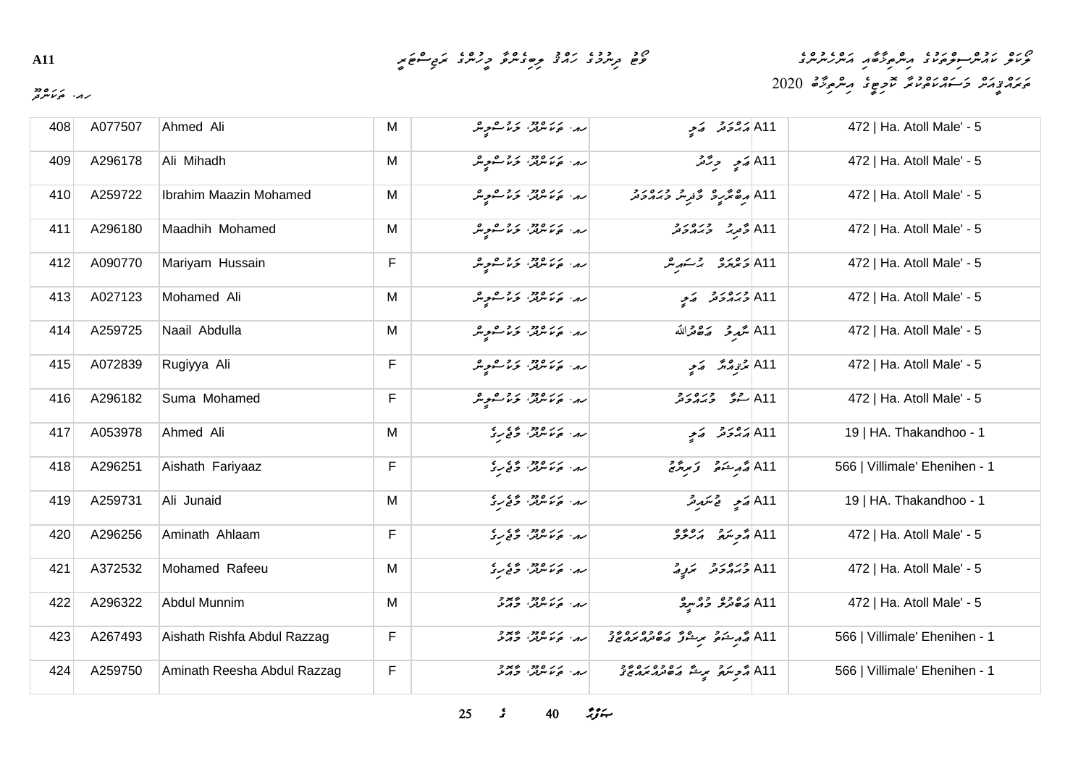*sCw7q7s5w7m< o<n9nOoAw7o< sCq;mAwBoEw7q<m; wBm;vB* م من المرة المرة المرة المرجع المرجع في المركبة 2020<br>مجم*د المريض المربوط المربع المرجع في المراجع المركبة* 

| 408 | A077507 | Ahmed Ali                   | M           | رە بەر ئەدەر بەر قايرىش                                                                                        | A11  پَرْدُوَسْ کَمَ مِ                         | 472   Ha. Atoll Male' - 5     |
|-----|---------|-----------------------------|-------------|----------------------------------------------------------------------------------------------------------------|-------------------------------------------------|-------------------------------|
| 409 | A296178 | Ali Mihadh                  | M           | رړ غریده ده کره شوین                                                                                           | A11  رَمِ وِرَّتْر                              | 472   Ha. Atoll Male' - 5     |
| 410 | A259722 | Ibrahim Maazin Mohamed      | M           | رړ ور ده. د د ه عوش                                                                                            | A11 مەھمگەر ئۇنى ئەدەر دىر                      | 472   Ha. Atoll Male' - 5     |
| 411 | A296180 | Maadhih Mohamed             | M           | رړ ور ده. د د ه وه                                                                                             | A11  <i>وَّتْرِيرْ - وَيَدْوَ</i> تْرُ          | 472   Ha. Atoll Male' - 5     |
| 412 | A090770 | Mariyam Hussain             | F           | رړ ور دوه ده د وه ده                                                                                           | A11 كەبەيرى بەسەر ش                             | 472   Ha. Atoll Male' - 5     |
| 413 | A027123 | Mohamed Ali                 | M           | رړ وره ده ده ده شوپنگ                                                                                          |                                                 | 472   Ha. Atoll Male' - 5     |
| 414 | A259725 | Naail Abdulla               | M           | رړ ور دوه ده د وه ده                                                                                           | A11 سَمَعِ قَر مَرْكَ مَدَاللّه                 | 472   Ha. Atoll Male' - 5     |
| 415 | A072839 | Rugiyya Ali                 | F           | رړ ، وړ پر ده ده کره د کل                                                                                      | A11 ترت <sub>و</sub> ثر بھ کی ج                 | 472   Ha. Atoll Male' - 5     |
| 416 | A296182 | Suma Mohamed                | F           | رړ ور ور د د و هم                                                                                              | A11 كىمى مەرەبەر                                | 472   Ha. Atoll Male' - 5     |
| 417 | A053978 | Ahmed Ali                   | M           | رد. نور ماردود. نوع در م                                                                                       | A11 كەبۇ5 <i>قەرى</i> م                         | 19   HA. Thakandhoo - 1       |
| 418 | A296251 | Aishath Fariyaaz            | $\mathsf F$ | رد کرده ده ده د د کار کار د کار د کار کرد که د ایران که د ایران که در ایران که در ایران که در ایران که د ایران | A11 مَدْمِ شَدَهْ فَرَمَ مِدْمَنَ               | 566   Villimale' Ehenihen - 1 |
| 419 | A259731 | Ali Junaid                  | M           | رد. نور ماردود. نوع در م                                                                                       | A11 <i>ھَ۔ ج</i> شَمِيش                         | 19   HA. Thakandhoo - 1       |
| 420 | A296256 | Aminath Ahlaam              | F           | رد کار دود ده د                                                                                                | A11 مَّ حِسَمَ مَرْتَوْتَرَ                     | 472   Ha. Atoll Male' - 5     |
| 421 | A372532 | Mohamed Rafeeu              | M           | رد کا سرفر دی د                                                                                                | A11 <i>وُبَرُوُوَ</i> تَرَ نَمَر <i>ُوِهُ</i> َ | 472   Ha. Atoll Male' - 5     |
| 422 | A296322 | <b>Abdul Munnim</b>         | M           | גני המיטר באיבר<br>גני המיטריקטי בניבר                                                                         | A11 رَصْوَرُ وَثَرْ سِرْدَ                      | 472   Ha. Atoll Male' - 5     |
| 423 | A267493 | Aishath Rishfa Abdul Razzag | $\mathsf F$ | $3 \times 6$ $30 / 7$<br>$3 \times 6$ $3 \times 10$                                                            | A11 گەرىشىم ئېرىشى ئەھەمەمەدە بەيج              | 566   Villimale' Ehenihen - 1 |
| 424 | A259750 | Aminath Reesha Abdul Razzag | F           | גז בניסח במי                                                                                                   | A11 څو سره په سنه مصر مصر د د پر                | 566   Villimale' Ehenihen - 1 |

 $25$  *s* 40  $25$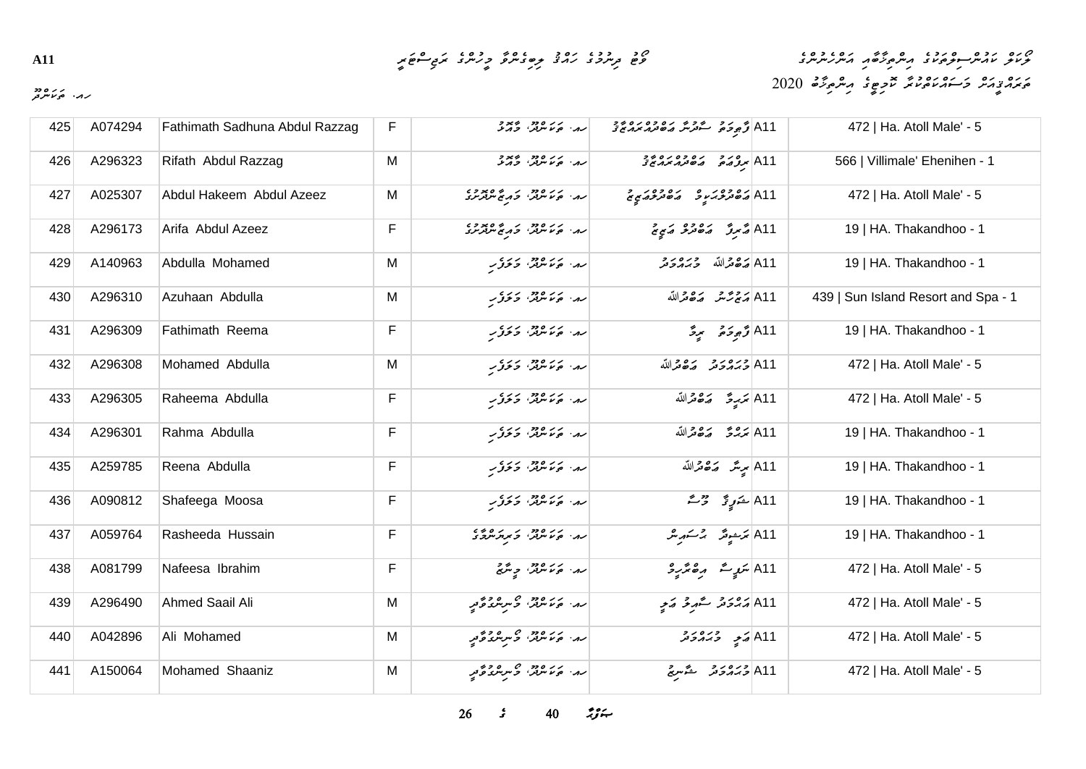*sCw7q7s5w7m< o<n9nOoAw7o< sCq;mAwBoEw7q<m; wBm;vB* م من المسجد المسجد المسجد المسجد المسجد العام 2020<br>مسجد المسجد المسجد المسجد المسجد المسجد المسجد المسجد المسجد ال

| 425 | A074294 | Fathimath Sadhuna Abdul Razzag | F           | رړ ور ور ويده                                                                                                 | A11 ژ <sub>ج ح</sub> رم گرمر پره در مربر پر  | 472   Ha. Atoll Male' - 5           |
|-----|---------|--------------------------------|-------------|---------------------------------------------------------------------------------------------------------------|----------------------------------------------|-------------------------------------|
| 426 | A296323 | Rifath Abdul Razzag            | M           | גג הגסדו המיד<br>גגי המייקותי בגיג                                                                            | A11 بروره ده ده دره دو                       | 566   Villimale' Ehenihen - 1       |
| 427 | A025307 | Abdul Hakeem Abdul Azeez       | M           | رد. و د مرود د کرد و د د د                                                                                    | A11 ג <sup>220</sup> پر د مق <i>ومت</i> ې چ  | 472   Ha. Atoll Male' - 5           |
| 428 | A296173 | Arifa Abdul Azeez              | F           | ג ה מיתה גם מינים ברי                                                                                         | A11 مَيْ مِنْ مَصْرَفْرَ مَنْ مِنْ مِنْ      | 19   HA. Thakandhoo - 1             |
| 429 | A140963 | Abdulla Mohamed                | M           | رد کار دور کاری                                                                                               | A11 كەھەراللە جەم دىر                        | 19   HA. Thakandhoo - 1             |
| 430 | A296310 | Azuhaan Abdulla                | M           | رد کار دور کاری                                                                                               | A11 كەنتەشقە كەھەگە للە                      | 439   Sun Island Resort and Spa - 1 |
| 431 | A296309 | Fathimath Reema                | F           | رە بەر مەھ ئەتەر                                                                                              | A11  <i>وَّج</i> وحَمْ مَمِرَّدَ             | 19   HA. Thakandhoo - 1             |
| 432 | A296308 | Mohamed Abdulla                | M           | رد کار دور کاری                                                                                               | A11 <i>وَبَرُووَتَرَ مَ</i> هُ مَرْاللّه     | 472   Ha. Atoll Male' - 5           |
| 433 | A296305 | Raheema Abdulla                | F           | رە بەر ەدە ئەزەر                                                                                              | A11 <i>مَدَبِ قَرَّ مَرَّةَ مَدَ</i> اللَّه  | 472   Ha. Atoll Male' - 5           |
| 434 | A296301 | Rahma Abdulla                  | F           | رە بەر ەدە ئەرى                                                                                               | A11 تريري كەن ئاللە                          | 19   HA. Thakandhoo - 1             |
| 435 | A259785 | Reena Abdulla                  | $\mathsf F$ | رد کار دور کار کار کار دید که به این کار به این کار به این کار با کار کار با با با با با با با با با با با با | A11 مرتز كەھەراللە                           | 19   HA. Thakandhoo - 1             |
| 436 | A090812 | Shafeega Moosa                 | F           | رە بەر ەدە ئەرى                                                                                               | A11  ڪررِ گر گرگ                             | 19   HA. Thakandhoo - 1             |
| 437 | A059764 | Rasheeda Hussain               | F           | תגם כבר ביתות בים                                                                                             | A11  مَدَسْوِتَر کے سَمرِ مَر                | 19   HA. Thakandhoo - 1             |
| 438 | A081799 | Nafeesa Ibrahim                | F           | رړ، ئونو سرچر، تر سرچ                                                                                         | A11 سَمِرٍے مِنھُ مَّرِدُّ                   | 472   Ha. Atoll Male' - 5           |
| 439 | A296490 | Ahmed Saail Ali                | M           | رړ ور ور مسره دو.                                                                                             | A11  پرچريز مس <i>مبر</i> تی <sub>ہے ج</sub> | 472   Ha. Atoll Male' - 5           |
| 440 | A042896 | Ali Mohamed                    | M           | رړ ورو وسره ورو وي                                                                                            | A11 كەير - ئ <i>ەنەۋەت</i> ر                 | 472   Ha. Atoll Male' - 5           |
| 441 | A150064 | Mohamed Shaaniz                | M           | رړ ور ور مسره دو.                                                                                             | A11 <i>وُبَرُوْدَ تَدْ مِيْ</i> مِيْ         | 472   Ha. Atoll Male' - 5           |

*r@w7m;mA .<5*

 $26$  *s*  $40$  *z*  $25$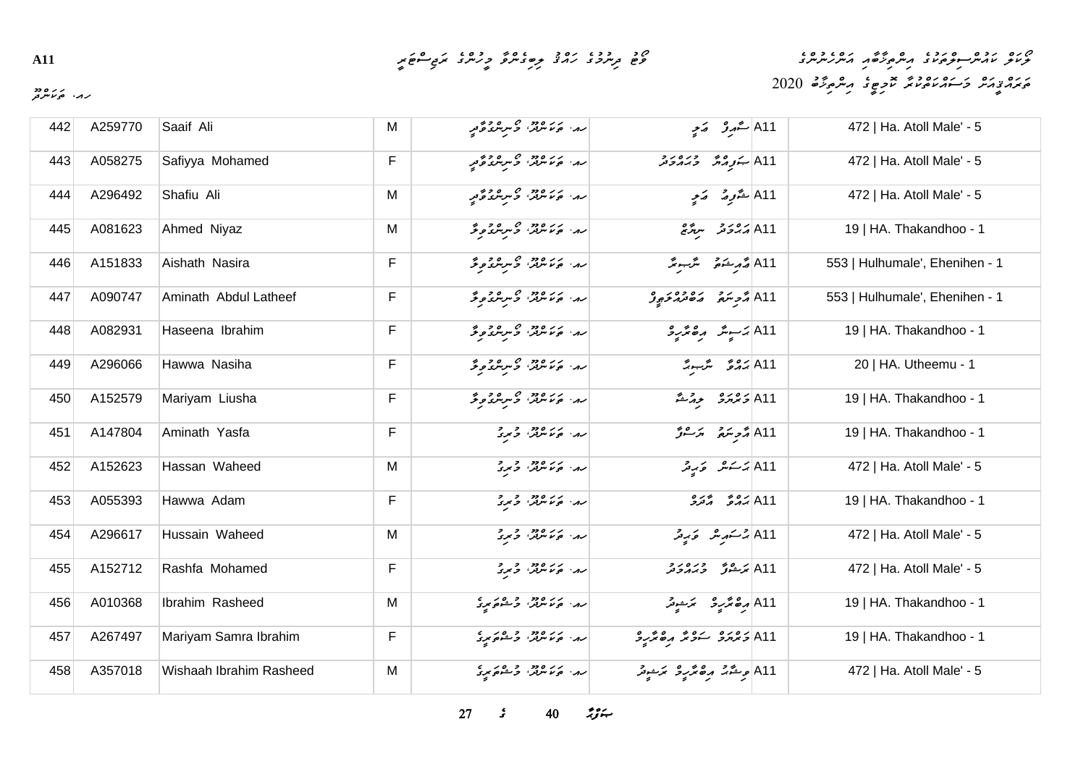*sCw7q7s5w7m< o<n9nOoAw7o< sCq;mAwBoEw7q<m; wBm;vB* م من المرة المرة المرة المرجع المرجع في المركبة 2020<br>مجم*د المريض المربوط المربع المرجع في المراجع المركبة* 

| 442 | A259770 | Saaif Ali               | M           | رړ ور وو وسرچرو د        | A11 ڪ <sub>مبر</sub> و <sub>صَ</sub> جِ          | 472   Ha. Atoll Male' - 5      |
|-----|---------|-------------------------|-------------|--------------------------|--------------------------------------------------|--------------------------------|
| 443 | A058275 | Safiyya Mohamed         | F           | رړ ور دوه وسره دول       | A11 بتوپرچم محمد <i>حدد ح</i> قر                 | 472   Ha. Atoll Male' - 5      |
| 444 | A296492 | Shafiu Ali              | M           | رړ ور ور وسره ده د       | A11 ڪ <i>ُورُ - مَ</i> حِ                        | 472   Ha. Atoll Male' - 5      |
| 445 | A081623 | Ahmed Niyaz             | M           | رړ، پره دو، حس عروف      | A11   كەش <sup>ى</sup> كەنگە ئىس بىر كىلىم       | 19   HA. Thakandhoo - 1        |
| 446 | A151833 | Aishath Nasira          | F           | رە، ئۆتۈشلەق كەسلەر ئولۇ | A11 مَدْمِرْ مَسْمَعْ مِّرْسِومِّدْ              | 553   Hulhumale', Ehenihen - 1 |
| 447 | A090747 | Aminath Abdul Latheef   | $\mathsf F$ | رە ئەرەددە ئەسرىكرىمۇ    | A11 مُرَحِسَمَ مَصْرَمَ مَعْرَمَ مَعْرِفَرَ مِنْ | 553   Hulhumale', Ehenihen - 1 |
| 448 | A082931 | Haseena Ibrahim         | F           | رە ئەسلار ئەھرىر ئەرەپ   | A11  برَسبِسَّر المُتَّارِدُّ و                  | 19   HA. Thakandhoo - 1        |
| 449 | A296066 | Hawwa Nasiha            | F           | رە ئەر ئەدە ئەس ئوقر     | A11 بَرْدُعٌ سَّرْسِتٌ                           | 20   HA. Utheemu - 1           |
| 450 | A152579 | Mariyam Liusha          | F           | رە ئەنەرەدە ئەسرىكرىمۇ   | A11 كايرونز و مركز بين                           | 19   HA. Thakandhoo - 1        |
| 451 | A147804 | Aminath Yasfa           | F           | מגי הממינק - כ           | A11 مَّ حِسَمَة مَ مَرْ شَوَّ                    | 19   HA. Thakandhoo - 1        |
| 452 | A152623 | Hassan Waheed           | M           | ת הן סידור בית ב         | A11   پرسکس کا <sub>مح</sub> ارثر                | 472   Ha. Atoll Male' - 5      |
| 453 | A055393 | Hawwa Adam              | F           | رد. نور سرفر و د د       | A11 بَرْدُمَّ مُرْمَرْدُ                         | 19   HA. Thakandhoo - 1        |
| 454 | A296617 | Hussain Waheed          | M           | رد. و ما سربر، و برو     | A11  بڑے <sub>مر</sub> یثر ۔ <sub>حکی</sub> ثر   | 472   Ha. Atoll Male' - 5      |
| 455 | A152712 | Rashfa Mohamed          | F           | رد. نور موده و در د      | A11 بَرَسْوَدٌ وَبَرْدُونَدِ                     | 472   Ha. Atoll Male' - 5      |
| 456 | A010368 | Ibrahim Rasheed         | M           | رد. ئەن سرفر، ئەشھەمرى   | A11 مەھەرىپ كىمىسى ئىرىدىن A11                   | 19   HA. Thakandhoo - 1        |
| 457 | A267497 | Mariyam Samra Ibrahim   | F           | رد در دود و در در د      | A11 كەبرىرى سەۋىگە مەھە <i>گرى</i> دى            | 19   HA. Thakandhoo - 1        |
| 458 | A357018 | Wishaah Ibrahim Rasheed | M           | رد. و د سرود و د در د د  | A11  مِسْتَمَّدْ مِرْهُ مَّرْرِدْ مَرَسِوْرْ     | 472   Ha. Atoll Male' - 5      |

*27 sC 40 nNw?mS*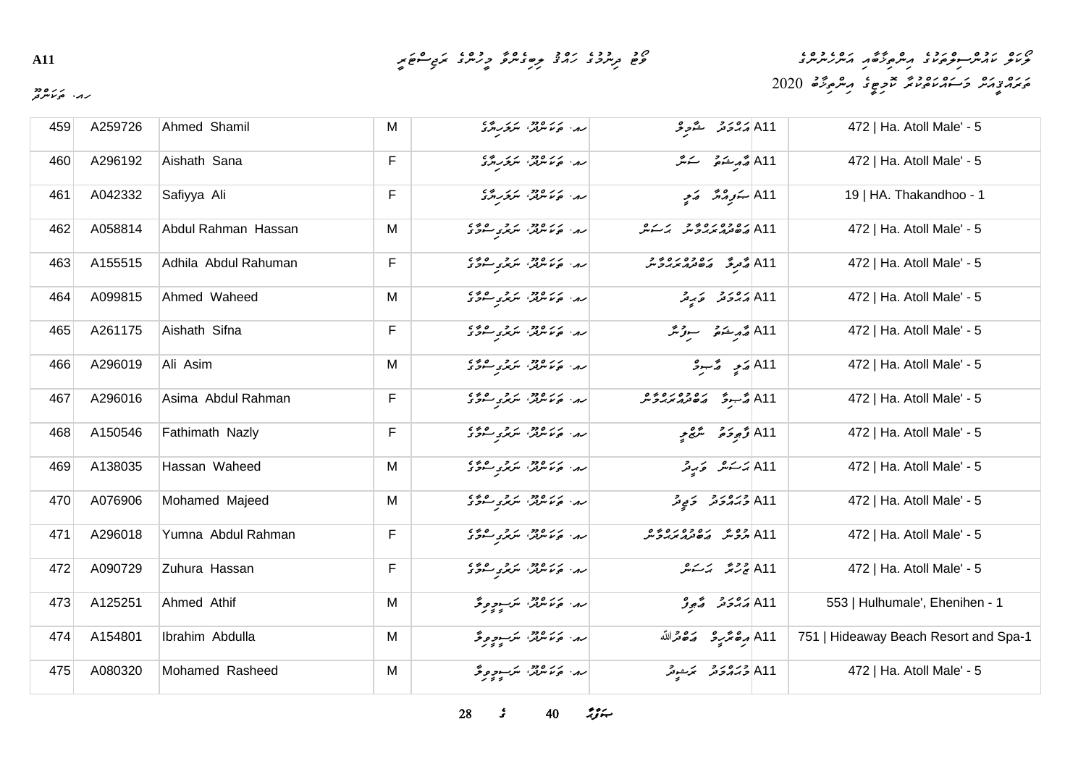*sCw7q7s5w7m< o<n9nOoAw7o< sCq;mAwBoEw7q<m; wBm;vB* م من المسجد المسجد المسجد المسجد المسجد العام 2020<br>مسجد المسجد المسجد المسجد المسجد المسجد المسجد المسجد المسجد ال

| 459 | A259726 | Ahmed Shamil         | M           | رە ئەسلامى ئەيزىدە              | A11 كەرىمى ئىس ئىقى بىر ئى                 | 472   Ha. Atoll Male' - 5             |
|-----|---------|----------------------|-------------|---------------------------------|--------------------------------------------|---------------------------------------|
| 460 | A296192 | Aishath Sana         | F           | رد. نو ما سرقر، سرگر سرگر       | A11 مَدْمِرْ يَسْمَعْرُ سَمَّتْرَ          | 472   Ha. Atoll Male' - 5             |
| 461 | A042332 | Safiyya Ali          | F           | رد. نو ما سرقر، سرگر سرگر       | A11  ب <i>ے تو چگ</i> ر کھیے               | 19   HA. Thakandhoo - 1               |
| 462 | A058814 | Abdul Rahman Hassan  | M           | رد و دود برو و ده               | A11 كەھەممەم بەر كەسكەر                    | 472   Ha. Atoll Male' - 5             |
| 463 | A155515 | Adhila Abdul Rahuman | F           | رد وړيو د د ده ده               | A11 كەبىرى كەھەركە <i>مەدە</i> رى بىر      | 472   Ha. Atoll Male' - 5             |
| 464 | A099815 | Ahmed Waheed         | M           | رړ ور دو.<br>رړ وړس در سرچ      | A11 كەبۇبۇقر - كەبەتر                      | 472   Ha. Atoll Male' - 5             |
| 465 | A261175 | Aishath Sifna        | F           | رړ وړ ده. مرکز ۱۶۶              | A11 ۾ مرڪومر - سورشر                       | 472   Ha. Atoll Male' - 5             |
| 466 | A296019 | Ali Asim             | M           | رړ ور ور در د ده                | A11 رَمِ گَسِورُ                           | 472   Ha. Atoll Male' - 5             |
| 467 | A296016 | Asima Abdul Rahman   | F           | رد وړيو د د ده ده               | A11 گەسىر ئەھەرمەمەر ئاس                   | 472   Ha. Atoll Male' - 5             |
| 468 | A150546 | Fathimath Nazly      | $\mathsf F$ | رړ وړ ده. مرکز ۱۶۶              | A11 زَّجِردَةُ مَتَّتَحْرِ                 | 472   Ha. Atoll Male' - 5             |
| 469 | A138035 | Hassan Waheed        | M           | رړ وړ ده. مرکز ۱۶۶              | A11  پرسترش ت <i>ح</i> پر تقر              | 472   Ha. Atoll Male' - 5             |
| 470 | A076906 | Mohamed Majeed       | M           | رړ ور دو.<br>رړ وړس در سرچ      | A11 <i>5 بزون بي تو</i> تر                 | 472   Ha. Atoll Male' - 5             |
| 471 | A296018 | Yumna Abdul Rahman   | F           | رد وړيو د د ده ده               | A11 ترويژ پر موده بره ويژ                  | 472   Ha. Atoll Male' - 5             |
| 472 | A090729 | Zuhura Hassan        | F           | رړ ور دو.<br>رړ وړس در سرچ      | A11 يحريجه - برسك <i>يم</i>                | 472   Ha. Atoll Male' - 5             |
| 473 | A125251 | Ahmed Athif          | M           | رړ ور ده.<br>سر موسرين سر د ورځ | A11 كەنزىق ھەدى                            | 553   Hulhumale', Ehenihen - 1        |
| 474 | A154801 | Ibrahim Abdulla      | M           | رە بە ئەس ئەسورى                | A11 م <i>وڭ مَدَّرٍ \$ مَدَّ</i> مَّاللَّه | 751   Hideaway Beach Resort and Spa-1 |
| 475 | A080320 | Mohamed Rasheed      | M           | رړ . ه د مربن سرب د پروگ        | A11 <i>وُبَرُهُ وَمَرْ</i> کَرَحْدِتْرُ    | 472   Ha. Atoll Male' - 5             |

*28 sC 40 nNw?mS*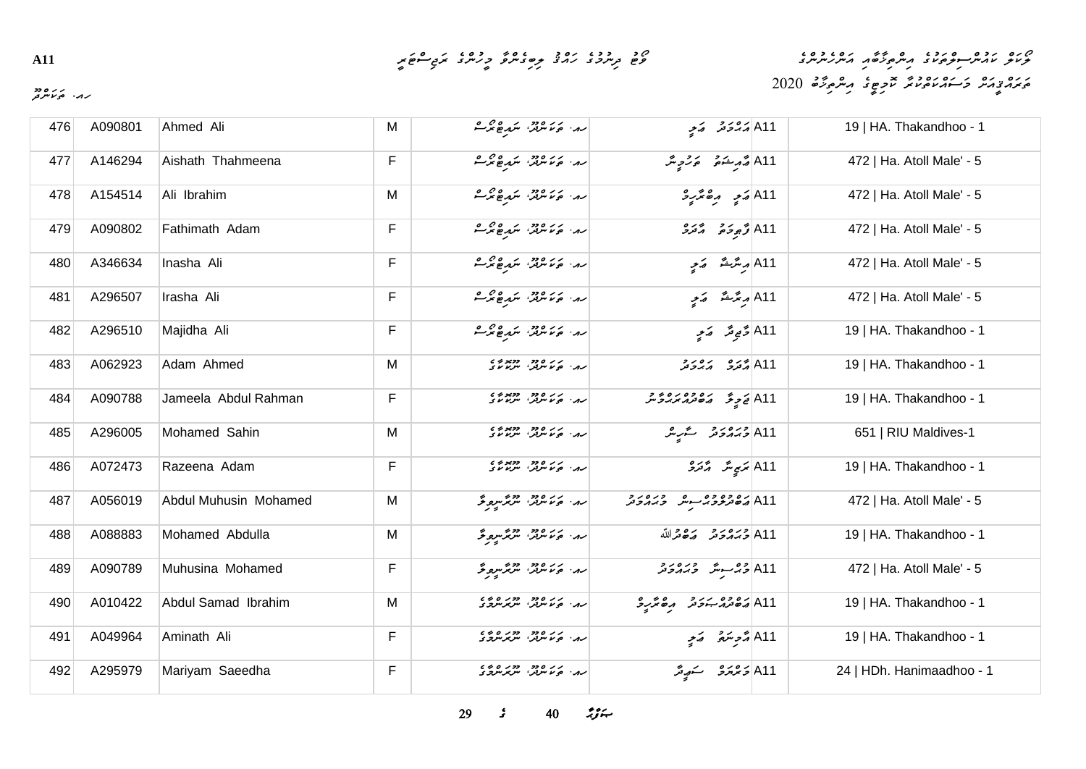*sCw7q7s5w7m< o<n9nOoAw7o< sCq;mAwBoEw7q<m; wBm;vB* م من المرة المرة المرة المرجع المرجع في المركبة 2020<br>مجم*د المريض المربوط المربع المرجع في المراجع المركبة* 

| 476 | A090801 | Ahmed Ali             | M           | رو. و <i>و دود</i> سروع مرت                        | A11   پَرْدُوَسْ کَرَمِ           | 19   HA. Thakandhoo - 1   |
|-----|---------|-----------------------|-------------|----------------------------------------------------|-----------------------------------|---------------------------|
| 477 | A146294 | Aishath Thahmeena     | F           | رر ورود شرقي                                       | A11 ۾ پرڪو ڪري گر                 | 472   Ha. Atoll Male' - 5 |
| 478 | A154514 | Ali Ibrahim           | M           | תג הנוסח התפת                                      | A11 <i>ھَ۔ م</i> ِ ھُتَّرِ دُ     | 472   Ha. Atoll Male' - 5 |
| 479 | A090802 | Fathimath Adam        | $\mathsf F$ | ת מי מיתני ית פיים                                 | A11 وَجِ وَحَمَّ مَرْمَرَّدُ      | 472   Ha. Atoll Male' - 5 |
| 480 | A346634 | Inasha Ali            | F           | ת הי פעיתה יותפת                                   | A11 <sub>م</sub> یٹرشہ کرم        | 472   Ha. Atoll Male' - 5 |
| 481 | A296507 | Irasha Ali            | F           | ת הנפה התפתחים                                     | A11 مرتزشہ کرم ج                  | 472   Ha. Atoll Male' - 5 |
| 482 | A296510 | Majidha Ali           | F           | תג הני בין יות בין כ                               | A11  وَّمِعَ مَرَمٍ               | 19   HA. Thakandhoo - 1   |
| 483 | A062923 | Adam Ahmed            | M           | ג גם מים מידי בין<br>ג ה' קיש ייתול, ייתוע זוג     | A11 پژتر <i>ی پژون</i> و          | 19   HA. Thakandhoo - 1   |
| 484 | A090788 | Jameela Abdul Rahman  | F           | גור הנסיף ומזיקים                                  | A11 ق پر قسم قص <i>م محمد ق</i> س | 19   HA. Thakandhoo - 1   |
| 485 | A296005 | Mohamed Sahin         | M           | גג פע מפר ממיני בין<br>הגרים מיניקה ייתוני בין     | A11  <i>وټرونو گړيو</i>           | 651   RIU Maldives-1      |
| 486 | A072473 | Razeena Adam          | F           |                                                    | A11 بَرَىٍ مَّرَ مُرْتَزَدُّ      | 19   HA. Thakandhoo - 1   |
| 487 | A056019 | Abdul Muhusin Mohamed | M           | رە ئەسلەر «ئەرسىم                                  | A11 كەھەر 2350 مىسى 250 كەندى     | 472   Ha. Atoll Male' - 5 |
| 488 | A088883 | Mohamed Abdulla       | M           | رە ئەسرەدە سىمەس ئى                                | A11 <i>22025 مَ</i> صَوْرَاللّه   | 19   HA. Thakandhoo - 1   |
| 489 | A090789 | Muhusina Mohamed      | F           | رە ئەسلەر «ئەرسىم                                  | A11 دُيْرَ سِيرٌ دِيرُدَوْرٌ      | 472   Ha. Atoll Male' - 5 |
| 490 | A010422 | Abdul Samad Ibrahim   | M           | גן פרד דרגם בין<br>גזרי פיעיונטי יינה יינדב        | A11 رەدە بەرد مەھرىرى             | 19   HA. Thakandhoo - 1   |
| 491 | A049964 | Aminath Ali           | F           | גג פר דבר ברי פיט.<br>גגי פיעיתה, ייקודיותפיב      | A11 مَّ حِسَمَةٌ مَسْجِبِ         | 19   HA. Thakandhoo - 1   |
| 492 | A295979 | Mariyam Saeedha       | F           | גן הגסכב כבגם כי ה<br>מגי קישיות בקי יותות יותרה ב | A11 دَبَرْدَرْ کَهِ مَّ           | 24   HDh. Hanimaadhoo - 1 |

*29 sC 40 nNw?mS*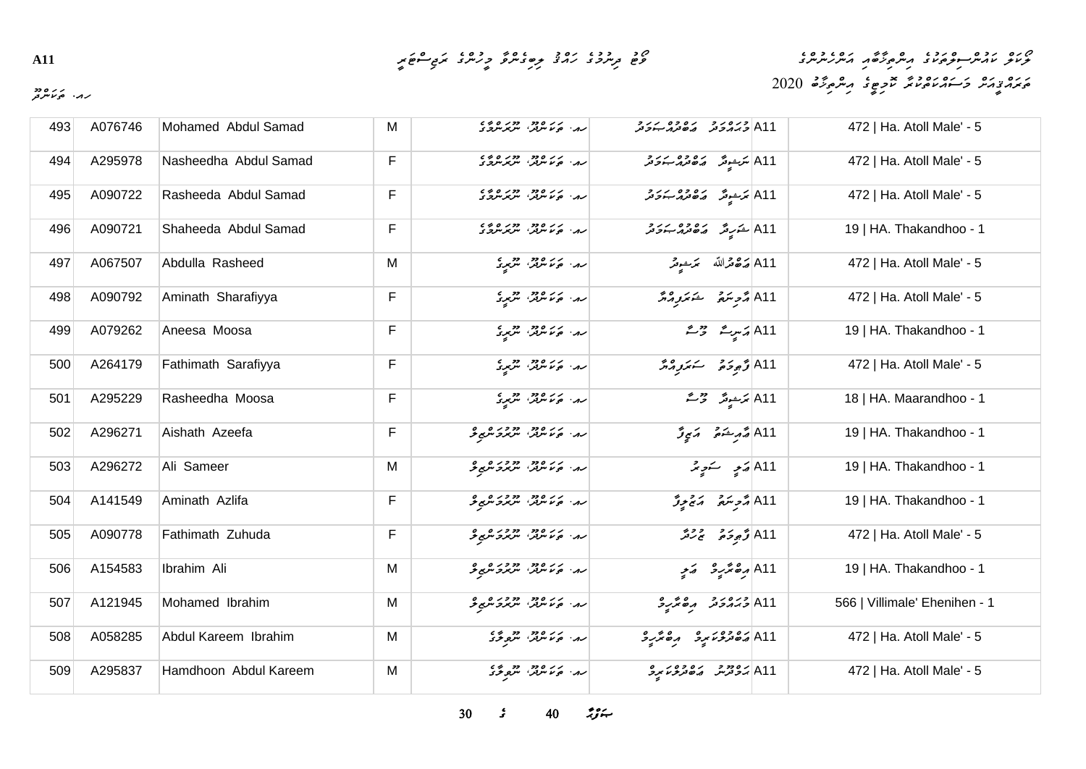*sCw7q7s5w7m< o<n9nOoAw7o< sCq;mAwBoEw7q<m; wBm;vB* م من المرة المرة المرة المرجع المرجع في المركبة 2020<br>مجم*د المريض المربوط المربع المرجع في المراجع المركبة* 

| 493 | A076746 | Mohamed Abdul Samad   | M           | ג גם כבר כבגם כבר<br>הגין המינוך יונוביוניביב   | A11 3223 كەھەر بەر د                       | 472   Ha. Atoll Male' - 5     |
|-----|---------|-----------------------|-------------|-------------------------------------------------|--------------------------------------------|-------------------------------|
| 494 | A295978 | Nasheedha Abdul Samad | F           | גן פרק דרגם בין<br>גורי פיעיוניקטי ייניאגיונדיק | A11 سَرَجومَد رَصْ قَرْمُ سِوَ قَرْ        | 472   Ha. Atoll Male' - 5     |
| 495 | A090722 | Rasheeda Abdul Samad  | F           | גן פרד דרגם בין<br>מגי פיעיתה, ייתוביות בי      | A11 ترجع تھ تھ <i>مرم شخ</i> ص             | 472   Ha. Atoll Male' - 5     |
| 496 | A090721 | Shaheeda Abdul Samad  | F           | גן פרד דרגם בין<br>הן פעיתה ייתה ייתה           | A11 خىرى <i>د مەھەرە بەرە</i>              | 19   HA. Thakandhoo - 1       |
| 497 | A067507 | Abdulla Rasheed       | M           | رړ ور وو ده ده                                  | A11 رَجِعْتَراللَّهُ تَمَرْشِوْتَرُ        | 472   Ha. Atoll Male' - 5     |
| 498 | A090792 | Aminath Sharafiyya    | $\mathsf F$ | ת היי המיטרה וחזקה.<br>הזה המיטרה ייתוקה        | A11 مَّ حِ سَمَّد حَسَنَ مِرْمَتَرَ        | 472   Ha. Atoll Male' - 5     |
| 499 | A079262 | Aneesa Moosa          | F           | ת היי המינה בר ה<br>הגיי המינה מינה             | A11 رَسِيَّۃٌ وَمَتَّۃٌ                    | 19   HA. Thakandhoo - 1       |
| 500 | A264179 | Fathimath Sarafiyya   | F           | رړ ور وو دو د                                   | A11 زَّەپ <i>ەدَە</i> سەئىر <i>و</i> رە مە | 472   Ha. Atoll Male' - 5     |
| 501 | A295229 | Rasheedha Moosa       | F           | ת היי המיטרה וחדשים.<br>הזה המיטרה מיטובי       |                                            | 18   HA. Maarandhoo - 1       |
| 502 | A296271 | Aishath Azeefa        | F           | رد. و دست دود و و و و                           | A11 مەم شىمى كىمى تۇ                       | 19   HA. Thakandhoo - 1       |
| 503 | A296272 | Ali Sameer            | M           | תג הן היה הרביתה ב                              | A11 کھ سے پتمبر جنگ                        | 19   HA. Thakandhoo - 1       |
| 504 | A141549 | Aminath Azlifa        | F           | رد. وناس ده دودر مي و                           | A11 مَّ حِسَمَۃ ضَمَّ حِرْثَ               | 19   HA. Thakandhoo - 1       |
| 505 | A090778 | Fathimath Zuhuda      | F           | رړ ورو دورو و                                   | A11 وَج <sub>وِح</sub> َ جَمْ مِنْ مَدْ    | 472   Ha. Atoll Male' - 5     |
| 506 | A154583 | Ibrahim Ali           | M           | رد. و د سرور دود و د و د ه                      | A11 <sub>مر</sub> ھ پڙري ھي ج              | 19   HA. Thakandhoo - 1       |
| 507 | A121945 | Mohamed Ibrahim       | M           | رد. و د سربر، سربرو شرح و                       | A11 <i>22025 م</i> ەھ <i>ترى</i> ۋ         | 566   Villimale' Ehenihen - 1 |
| 508 | A058285 | Abdul Kareem Ibrahim  | M           | رړ ور دوه دو ور                                 | A11 בֿיפּינלי זעָל גַפּיניעַר,             | 472   Ha. Atoll Male' - 5     |
| 509 | A295837 | Hamdhoon Abdul Kareem | M           | رړ ور دوه ده وي                                 | A11 ئەۋدىر مەھىر <i>ۋە ئە</i> ر            | 472   Ha. Atoll Male' - 5     |

*30 sC 40 nNw?mS*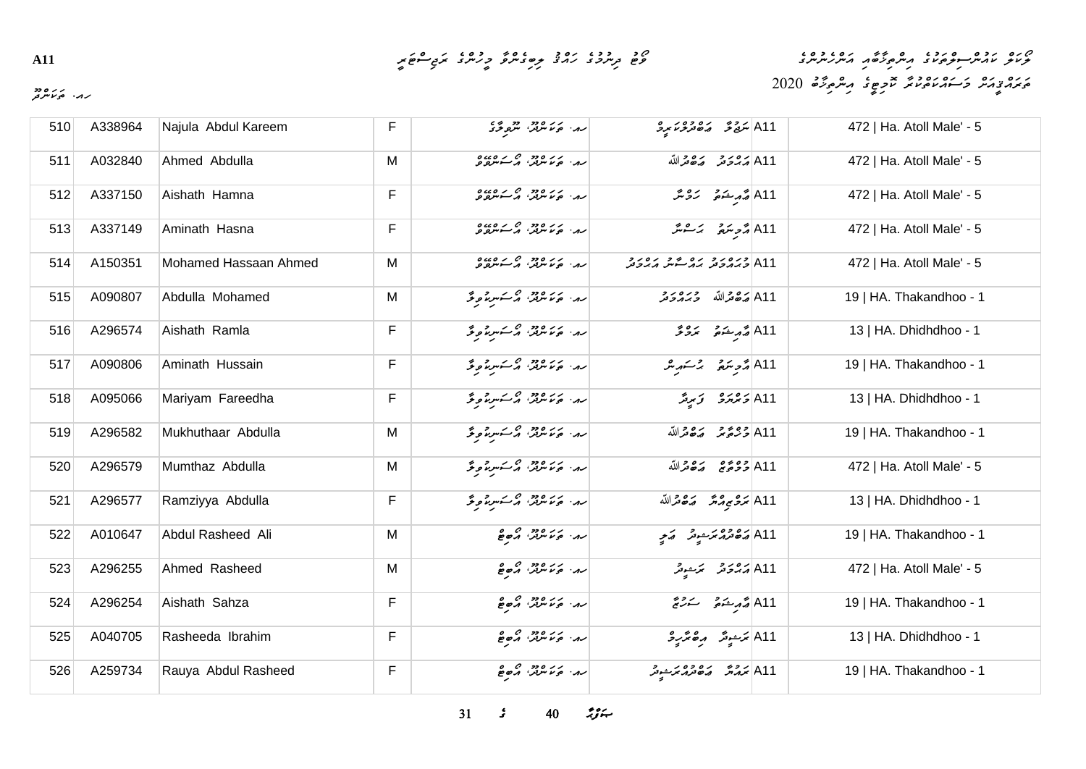*sCw7q7s5w7m< o<n9nOoAw7o< sCq;mAwBoEw7q<m; wBm;vB* م من المرة المرة المرة المرجع المرجع في المركبة 2020<br>مجم*د المريض المربوط المربع المرجع في المراجع المركبة* 

| 510 | A338964 | Najula Abdul Kareem   | F | رړ ور ور د د د                             | A11 سَيْرَ حَمْدُ مَدَوْسَ مِرْدَ         | 472   Ha. Atoll Male' - 5 |
|-----|---------|-----------------------|---|--------------------------------------------|-------------------------------------------|---------------------------|
| 511 | A032840 | Ahmed Abdulla         | M | رد ودود می دوره و                          | A11 كەبرىق كەھەر للە                      | 472   Ha. Atoll Male' - 5 |
| 512 | A337150 | Aishath Hamna         | F | גן פרד ים גם 2002<br>מגי פעיטקטי האבייטפיפ | A11 مَگْرِسْتَمْ كُرْمَتْر                | 472   Ha. Atoll Male' - 5 |
| 513 | A337149 | Aminath Hasna         | F | رد. و د دور می د ده ده                     | A11 مَّ حِسَمَّة سَمَسَّر                 | 472   Ha. Atoll Male' - 5 |
| 514 | A150351 | Mohamed Hassaan Ahmed | M | رد ودو می دهنده<br>رو، ویامبرته، دستهبروتو | A11 <i>ۋېزون تروڭرى ترون</i> ر            | 472   Ha. Atoll Male' - 5 |
| 515 | A090807 | Abdulla Mohamed       | M | رە، ئۆتۈشلەق كەسكىرىدە ئوڭ                 | A11 كەھەراللە جەمەدىر                     | 19   HA. Thakandhoo - 1   |
| 516 | A296574 | Aishath Ramla         | F | رە، ئۆتۈشلەر ئەسكەر ئەھمى ئە               | A11 مَگرمشکو تروگر                        | 13   HA. Dhidhdhoo - 1    |
| 517 | A090806 | Aminath Hussain       | F | رە، ئەرەدە ئەسەسلەم ئ                      | A11 مَّ حِسَمَة مَسَسَمِيثَر              | 19   HA. Thakandhoo - 1   |
| 518 | A095066 | Mariyam Fareedha      | F | رە، ئۆتۈشلەر ئەسكىرىدە ئوق                 | A11 5 <i>بحەترى ق م</i> ومۇ               | 13   HA. Dhidhdhoo - 1    |
| 519 | A296582 | Mukhuthaar Abdulla    | M | ת הנסית הרבות                              | A11 قُرْمَةً مِنْ مَدْهِ قُدَاللَّهُ      | 19   HA. Thakandhoo - 1   |
| 520 | A296579 | Mumthaz Abdulla       | M | روسي كالمسترد المركب والمستصرية            | A11 وَوَجَّعْ مَهْ مَرْاللّه              | 472   Ha. Atoll Male' - 5 |
| 521 | A296577 | Ramziyya Abdulla      | F | رو، ئونو سور به مشور مور تو ئو             | A11 <i>مَدَوْمِ مَدَّةَ حَ</i> صَّرَاللّه | 13   HA. Dhidhdhoo - 1    |
| 522 | A010647 | Abdul Rasheed Ali     | M |                                            | A11  رَەترە ترىئوتر     رَىپ              | 19   HA. Thakandhoo - 1   |
| 523 | A296255 | Ahmed Rasheed         | M |                                            | A11 كەبۇبۇقر - <del>كە</del> رىيەتر       | 472   Ha. Atoll Male' - 5 |
| 524 | A296254 | Aishath Sahza         | F | מגי תני מקור השם                           | A11 ۾ م سنڌي سنڌي ج                       | 19   HA. Thakandhoo - 1   |
| 525 | A040705 | Rasheeda Ibrahim      | F |                                            | A11 بَرَحْبِيرَ * رِصْخَرِ وَ ۖ           | 13   HA. Dhidhdhoo - 1    |
| 526 | A259734 | Rauya Abdul Rasheed   | F |                                            | A11 <i>بَرْدَ بَرَّ مَی قرونمر ش</i> وتر  | 19   HA. Thakandhoo - 1   |

 $31$  *s*  $40$  *n***<sub>s</sub>**  $\frac{2}{3}$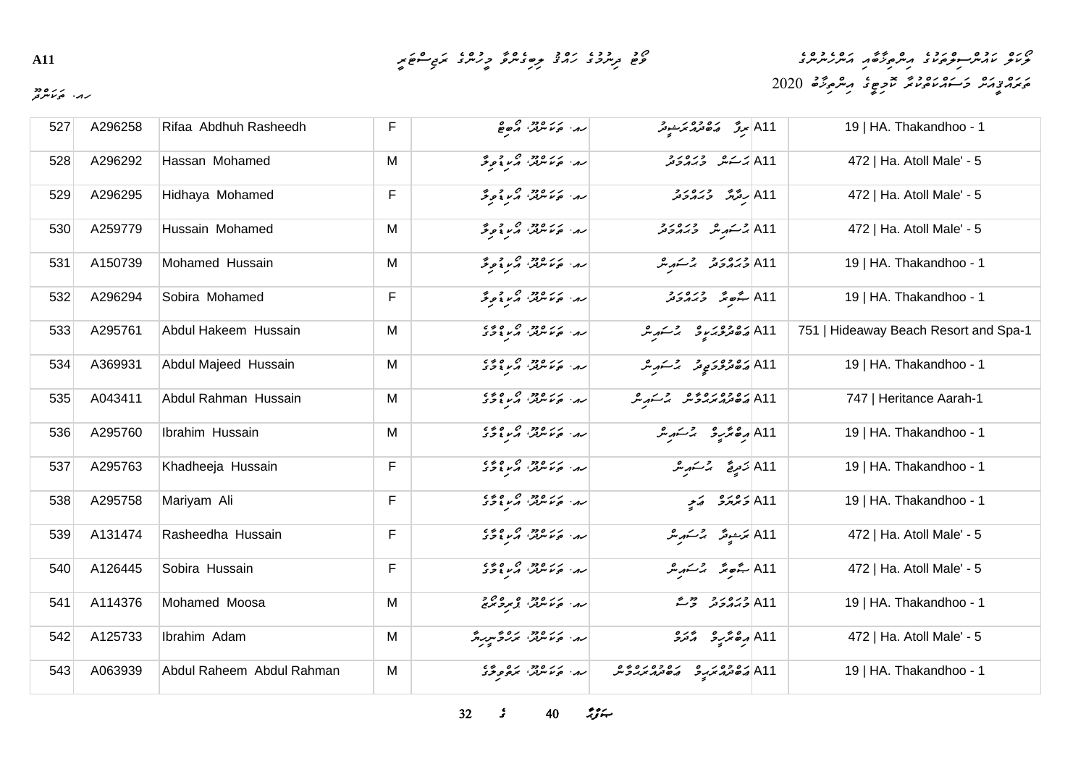*sCw7q7s5w7m< o<n9nOoAw7o< sCq;mAwBoEw7q<m; wBm;vB* م من المرة المرة المرة المرجع المرجع في المركبة 2020<br>مجم*د المريض المربوط المربع المرجع في المراجع المركبة* 

| 527 | A296258 | Rifaa Abdhuh Rasheedh     | F | מגי המיתנקי תים                                                                        | A11 مرتز – رَصْ <i>تَرە مَرْ</i> شِيْتَر                                                                       | 19   HA. Thakandhoo - 1               |
|-----|---------|---------------------------|---|----------------------------------------------------------------------------------------|----------------------------------------------------------------------------------------------------------------|---------------------------------------|
| 528 | A296292 | Hassan Mohamed            | M | رړ ور ده چر ورځ وگ                                                                     | A11 بَرَسَسْ وَبَرُودِيْر                                                                                      | 472   Ha. Atoll Male' - 5             |
| 529 | A296295 | Hidhaya Mohamed           | F | رد. ورسمن المراجع                                                                      | A11 رِمَّرَ پَرَ وَبَرَ وَمَرَ                                                                                 | 472   Ha. Atoll Male' - 5             |
| 530 | A259779 | Hussain Mohamed           | M | מי פיותה היונקל                                                                        | A11 يُرْسَمَ مِنْ وَبَرْ وَمَرْ وَمَدْ                                                                         | 472   Ha. Atoll Male' - 5             |
| 531 | A150739 | Mohamed Hussain           | M | מי פיטיתה העצפה                                                                        | A11 <i>32825 بى شەمب</i> ىر                                                                                    | 19   HA. Thakandhoo - 1               |
| 532 | A296294 | Sobira Mohamed            | F | رە ئەسلام مەر ئالما ئالمان ئىل                                                         | A11 بەھەتتە ئ <i>ەنەۋەت</i> ە                                                                                  | 19   HA. Thakandhoo - 1               |
| 533 | A295761 | Abdul Hakeem Hussain      | M | גז פיט פרי רי פי פי                                                                    | A11 كەھىر <i>ۈپ بوڭ بىر شەر بىر</i>                                                                            | 751   Hideaway Beach Resort and Spa-1 |
| 534 | A369931 | Abdul Majeed Hussain      | M |                                                                                        | A11 كەھەر <i>3 مۇرىخى بىر ئىكت</i> ېرىش                                                                        | 19   HA. Thakandhoo - 1               |
| 535 | A043411 | Abdul Rahman Hussain      | M |                                                                                        | A11 كەھەركە ئەسىر بىر ئەسەر بىر                                                                                | 747   Heritance Aarah-1               |
| 536 | A295760 | Ibrahim Hussain           | M | $\begin{array}{cc} 0 & 0 & 0 & 0 & 0 \\ 0 & 0 & 0 & 0 \\ 0 & 0 & 0 & 0 \\ \end{array}$ | A11 رەتمەر ئەسەرىمە                                                                                            | 19   HA. Thakandhoo - 1               |
| 537 | A295763 | Khadheeja Hussain         | F | $\begin{array}{cc} 0 & 0 & 0 & 0 & 0 \\ 0 & 0 & 0 & 0 \\ 0 & 0 & 0 & 0 \\ \end{array}$ | A11  زَمِرِیَجَ کَمْ سَمَهرِ مَرْ                                                                              | 19   HA. Thakandhoo - 1               |
| 538 | A295758 | Mariyam Ali               | F | גז פי הפרי רי ביביבי.<br>הגי פי ייתובלי האי ביביבי                                     | A11 كەبىر بىم كەبىر                                                                                            | 19   HA. Thakandhoo - 1               |
| 539 | A131474 | Rasheedha Hussain         | F |                                                                                        | A11 مَرْشِيتَر كَرْسَهِرْ مَرْ                                                                                 | 472   Ha. Atoll Male' - 5             |
| 540 | A126445 | Sobira Hussain            | F |                                                                                        | A11 بەھەتتىر كەسىر بىر                                                                                         | 472   Ha. Atoll Male' - 5             |
| 541 | A114376 | Mohamed Moosa             | M | גן פרי פי פרי פרי<br>גוזי פיטייטטי, ציינדי זה                                          | A11 تربر ورقم میں تقریب<br>A11                                                                                 | 19   HA. Thakandhoo - 1               |
| 542 | A125733 | Ibrahim Adam              | M | رد. نو دانده برد و سربر از                                                             | A11 ب <i>رە ئۇر</i> ۇ گەنگى                                                                                    | 472   Ha. Atoll Male' - 5             |
| 543 | A063939 | Abdul Raheem Abdul Rahman | M |                                                                                        | A11 220 كرومربر 2010 2020 كروم 2010 من مركز من المحد المحدوم المحد المحدوم المحد المحد المحد المحد المحد المحد | 19   HA. Thakandhoo - 1               |

**32** *s* **40** *z***<sub>***f***</sub>**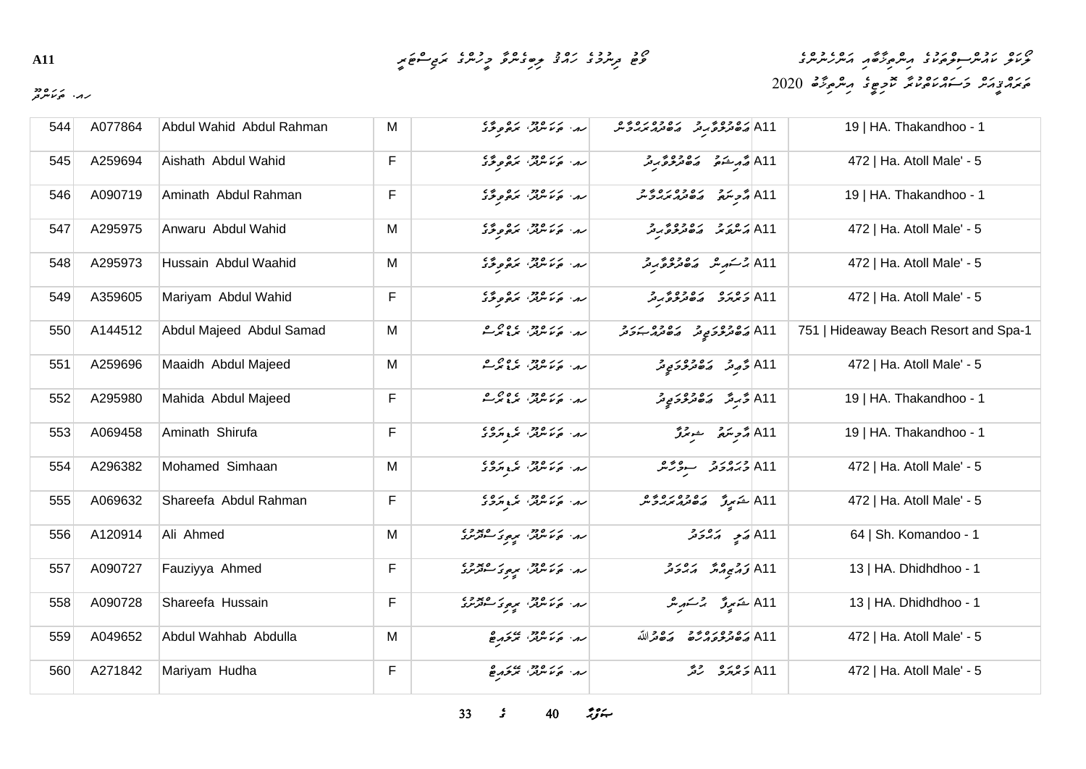*sCw7q7s5w7m< o<n9nOoAw7o< sCq;mAwBoEw7q<m; wBm;vB* م من المرة المرة المرة المرجع المرجع في المركبة 2020<br>مجم*د المريض المربوط المربع المرجع في المراجع المركبة* 

| 544 | A077864 | Abdul Wahid Abdul Rahman | M | رد. و در ۶۵ دره و دره<br>رد. و د سربر، مرد و نور                | A11 <i>, م</i> وفوع باقر ماه موره بوره من                                                                                                                                                                               | 19   HA. Thakandhoo - 1               |
|-----|---------|--------------------------|---|-----------------------------------------------------------------|-------------------------------------------------------------------------------------------------------------------------------------------------------------------------------------------------------------------------|---------------------------------------|
| 545 | A259694 | Aishath Abdul Wahid      | F | رد. و در ۵۶۵ د د و د و د                                        | A11 <i>مەم شەھ مەھەردە ئ</i> ەر                                                                                                                                                                                         | 472   Ha. Atoll Male' - 5             |
| 546 | A090719 | Aminath Abdul Rahman     | F | رد. و د مجرد ده و د د                                           | A11 مُرْحِسَمُ مَصْرَمْ <i>مَدِيرِ مِ</i> رْحَس                                                                                                                                                                         | 19   HA. Thakandhoo - 1               |
| 547 | A295975 | Anwaru Abdul Wahid       | M | رد و ده ده ده په ده ک                                           | A11 كەشھەترى بەھ <i>قىرى ئۇ ئە</i> ر                                                                                                                                                                                    | 472   Ha. Atoll Male' - 5             |
| 548 | A295973 | Hussain Abdul Waahid     | M | رد. نوم سرفر، نره و د ،                                         | A11 پر شهر شهر مقدم د محمد بر محمد بر تر<br>A11                                                                                                                                                                         | 472   Ha. Atoll Male' - 5             |
| 549 | A359605 | Mariyam Abdul Wahid      | F | رد. و د مجرد ده و د د                                           | A11 تر تر پره بره وه پر و<br>A11 تر تر پر تر پر تر تر تر                                                                                                                                                                | 472   Ha. Atoll Male' - 5             |
| 550 | A144512 | Abdul Majeed Abdul Samad | M | תגי הני בין הפרי בין ה                                          | A11 , 2006 و20 مركز 2009 مركز 2007 مركز 2009 مركز 2009 مركز 2009 مركز 2009 مركز 2009 مركز 2009 مركز 20<br>مركز 2009 مركز 2009 مركز 2009 مركز 2009 مركز 2009 مركز 2009 مركز 2009 مركز 2009 مركز 2009 مركز 2009 مركز 2009 | 751   Hideaway Beach Resort and Spa-1 |
| 551 | A259696 | Maaidh Abdul Majeed      | M | رد. ورودو وه وه وه و                                            | A11 <i>جُهِ بِرْ مُ</i> مُعْرَفِرَي <i>بِرْ</i>                                                                                                                                                                         | 472   Ha. Atoll Male' - 5             |
| 552 | A295980 | Mahida Abdul Majeed      | F | رد ورود وه وه و                                                 | A11 <i>وَّب<sup>ِ</sup> مَدَّ مَـ صُوْوَي مِ</i> رَّ                                                                                                                                                                    | 19   HA. Thakandhoo - 1               |
| 553 | A069458 | Aminath Shirufa          | F | رد کا سرچور کا ده د                                             | A11 مَرْحِ سَرَمَّۃ مُسْتَخَرَّدَّ                                                                                                                                                                                      | 19   HA. Thakandhoo - 1               |
| 554 | A296382 | Mohamed Simhaan          | M | رد وده ود ده ده ود                                              | A11 <i>32023 سوڭىر</i>                                                                                                                                                                                                  | 472   Ha. Atoll Male' - 5             |
| 555 | A069632 | Shareefa Abdul Rahman    | F | رد و دره دو د د ده د                                            | A11 خرىرتى ھەمرە بورە بور                                                                                                                                                                                               | 472   Ha. Atoll Male' - 5             |
| 556 | A120914 | Ali Ahmed                | M | رړ . ه د ۶۶۵ مرج کر ۶۶۵ و د .<br>رړ . ه د سرگر . مرج کر سنترمرۍ | A11 كەي كەبرى قىر                                                                                                                                                                                                       | 64   Sh. Komandoo - 1                 |
| 557 | A090727 | Fauziyya Ahmed           | F | ر در در دود.<br>رد د تو د مرکز د مرد و کرد ور                   | A11 زېږې پره پر ده د                                                                                                                                                                                                    | 13   HA. Dhidhdhoo - 1                |
| 558 | A090728 | Shareefa Hussain         | F | ر در در دود.<br>رد د تو د مرکز د مرد و کرد ور                   | A11 ڪرمري <i>گ بڙڪوينگ</i> ر                                                                                                                                                                                            | 13   HA. Dhidhdhoo - 1                |
| 559 | A049652 | Abdul Wahhab Abdulla     | M | رو. ولاس ود بيروه                                               | A11 كرة قرع كروترة في كرة قرالله                                                                                                                                                                                        | 472   Ha. Atoll Male' - 5             |
| 560 | A271842 | Mariyam Hudha            | F | رد و موسیق موجده                                                | A11 كەبىر بىر ئەنگە                                                                                                                                                                                                     | 472   Ha. Atoll Male' - 5             |

**33** *s* **40** *n***<sub>s</sub>***n*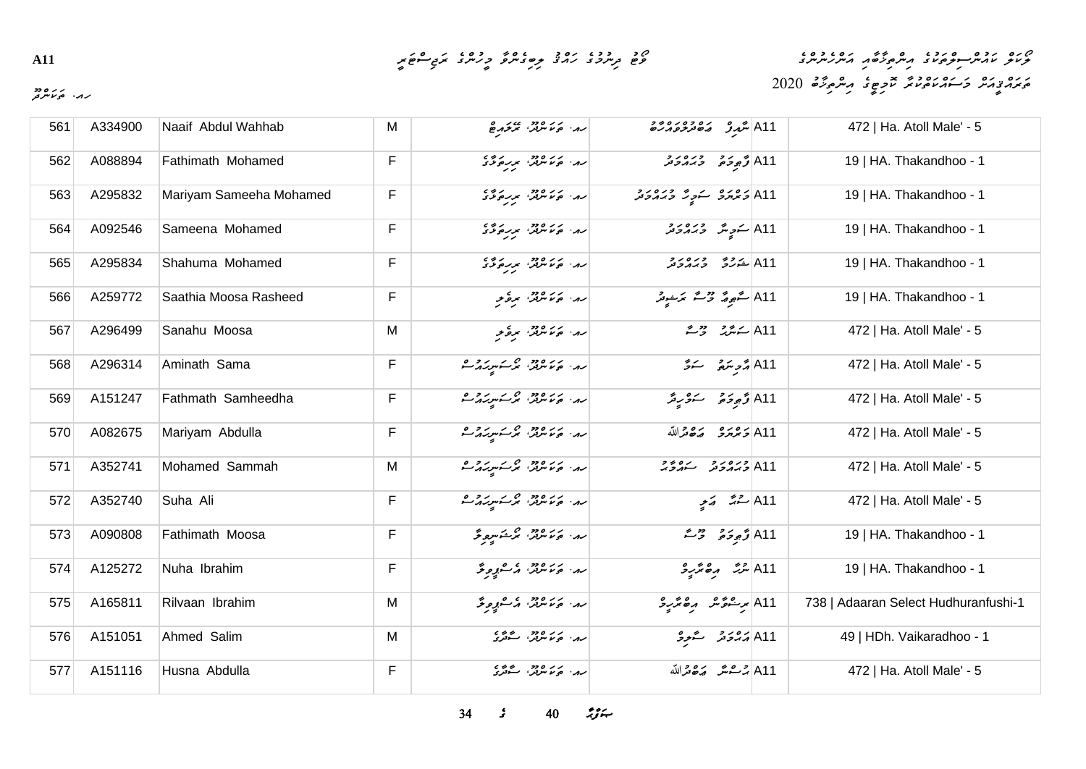*sCw7q7s5w7m< o<n9nOoAw7o< sCq;mAwBoEw7q<m; wBm;vB* م من المرة المرة المرة المرجع المرجع في المركبة 2020<br>مجم*د المريض المربوط المربع المرجع في المراجع المركبة* 

| 561 | A334900 | Naaif Abdul Wahhab      | M           | رد و مسجد عدد و                    | A11 شمېر د مەمز <i>وەرە</i> تە                 | 472   Ha. Atoll Male' - 5            |
|-----|---------|-------------------------|-------------|------------------------------------|------------------------------------------------|--------------------------------------|
| 562 | A088894 | Fathimath Mohamed       | F           | رد کرده ود در دره د                | A11 <i>وَّجِوحَة حُبَدُونَد</i>                | 19   HA. Thakandhoo - 1              |
| 563 | A295832 | Mariyam Sameeha Mohamed | F           | رد به دود. بررون                   | A11 كالمحافزة المستحير متحافز وترويخ المراجعة  | 19   HA. Thakandhoo - 1              |
| 564 | A092546 | Sameena Mohamed         | F           | رد کا سرچر کرده                    | A11 سَمَّحِ مَدَّ حَمَدَ حَمَدَ حَمَّدَ        | 19   HA. Thakandhoo - 1              |
| 565 | A295834 | Shahuma Mohamed         | F           | رد کا سرفار برد د ده د             | A11 خەرج ئەيرە دىر                             | 19   HA. Thakandhoo - 1              |
| 566 | A259772 | Saathia Moosa Rasheed   | F           | رە بەر ەدە بەرگە بەر               | A11 سَمْهِ ۾َ "وَ"سُدُ مَرَسُونِرَ             | 19   HA. Thakandhoo - 1              |
| 567 | A296499 | Sanahu Moosa            | M           | رە بەر ەدە بەرگە بەر               | A11 سَتَرَبَّرُ حَرْثَتُهُ                     | 472   Ha. Atoll Male' - 5            |
| 568 | A296314 | Aminath Sama            | $\mathsf F$ | رە ئونو سرور ئاستىر دە ئ           | A11 مَّ حِسَمَّة سَتَرَّ                       | 472   Ha. Atoll Male' - 5            |
| 569 | A151247 | Fathmath Samheedha      | F           | رو. ئو ئاسرور مى كە كەسىر كەر ق    | A11 ۇ <sub>جو</sub> رَى <sub>م</sub> سَوْرٍىدَ | 472   Ha. Atoll Male' - 5            |
| 570 | A082675 | Mariyam Abdulla         | F           | رو. ئونو مىز كە ئەس كەر ئ          | A11 كريركر كان محافظ الله                      | 472   Ha. Atoll Male' - 5            |
| 571 | A352741 | Mohamed Sammah          | M           | رە ئەس كە ئەس ئەر ئە               | A11 <i>22022 سكەم</i> تر                       | 472   Ha. Atoll Male' - 5            |
| 572 | A352740 | Suha Ali                | F           | رە ئەس كە ئەس ئەر ئە               | A11  گے، تھ ج                                  | 472   Ha. Atoll Male' - 5            |
| 573 | A090808 | Fathimath Moosa         | $\mathsf F$ | رە ئەسلامى ئۇسكەس ئى               | A11 وَجِعَةَ وَيْتَ                            | 19   HA. Thakandhoo - 1              |
| 574 | A125272 | Nuha Ibrahim            | F           | رړ ، پره ده پر عروونځ              | A11 بترب <sup>ع</sup> مەھ <i>ت</i> رىيە 3      | 19   HA. Thakandhoo - 1              |
| 575 | A165811 | Rilvaan Ibrahim         | M           | رړ ور ده ده کاروونځ                | A11  مرت ومَّ شَرِ مِنْ مَرْرِدْ               | 738   Adaaran Select Hudhuranfushi-1 |
| 576 | A151051 | Ahmed Salim             | M           | رړ ورود د ده                       | A11 كەبۇبى قىمىدى ئىستىدى                      | 49   HDh. Vaikaradhoo - 1            |
| 577 | A151116 | Husna Abdulla           | F           | ر در ۵۶۵ – ۵۶۶<br>رو ۰ جونو سوتوری | A11 بُرْسْمِتْر     پر2فرالله                  | 472   Ha. Atoll Male' - 5            |

**34** *s* **40** *n***<sub>s</sub>**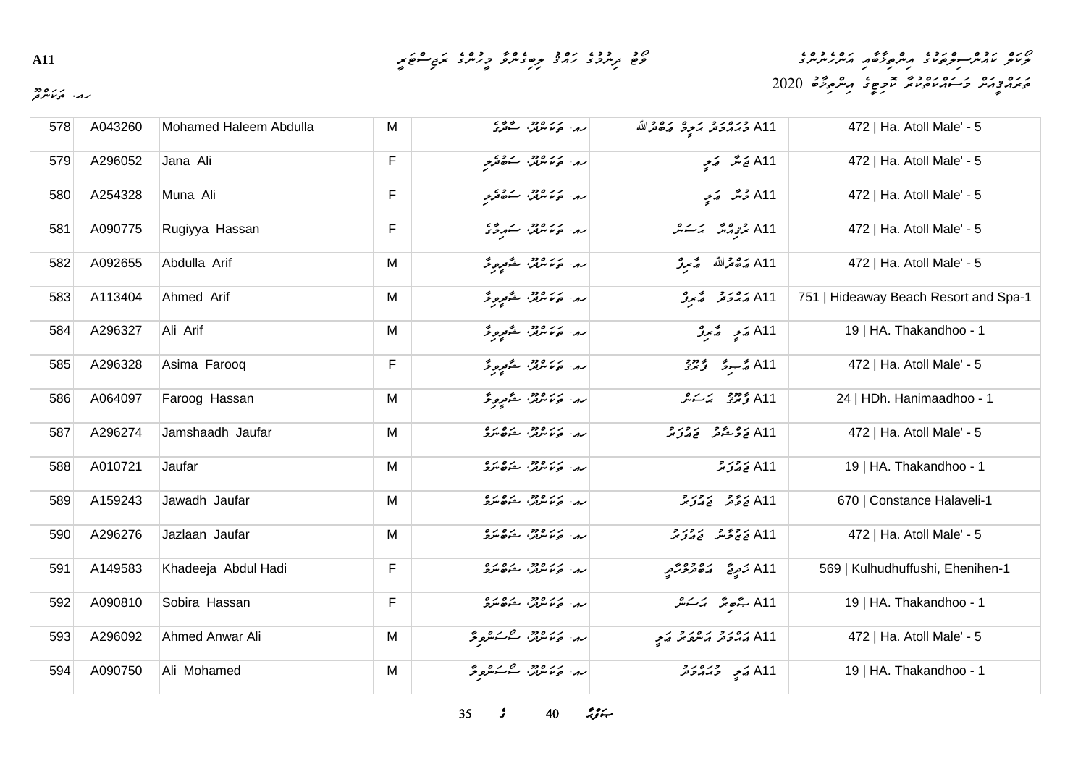*sCw7q7s5w7m< o<n9nOoAw7o< sCq;mAwBoEw7q<m; wBm;vB* م من المرة المرة المرة المرجع المرجع في المركبة 2020<br>مجم*د المريض المربوط المربع المرجع في المراجع المركبة* 

| 220 / 1         |  |
|-----------------|--|
| بربر ومحمد مرفر |  |

| 578 | A043260 | Mohamed Haleem Abdulla | M           | ر پر د وجه د د د و د              | A11 <i>وُبَرُوُدَتْه بَرْمِ</i> وْ كَرَصْوَاللّه | 472   Ha. Atoll Male' - 5             |
|-----|---------|------------------------|-------------|-----------------------------------|--------------------------------------------------|---------------------------------------|
| 579 | A296052 | Jana Ali               | F           | رړ ور دوه شوه دي                  | A11 اتے تئر ۔ <sub>م</sub> توسی                  | 472   Ha. Atoll Male' - 5             |
| 580 | A254328 | Muna Ali               | $\mathsf F$ | رو، ورودو، سکھور                  | A11  تحتر کم مو                                  | 472   Ha. Atoll Male' - 5             |
| 581 | A090775 | Rugiyya Hassan         | F           | رد کا مولاد کے دور                | A11 برت <sub>و</sub> پر پر بر کرد کر             | 472   Ha. Atoll Male' - 5             |
| 582 | A092655 | Abdulla Arif           | M           | رە ئەرەدە ئەترەتى                 | A11 مَەھىراللە مەمر <i>ۇ</i>                     | 472   Ha. Atoll Male' - 5             |
| 583 | A113404 | Ahmed Arif             | M           | رە ئەرەدە ئەترەتى                 | A11 كەش <sup>ى</sup> رى گەرى                     | 751   Hideaway Beach Resort and Spa-1 |
| 584 | A296327 | Ali Arif               | M           | رە ئەرەدە ئەترەتى                 | A11 کھ پھر تھ                                    | 19   HA. Thakandhoo - 1               |
| 585 | A296328 | Asima Farooq           | F           | رە ئەرەدە ئەھمىرى ئى              | A11 مەسىرى ئى <i>مى</i> رى                       | 472   Ha. Atoll Male' - 5             |
| 586 | A064097 | Faroog Hassan          | M           | رە ، ئۇ ئابىرلاش سەھرىي ئى        | A11 گرىنز ئەسەپىر                                | 24   HDh. Hanimaadhoo - 1             |
| 587 | A296274 | Jamshaadh Jaufar       | M           | رد. و دیور ده ده ده               | A11 كۆرىشى كەن ئەرەپىر                           | 472   Ha. Atoll Male' - 5             |
| 588 | A010721 | Jaufar                 | M           | رد. و در ۵۶۵. دره دره             | A11 تح <b>ەترى</b> تر                            | 19   HA. Thakandhoo - 1               |
| 589 | A159243 | Jawadh Jaufar          | M           | رړ وره ده ده ده کړه               | A11 کے <i>قرقر کے م<sup>ح</sup>وکر ت</i> ھ       | 670   Constance Halaveli-1            |
| 590 | A296276 | Jazlaan Jaufar         | M           | ر در دود. ده دره                  | A11 يَے تَح شَرَ بِمَ وَبِرَ تَرَ بِمَرْ         | 472   Ha. Atoll Male' - 5             |
| 591 | A149583 | Khadeeja Abdul Hadi    | F           | رد. و دیور ده ده ده               | A11 كَتْمِيعًا مَدَّةَ مِرْجُرْكَتِرِ            | 569   Kulhudhuffushi, Ehenihen-1      |
| 592 | A090810 | Sobira Hassan          | F           | رړ وره ده ده ده ده                | A11 بِنَهُ صِمَدُ بِرَسَدَ مَدْ                  | 19   HA. Thakandhoo - 1               |
| 593 | A296092 | Ahmed Anwar Ali        | M           | رە، ئەنەشرى سىر شىر ئورۇ          | A11 كەبرى تەرەپ كەيرىسى ئەرىپە                   | 472   Ha. Atoll Male' - 5             |
| 594 | A090750 | Ali Mohamed            | M           | رە، ئۇيغا ئىرىش سىك ئىسكەنلىرى ئى | A11 كەير - ئ <i>ەنەۋەت</i> ر                     | 19   HA. Thakandhoo - 1               |

**35** *s* **40** *n***<sub>s</sub>***s* **<b>***n*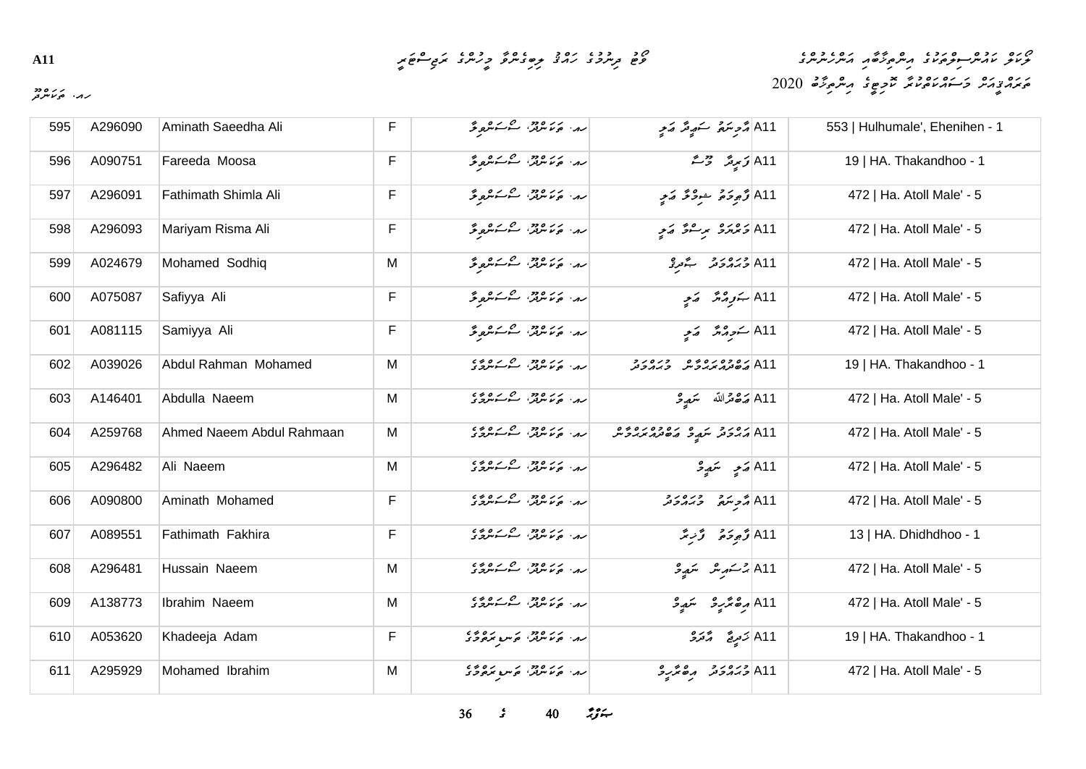*sCw7q7s5w7m< o<n9nOoAw7o< sCq;mAwBoEw7q<m; wBm;vB* م من المسجد المسجد المسجد المسجد المسجد العام 2020<br>مسجد المسجد المسجد المسجد المسجد المسجد المسجد المسجد المسجد ال

| 595 | A296090 | Aminath Saeedha Ali       | F           | رە، ئۇيۇشقۇ، سەسكىشھەقە                     | A11 مَّ حِ سَمَّۃ   سَمهِ مَّر مَرْحِ           | 553   Hulhumale', Ehenihen - 1 |
|-----|---------|---------------------------|-------------|---------------------------------------------|-------------------------------------------------|--------------------------------|
| 596 | A090751 | Fareeda Moosa             | F           | رە، ئۇناشقۇ، سىگە ئىشھوقە                   | A11 توميتر    تڙ ٿ                              | 19   HA. Thakandhoo - 1        |
| 597 | A296091 | Fathimath Shimla Ali      | F           | رە، ئۆياشلار، سىگە ئىسرو ئ                  | A11 <i>وَّجِ وَحَمَّ</i> سِوَدَتَرَ صَعِ        | 472   Ha. Atoll Male' - 5      |
| 598 | A296093 | Mariyam Risma Ali         | $\mathsf F$ | رە، ئويومبرودە كەسكەتلىق ئە                 | A11 وَبَرْيَرُوْ بِرِسْرَةً <sub>ه</sub> َ بِهِ | 472   Ha. Atoll Male' - 5      |
| 599 | A024679 | Mohamed Sodhiq            | M           | رە، ئويومبرودە كەسكەتلىق ئە                 | A11 <i>وبروبر و سگ</i> ور <sup>ه</sup> ِ        | 472   Ha. Atoll Male' - 5      |
| 600 | A075087 | Safiyya Ali               | $\mathsf F$ | رە، ئەناسلار، شەك ئىرى                      | A11 جَوِړْ پَه چَر                              | 472   Ha. Atoll Male' - 5      |
| 601 | A081115 | Samiyya Ali               | F           | رە ئەرەدە سى ئەسەر ئە                       | A11 ڪوپريگر ڪيو                                 | 472   Ha. Atoll Male' - 5      |
| 602 | A039026 | Abdul Rahman Mohamed      | M           | رور ورود ده دوم                             | A11 كەھەركە ئەرگە ئەرگەردىر                     | 19   HA. Thakandhoo - 1        |
| 603 | A146401 | Abdulla Naeem             | M           | رو در دود ه کرده ده                         | A11 كەھىراللە <i>سَمە بى</i>                    | 472   Ha. Atoll Male' - 5      |
| 604 | A259768 | Ahmed Naeem Abdul Rahmaan | M           | رو، ولامروز کے منصوبی                       | A11 ג' בינ יתג כ ג' פי ג' פי הסיירית            | 472   Ha. Atoll Male' - 5      |
| 605 | A296482 | Ali Naeem                 | M           | رړه د ده چې ده ده                           | A11 کی ستھی <sup>و</sup>                        | 472   Ha. Atoll Male' - 5      |
| 606 | A090800 | Aminath Mohamed           | F           | رەپ ئەرەدە كەسەرەپ                          | A11 مُّجِسَمُ وَرَمُّدَتَرَ                     | 472   Ha. Atoll Male' - 5      |
| 607 | A089551 | Fathimath Fakhira         | $\mathsf F$ | رد ورود هستروه                              | A11 وَّجِرَة مَحْ وَّزِيْرَ                     | 13   HA. Dhidhdhoo - 1         |
| 608 | A296481 | Hussain Naeem             | M           | رړ، وراووړ، گرگرووی                         | A11 برُسَهرِ مَر سَمِرٍ \$                      | 472   Ha. Atoll Male' - 5      |
| 609 | A138773 | Ibrahim Naeem             | M           | رر ورود همیشود و                            | A11 <sub>مر</sub> ھ تژر په سمدي و               | 472   Ha. Atoll Male' - 5      |
| 610 | A053620 | Khadeeja Adam             | F           | رد. و د مرد دو.<br>در و د مرکز، و مرد بروژی | A11 زَمِرِجٌ      دُمَرَدٌ                      | 19   HA. Thakandhoo - 1        |
| 611 | A295929 | Mohamed Ibrahim           | M           | ره به نمای در ۲۵ در ۲۵ در ۲۵                | A11  <i>وبروبرة م</i> ۇم <i>رگې</i> رو          | 472   Ha. Atoll Male' - 5      |

**36** *s* **40** *n***<sub>s</sub>***s*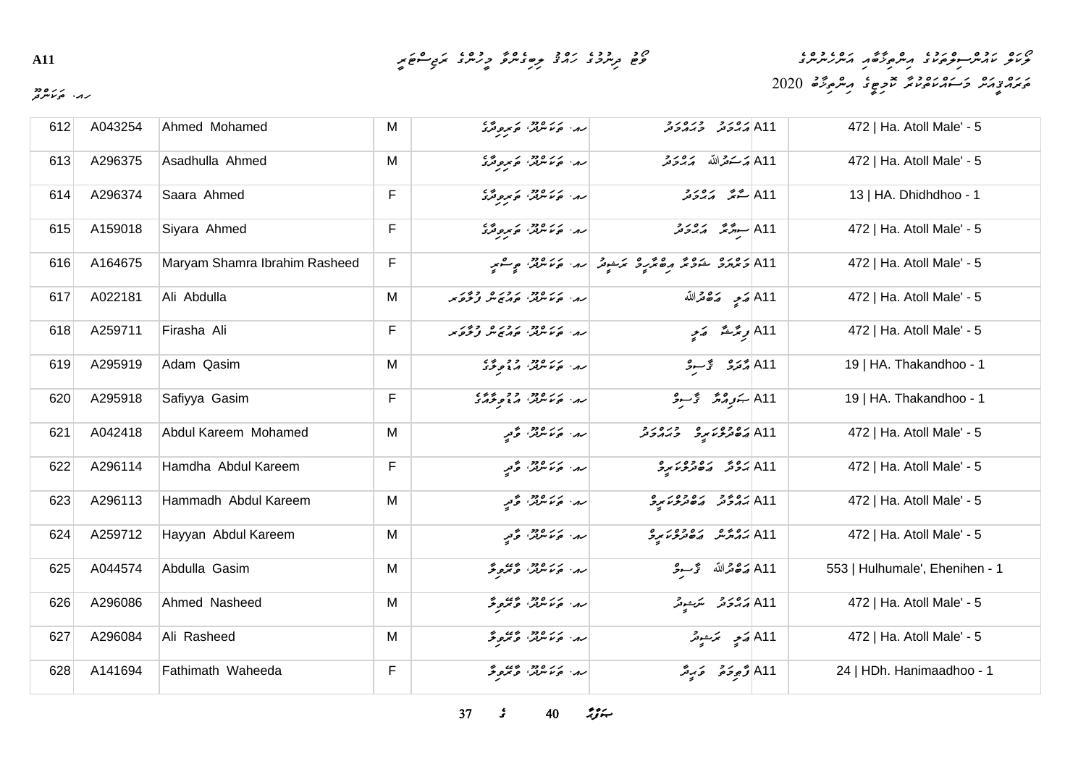*sCw7q7s5w7m< o<n9nOoAw7o< sCq;mAwBoEw7q<m; wBm;vB* م من المرة المرة المرة المرجع المرجع في المركبة 2020<br>مجم*د المريض المربوط المربع المرجع في المراجع المركبة* 

| 612 | A043254 | Ahmed Mohamed                 | M           | رړ ور دوه وروند                                                                                                | A11 كەيمەت قەيمەدىر                                       | 472   Ha. Atoll Male' - 5      |
|-----|---------|-------------------------------|-------------|----------------------------------------------------------------------------------------------------------------|-----------------------------------------------------------|--------------------------------|
| 613 | A296375 | Asadhulla Ahmed               | M           | رد کا سرفرا کا موجوفگری                                                                                        | A11 كەسكەتراللە كەبرى تىر                                 | 472   Ha. Atoll Male' - 5      |
| 614 | A296374 | Saara Ahmed                   | F           | رد کا سرفرا کا موجوفگری                                                                                        | A11 گەنتە ئەرەبەد                                         | 13   HA. Dhidhdhoo - 1         |
| 615 | A159018 | Siyara Ahmed                  | F           | رد و دود و دود                                                                                                 | A11 سەترىتر كەبردىز                                       | 472   Ha. Atoll Male' - 5      |
| 616 | A164675 | Maryam Shamra Ibrahim Rasheed | $\mathsf F$ |                                                                                                                | A11 كوجهرو شوكر مركز مرشور من مركز ودر مورد المحمد المحمد | 472   Ha. Atoll Male' - 5      |
| 617 | A022181 | Ali Abdulla                   | M           | رد. در ۵۶۵ د د ده وور                                                                                          | A11 <i>هَ جِه هَ هُ</i> تَراللّه                          | 472   Ha. Atoll Male' - 5      |
| 618 | A259711 | Firasha Ali                   | F           | رد. در ۵ در در در دورد.<br>رد. وماس در وره س وتووند                                                            | A11 وِتَرْتَّۃ   دَمِ                                     | 472   Ha. Atoll Male' - 5      |
| 619 | A295919 | Adam Qasim                    | M           | رد کے ماسویں اور والی کا بات                                                                                   | A11 مَرْمَرْدْ تَحْ <sup>سِ</sup> دْ                      | 19   HA. Thakandhoo - 1        |
| 620 | A295918 | Safiyya Gasim                 | F           | رد ود ده د د د ده                                                                                              | A11 س <i>ەرەھەڭ</i> قۇسىۋ                                 | 19   HA. Thakandhoo - 1        |
| 621 | A042418 | Abdul Kareem Mohamed          | M           | رە بەر مەردە ئەر                                                                                               | A11 رَەدۈر بِرەت بەرەرد                                   | 472   Ha. Atoll Male' - 5      |
| 622 | A296114 | Hamdha Abdul Kareem           | $\mathsf F$ | رە بەر ھەر ئەتر                                                                                                | A11 كەن ھەھەر ئەرە                                        | 472   Ha. Atoll Male' - 5      |
| 623 | A296113 | Hammadh Abdul Kareem          | M           | رە بەر ھەر ئەتر                                                                                                | A11 ג'וליני ג'ייניגיט איני                                | 472   Ha. Atoll Male' - 5      |
| 624 | A259712 | Hayyan Abdul Kareem           | M           | رە بەر ھەر ئەتر                                                                                                | A11 ئەمەممىر مەھ <i>ىرى بى</i> رى                         | 472   Ha. Atoll Male' - 5      |
| 625 | A044574 | Abdulla Gasim                 | M           |                                                                                                                | A11 مَەھْتَراللە     ئۇسىۋ                                | 553   Hulhumale', Ehenihen - 1 |
| 626 | A296086 | Ahmed Nasheed                 | M           | رد کا سربر وی دی ش                                                                                             | A11 كەرى كى سىر سىر ئىسى ئىش بىر ئىس                      | 472   Ha. Atoll Male' - 5      |
| 627 | A296084 | Ali Rasheed                   | M           | رد کرده دو ده د د کار د کار د کار د کار د کار د کار د کار د کار کرد که د کار د کار د کار د کار د کار د کار د ک | A11  رَمِ - مَرْشِيْتَر                                   | 472   Ha. Atoll Male' - 5      |
| 628 | A141694 | Fathimath Waheeda             | F           | رړ . پر ۵۶۵ کامونو څخه کله                                                                                     | A11 وَّجِرَة حَرِيثَرَ                                    | 24   HDh. Hanimaadhoo - 1      |

*37 sC 40 nNw?mS*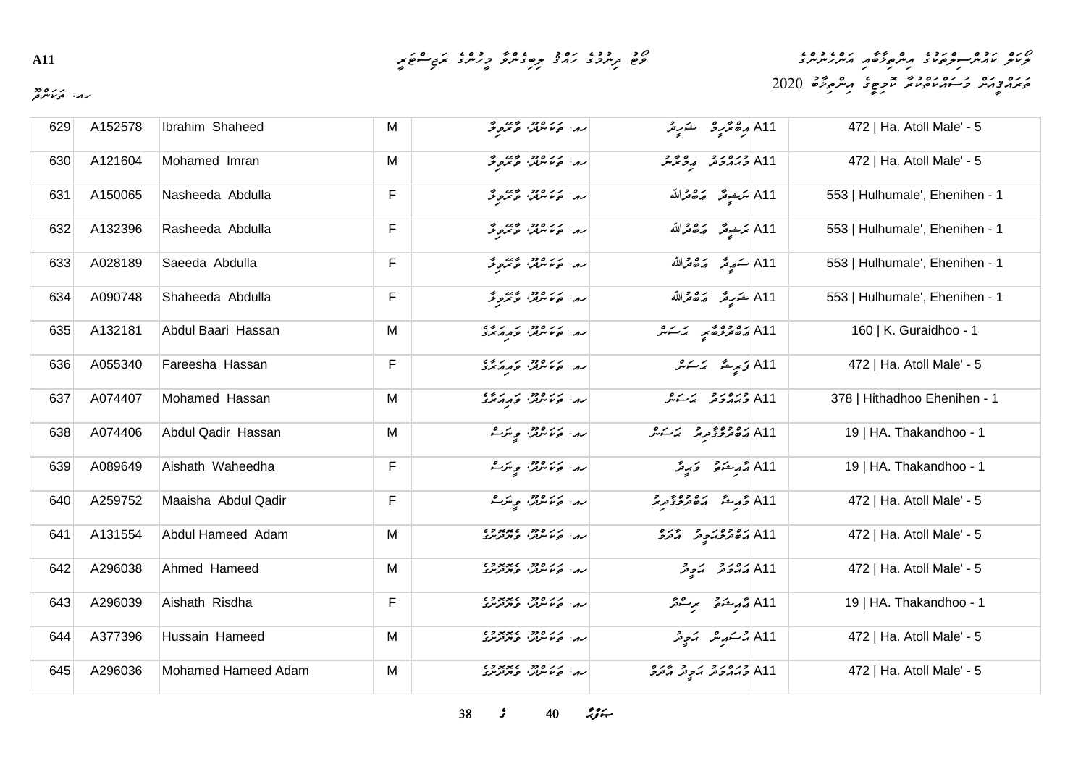*sCw7q7s5w7m< o<n9nOoAw7o< sCq;mAwBoEw7q<m; wBm;vB* م من المرة المرة المرة المرجع المرجع في المركبة 2020<br>مجم*د المريض المربوط المربع المرجع في المراجع المركبة* 

| 629 | A152578 | Ibrahim Shaheed     | M            | رە بە ئەسرى ئەسىم ئەسىم ئە                           | A11 مِنْھُمَّرِيْرْ شَرِيْر                                           | 472   Ha. Atoll Male' - 5      |
|-----|---------|---------------------|--------------|------------------------------------------------------|-----------------------------------------------------------------------|--------------------------------|
| 630 | A121604 | Mohamed Imran       | M            |                                                      | A11 <i>32023 م</i> وتمبر                                              | 472   Ha. Atoll Male' - 5      |
| 631 | A150065 | Nasheeda Abdulla    | F            | رە بەر ەدە ئەسىم ئە                                  | A11 <i>مَرْحوِمَّر مَرْهُ</i> قْرَاللَّه                              | 553   Hulhumale', Ehenihen - 1 |
| 632 | A132396 | Rasheeda Abdulla    | F            | رد کا سرفران می شود می                               | A11 <del>مَرْشِ</del> وتَر صَرْهُ قَرْاللّه                           | 553   Hulhumale', Ehenihen - 1 |
| 633 | A028189 | Saeeda Abdulla      | F            | رد کا سرفان دی شده و شرح ش                           | A11 كوپوتئر   ئەھەتراللە                                              | 553   Hulhumale', Ehenihen - 1 |
| 634 | A090748 | Shaheeda Abdulla    | $\mathsf{F}$ | رد کا سرفر کا می شده شده شده شده است.                | A11 خَدَرِيْتُر صَ <b>صْ</b> قَرْاللَّه                               | 553   Hulhumale', Ehenihen - 1 |
| 635 | A132181 | Abdul Baari Hassan  | M            | رد و ده ده د ده                                      | A11 كەھەر ئۇھەمبە كەسكەنلەر                                           | 160   K. Guraidhoo - 1         |
| 636 | A055340 | Fareesha Hassan     | F            | גן פרד גן גם                                         | A11 كۆمىيەتىش كەسكەنلىر                                               | 472   Ha. Atoll Male' - 5      |
| 637 | A074407 | Mohamed Hassan      | M            | גן פרד גן גם                                         | A11 <i>ۋېزەر بىر ئەسەنل</i>                                           | 378   Hithadhoo Ehenihen - 1   |
| 638 | A074406 | Abdul Qadir Hassan  | M            | رە، ئۇنۇشلۇق ئەسىرگ                                  | A11 كەھ تىرى تۇتىرىتى كىرىكىش                                         | 19   HA. Thakandhoo - 1        |
| 639 | A089649 | Aishath Waheedha    | $\mathsf F$  | رړ ور دوه پرگ                                        | A11 مَگْرِسْتَمْ کُرِیْتَر                                            | 19   HA. Thakandhoo - 1        |
| 640 | A259752 | Maaisha Abdul Qadir | F            | رړ، وړسرون و برگ                                     | A11  <i>وَّ <sub>م</sub>ِ</i> حَدَّ م <i>َ هُ مَرْحَرَّةً مِرِيمَ</i> | 472   Ha. Atoll Male' - 5      |
| 641 | A131554 | Abdul Hameed Adam   | M            | ג גם כבר הממוכה<br>הגי המיתה הפולקות                 | A11 كەھىرى <i>گە جۇ مەترى</i>                                         | 472   Ha. Atoll Male' - 5      |
| 642 | A296038 | Ahmed Hameed        | M            | ג הגסבר הממוכה<br>הנה ים מיטקט, ים חבות מג           | A11 كەندى كەر بۇ ئىر                                                  | 472   Ha. Atoll Male' - 5      |
| 643 | A296039 | Aishath Risdha      | F            | ג ג פרד הממיד בה<br>ג ה ים מיתרת ו פותרתית           | A11 مَدْمِ حَدَّمَة مِ سِرْمَتْرَ                                     | 19   HA. Thakandhoo - 1        |
| 644 | A377396 | Hussain Hameed      | M            | ג ג פרד באבציב.<br>הג ופיעיתיה פיתנקית               | A11  پر کے مربٹر کے برقر                                              | 472   Ha. Atoll Male' - 5      |
| 645 | A296036 | Mohamed Hameed Adam | M            | ג ג פרד הממיד בה<br>מגי קיש ייתר והפיקודי פריד ברידו | A11 وُبَرُودُو بَرَوِيْر مُرَتَّزَو                                   | 472   Ha. Atoll Male' - 5      |

**38** *s* **40** *n***<sub>s</sub>***s*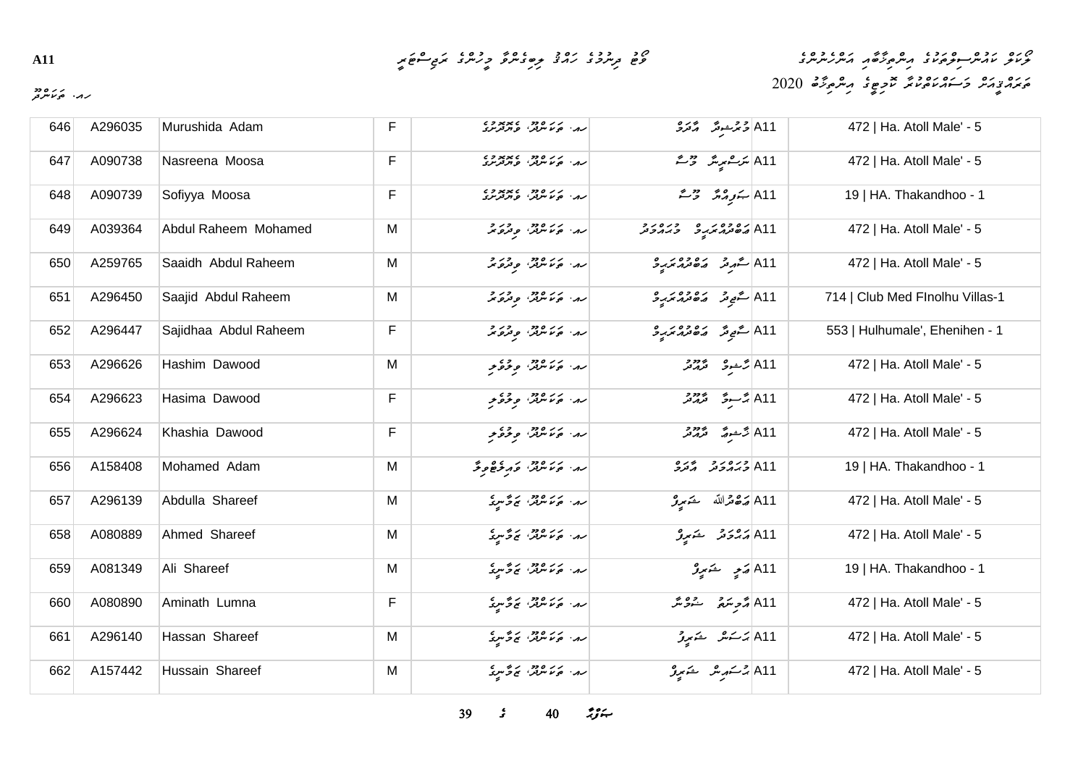*sCw7q7s5w7m< o<n9nOoAw7o< sCq;mAwBoEw7q<m; wBm;vB* م من المرة المرة المرة المرجع المرجع في المركبة 2020<br>مجم*د المريض المربوط المربع المرجع في المراجع المركبة* 

| 646 | A296035 | Murushida Adam        | F | ر در ۶۵ ده در ۶۵ در در ۶<br>رو ۰ مونما سرفر ۱ و بر توسر | A11 وُتَرْشِيثَرِ - مُرْتَرَدُ -         | 472   Ha. Atoll Male' - 5       |
|-----|---------|-----------------------|---|---------------------------------------------------------|------------------------------------------|---------------------------------|
| 647 | A090738 | Nasreena Moosa        | F | ג ה כני הממיכה<br>הג ים מייתה ים חייביות                |                                          | 472   Ha. Atoll Male' - 5       |
| 648 | A090739 | Sofiyya Moosa         | F | ג הגסבר הממוכה<br>הנה ים מיטקט, ים חבות מג              | A11 بەرەپە ئەسىم                         | 19   HA. Thakandhoo - 1         |
| 649 | A039364 | Abdul Raheem Mohamed  | M | رد کرده ود در د                                         | A11 كەھەركە كەرگە دىر دىر                | 472   Ha. Atoll Male' - 5       |
| 650 | A259765 | Saaidh Abdul Raheem   | M | رد کرده دو در د                                         | A11 گەرىر ھەممەرچەر                      | 472   Ha. Atoll Male' - 5       |
| 651 | A296450 | Saajid Abdul Raheem   | M | رړ ور دوه ور د                                          | A11 گەم بۇ مەھەرە <i>مەرى</i> 3          | 714   Club Med Flnolhu Villas-1 |
| 652 | A296447 | Sajidhaa Abdul Raheem | F | رړ ور دوه د د د                                         | A11 گەم قرىق ئەھە <i>تەر كەب ۋ</i>       | 553   Hulhumale', Ehenihen - 1  |
| 653 | A296626 | Hashim Dawood         | M | رړ ور دوه ولومو                                         | A11 گرشوی قربرتر                         | 472   Ha. Atoll Male' - 5       |
| 654 | A296623 | Hasima Dawood         | F | رړ ور دوه ولومو                                         | A11 بُرْسِعٌ مَ <i>مَّهُ مَدْ</i>        | 472   Ha. Atoll Male' - 5       |
| 655 | A296624 | Khashia Dawood        | F | رړ ور دوه ولومو                                         | A11 تَرْحَدِيَّة مَدَّرْتَدَ             | 472   Ha. Atoll Male' - 5       |
| 656 | A158408 | Mohamed Adam          | M | رە ئەسلام ئەربىق ئور                                    | A11 <i>وبروبرو مجره</i>                  | 19   HA. Thakandhoo - 1         |
| 657 | A296139 | Abdulla Shareef       | M | رد ورود دور                                             | A11 كەھەراللە شىمب <i>ور</i>             | 472   Ha. Atoll Male' - 5       |
| 658 | A080889 | Ahmed Shareef         | M | رو. و ما مرور و د محمد می                               | A11 كەش <b>رى</b> ق سىمب <i>و</i> گ      | 472   Ha. Atoll Male' - 5       |
| 659 | A081349 | Ali Shareef           | M | رو ورودو روس                                            | A11  رَمٍ شَمَرٍوْ                       | 19   HA. Thakandhoo - 1         |
| 660 | A080890 | Aminath Lumna         | F | رە ئەس ئەرەپكى ئەھمىرى                                  | A11 مَّ حِ سَمَّعَ شَّحْسَّرَ            | 472   Ha. Atoll Male' - 5       |
| 661 | A296140 | Hassan Shareef        | M | رە ئەس ئەرەپكى ئەھمىرى                                  | A11 بَرَسَہ شَمَعِ وَ                    | 472   Ha. Atoll Male' - 5       |
| 662 | A157442 | Hussain Shareef       | M | رە بەر ەدە بەھسىگە                                      | A11 پرستمبر شروع شک <u>ی</u> ږد <i>گ</i> | 472   Ha. Atoll Male' - 5       |

**39** *s* **40** *z*<sub>*s*</sub> *z*